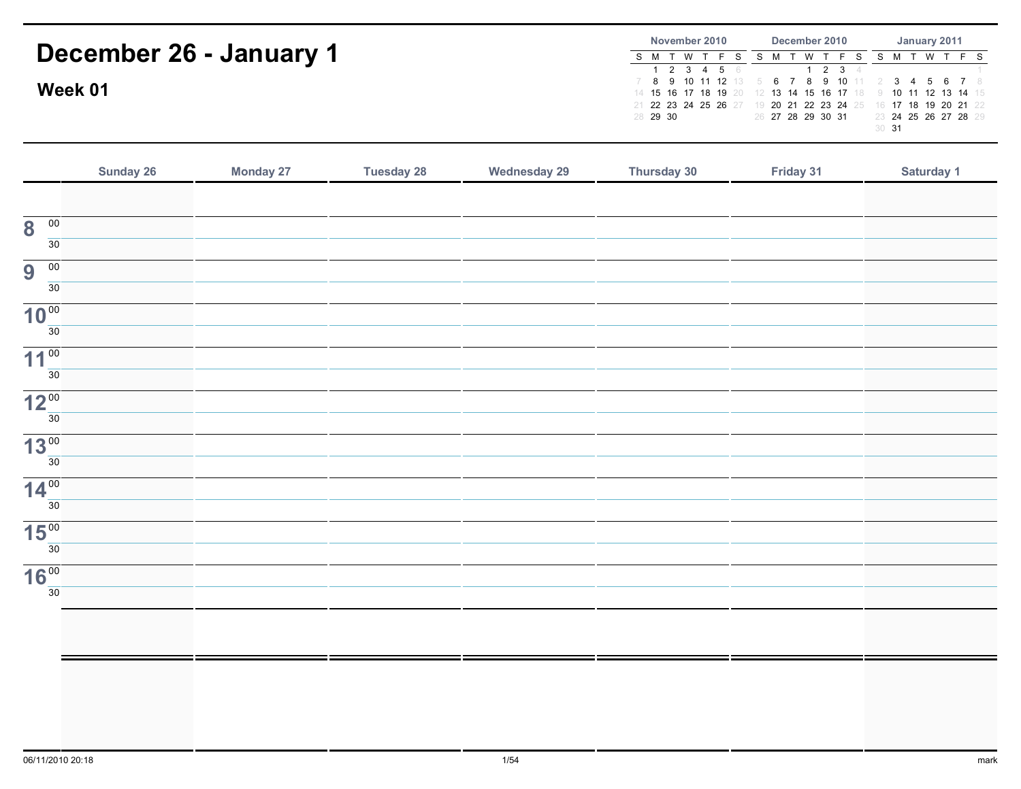| December 26 - January 1<br>Week 01      |                  |                   | November 2010<br>S M T W<br>$T - F$<br>$\overline{2}$<br>3<br>$5\phantom{.0}$<br>$\overline{4}$<br>$\mathbf{1}$<br>9 10 11 12 13<br>8<br>7<br>$14$ 15<br>16<br>17 18<br>19<br>21 22 23 24 25 26 27<br>28 29 30 | December 2010<br>S M T W<br>S<br>T<br>F<br>S<br>$\overline{2}$<br>3<br>$\mathbf{1}$<br>8<br>9<br>10<br>6<br>$\overline{7}$<br>-5<br>13<br>15<br>14<br>16<br>20<br>17<br>20<br>21<br>22<br>23 24<br>19<br>25<br>26 27 28 29 30 31 | January 2011<br>SMTWTF<br>S.<br>3<br>-7<br>6<br>-8<br>4<br>18<br>19<br>20 21<br>16<br>17<br>22<br>24 25 26 27 28 29<br>23<br>$30$ 31 |            |
|-----------------------------------------|------------------|-------------------|----------------------------------------------------------------------------------------------------------------------------------------------------------------------------------------------------------------|----------------------------------------------------------------------------------------------------------------------------------------------------------------------------------------------------------------------------------|--------------------------------------------------------------------------------------------------------------------------------------|------------|
| Sunday 26                               | <b>Monday 27</b> | <b>Tuesday 28</b> | <b>Wednesday 29</b>                                                                                                                                                                                            | Thursday 30                                                                                                                                                                                                                      | Friday 31                                                                                                                            | Saturday 1 |
| $\overline{00}$<br>8<br>$\overline{30}$ |                  |                   |                                                                                                                                                                                                                |                                                                                                                                                                                                                                  |                                                                                                                                      |            |
| $\overline{00}$<br>9<br>30              |                  |                   |                                                                                                                                                                                                                |                                                                                                                                                                                                                                  |                                                                                                                                      |            |
| 10 <sup>00</sup><br>30                  |                  |                   |                                                                                                                                                                                                                |                                                                                                                                                                                                                                  |                                                                                                                                      |            |
| $11^{100}$<br>30                        |                  |                   |                                                                                                                                                                                                                |                                                                                                                                                                                                                                  |                                                                                                                                      |            |
| 12 <sup>00</sup><br>30                  |                  |                   |                                                                                                                                                                                                                |                                                                                                                                                                                                                                  |                                                                                                                                      |            |
| $13^{00}$<br>30                         |                  |                   |                                                                                                                                                                                                                |                                                                                                                                                                                                                                  |                                                                                                                                      |            |
| $14^{00}$<br>30                         |                  |                   |                                                                                                                                                                                                                |                                                                                                                                                                                                                                  |                                                                                                                                      |            |
| 15 <sup>00</sup><br>30                  |                  |                   |                                                                                                                                                                                                                |                                                                                                                                                                                                                                  |                                                                                                                                      |            |
| <b>16°°</b><br>30                       |                  |                   |                                                                                                                                                                                                                |                                                                                                                                                                                                                                  |                                                                                                                                      |            |
|                                         |                  |                   |                                                                                                                                                                                                                |                                                                                                                                                                                                                                  |                                                                                                                                      |            |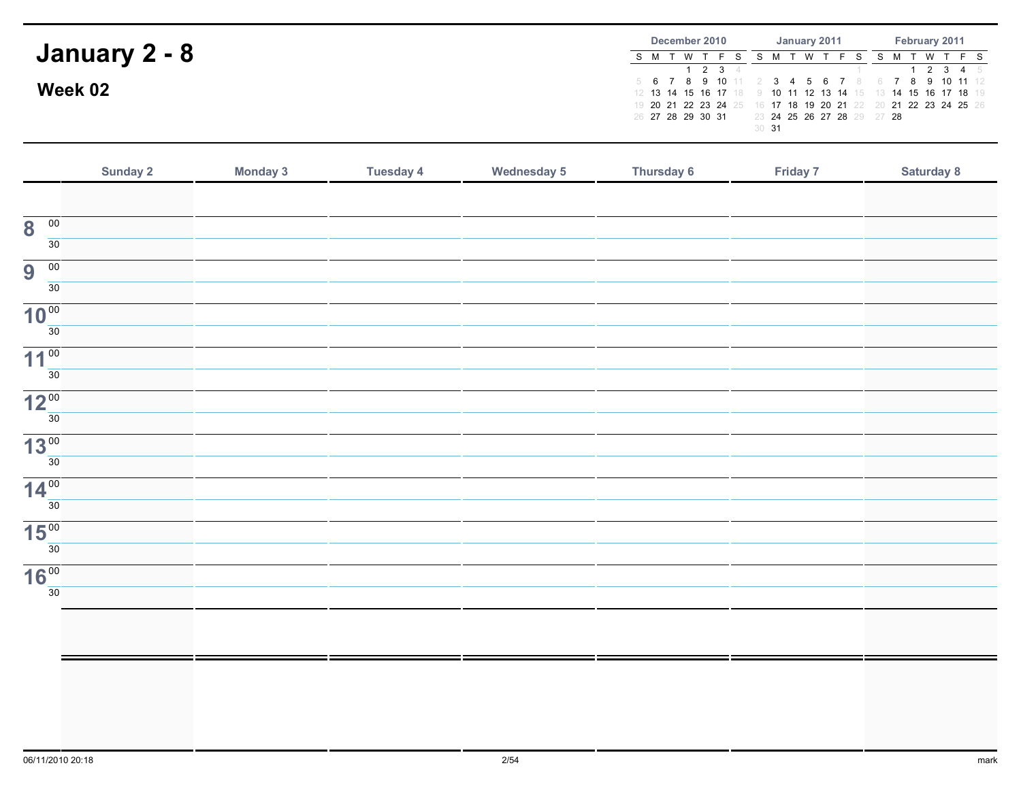|               | December 2010               | January 2011                        | February 2011                                                                                                   |  |  |  |  |  |
|---------------|-----------------------------|-------------------------------------|-----------------------------------------------------------------------------------------------------------------|--|--|--|--|--|
| January 2 - 8 | W T<br>S M T<br>1 2 3 $\pm$ |                                     | T W T<br>2 3 4 5                                                                                                |  |  |  |  |  |
| Week 02       |                             |                                     | 5 6 7 8 9 10 11 2 3 4 5 6 7 8 6 7 8 9 10 11 12<br>12 13 14 15 16 17 18 9 10 11 12 13 14 15 13 14 15 16 17 18 19 |  |  |  |  |  |
|               | 26 27 28 29 30 31           | 23 24 25 26 27 28 29 27 28<br>30 31 | 19 20 21 22 23 24 25 16 17 18 19 20 21 22 20 21 22 23 24 25 26                                                  |  |  |  |  |  |

|                                            | Sunday 2 | <b>Monday 3</b> | <b>Tuesday 4</b> | <b>Wednesday 5</b> | <b>Thursday 6</b> | Friday 7 | Saturday 8 |
|--------------------------------------------|----------|-----------------|------------------|--------------------|-------------------|----------|------------|
|                                            |          |                 |                  |                    |                   |          |            |
| $\overline{00}$<br>$\overline{\mathbf{8}}$ |          |                 |                  |                    |                   |          |            |
| 30                                         |          |                 |                  |                    |                   |          |            |
| 9<br>$\overline{00}$                       |          |                 |                  |                    |                   |          |            |
| 30                                         |          |                 |                  |                    |                   |          |            |
| 10 <sup>00</sup>                           |          |                 |                  |                    |                   |          |            |
| 30                                         |          |                 |                  |                    |                   |          |            |
| 11 <sup>00</sup>                           |          |                 |                  |                    |                   |          |            |
| 30                                         |          |                 |                  |                    |                   |          |            |
| 12 <sup>00</sup>                           |          |                 |                  |                    |                   |          |            |
| 30                                         |          |                 |                  |                    |                   |          |            |
| 13 <sup>00</sup>                           |          |                 |                  |                    |                   |          |            |
| 30                                         |          |                 |                  |                    |                   |          |            |
| 14 <sup>00</sup>                           |          |                 |                  |                    |                   |          |            |
| 30                                         |          |                 |                  |                    |                   |          |            |
| 15 <sup>00</sup>                           |          |                 |                  |                    |                   |          |            |
| 30                                         |          |                 |                  |                    |                   |          |            |
| 16 <sup>00</sup>                           |          |                 |                  |                    |                   |          |            |
| 30                                         |          |                 |                  |                    |                   |          |            |
|                                            |          |                 |                  |                    |                   |          |            |
|                                            |          |                 |                  |                    |                   |          |            |
|                                            |          |                 |                  |                    |                   |          |            |
|                                            |          |                 |                  |                    |                   |          |            |
|                                            |          |                 |                  |                    |                   |          |            |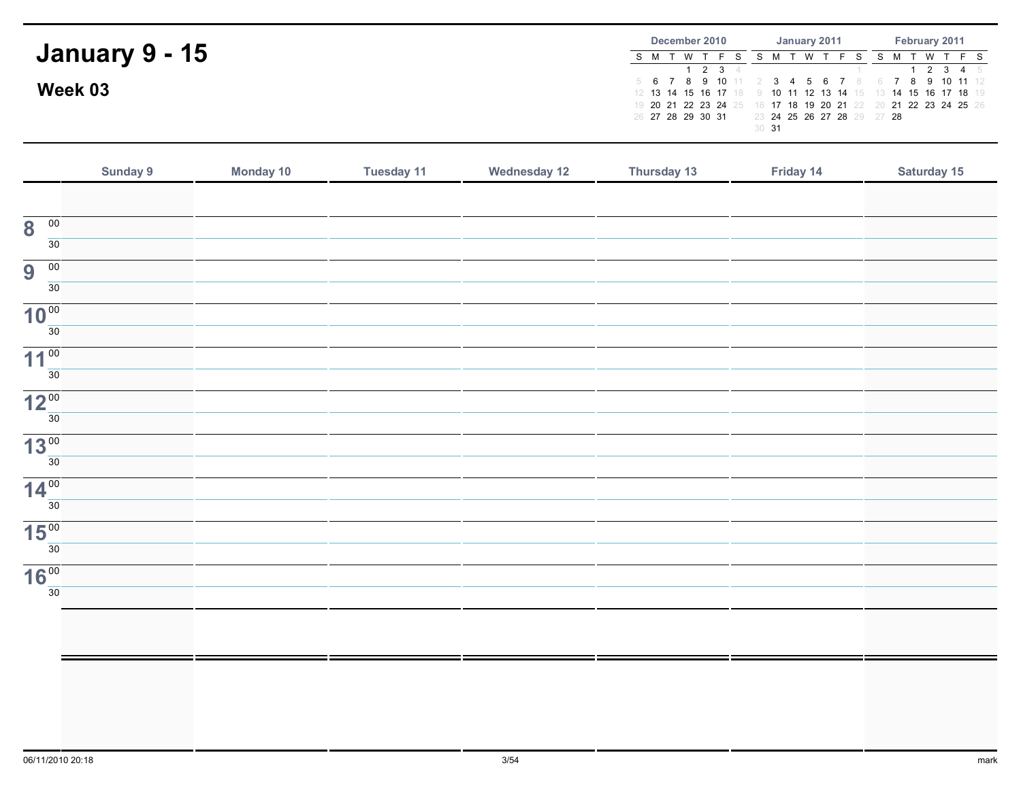|                       | December 2010     |     |             |                  |  | January 2011 |                                                                                                                 | February 2011 |  |      |  |         |  |
|-----------------------|-------------------|-----|-------------|------------------|--|--------------|-----------------------------------------------------------------------------------------------------------------|---------------|--|------|--|---------|--|
| <b>January 9 - 15</b> |                   | W T | 1 2 3 $\pm$ |                  |  |              | W T F S                                                                                                         |               |  | 'W T |  | 2 3 4 5 |  |
| Week 03               |                   |     |             |                  |  |              | 5 6 7 8 9 10 11 2 3 4 5 6 7 8 6 7 8 9 10 11 12<br>12 13 14 15 16 17 18 9 10 11 12 13 14 15 13 14 15 16 17 18 19 |               |  |      |  |         |  |
|                       | 26 27 28 29 30 31 |     |             |                  |  |              | 19 20 21 22 23 24 25 16 17 18 19 20 21 22 20 21 22 23 24 25 26<br>23 24 25 26 27 28 29 27 28                    |               |  |      |  |         |  |
|                       |                   |     |             | 30 <sup>31</sup> |  |              |                                                                                                                 |               |  |      |  |         |  |

|                                            | Sunday 9 | Monday 10 | <b>Tuesday 11</b> | <b>Wednesday 12</b> | Thursday 13 | Friday 14 | Saturday 15 |
|--------------------------------------------|----------|-----------|-------------------|---------------------|-------------|-----------|-------------|
|                                            |          |           |                   |                     |             |           |             |
| $\overline{00}$<br>$\overline{\mathbf{8}}$ |          |           |                   |                     |             |           |             |
| 30                                         |          |           |                   |                     |             |           |             |
| $\overline{00}$<br>9                       |          |           |                   |                     |             |           |             |
| 30                                         |          |           |                   |                     |             |           |             |
| 10 <sup>00</sup>                           |          |           |                   |                     |             |           |             |
| $\overline{30}$                            |          |           |                   |                     |             |           |             |
| 11 <sup>00</sup>                           |          |           |                   |                     |             |           |             |
| 30                                         |          |           |                   |                     |             |           |             |
| 12 <sup>00</sup>                           |          |           |                   |                     |             |           |             |
| 30                                         |          |           |                   |                     |             |           |             |
| 13 <sup>00</sup>                           |          |           |                   |                     |             |           |             |
| $\overline{30}$                            |          |           |                   |                     |             |           |             |
| 14 <sup>00</sup>                           |          |           |                   |                     |             |           |             |
| 30                                         |          |           |                   |                     |             |           |             |
| 15 <sup>00</sup>                           |          |           |                   |                     |             |           |             |
| 30                                         |          |           |                   |                     |             |           |             |
| 16 <sup>00</sup><br>30                     |          |           |                   |                     |             |           |             |
|                                            |          |           |                   |                     |             |           |             |
|                                            |          |           |                   |                     |             |           |             |
|                                            |          |           |                   |                     |             |           |             |
|                                            |          |           |                   |                     |             |           |             |
|                                            |          |           |                   |                     |             |           |             |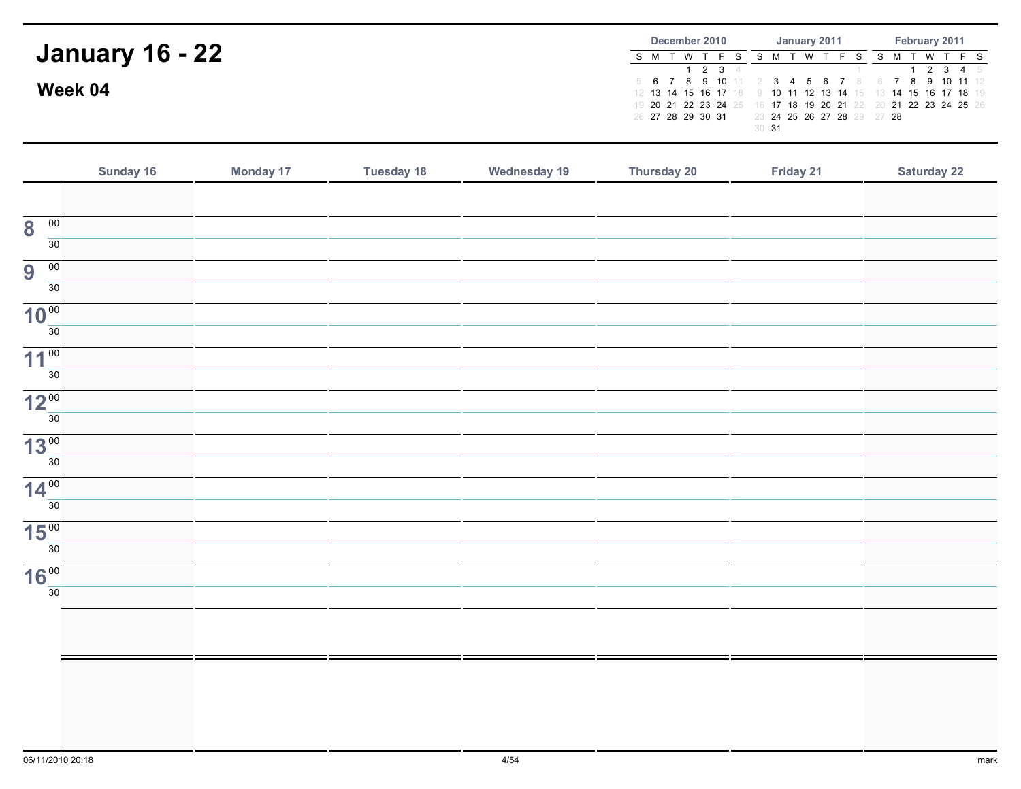|                        | December 2010                                                                                                   | January 2011               | February 2011          |  |  |  |  |
|------------------------|-----------------------------------------------------------------------------------------------------------------|----------------------------|------------------------|--|--|--|--|
| <b>January 16 - 22</b> | S M T W T<br>2 3 4                                                                                              | W T                        | T W T F S<br>1 2 3 4 5 |  |  |  |  |
| Week 04                | 5 6 7 8 9 10 11 2 3 4 5 6 7 8 6 7 8 9 10 11 12<br>12 13 14 15 16 17 18 9 10 11 12 13 14 15 13 14 15 16 17 18 19 |                            |                        |  |  |  |  |
|                        | 19 20 21 22 23 24 25 16 17 18 19 20 21 22 20 21 22 23 24 25 26<br>26 27 28 29 30 31                             | 23 24 25 26 27 28 29 27 28 |                        |  |  |  |  |
|                        |                                                                                                                 | 30 <sup>31</sup>           |                        |  |  |  |  |

|                                            | Sunday 16 | <b>Monday 17</b> | <b>Tuesday 18</b> | <b>Wednesday 19</b> | Thursday 20 | Friday 21 | <b>Saturday 22</b> |
|--------------------------------------------|-----------|------------------|-------------------|---------------------|-------------|-----------|--------------------|
|                                            |           |                  |                   |                     |             |           |                    |
| $\overline{00}$<br>$\overline{\mathbf{8}}$ |           |                  |                   |                     |             |           |                    |
| $\overline{30}$                            |           |                  |                   |                     |             |           |                    |
| 9<br>$\overline{00}$                       |           |                  |                   |                     |             |           |                    |
| $\overline{30}$                            |           |                  |                   |                     |             |           |                    |
| 10 <sup>00</sup>                           |           |                  |                   |                     |             |           |                    |
| $\overline{30}$                            |           |                  |                   |                     |             |           |                    |
| 11 <sup>00</sup>                           |           |                  |                   |                     |             |           |                    |
| $\overline{30}$                            |           |                  |                   |                     |             |           |                    |
| 12 <sup>00</sup>                           |           |                  |                   |                     |             |           |                    |
| 30                                         |           |                  |                   |                     |             |           |                    |
| 13 <sup>00</sup><br>30                     |           |                  |                   |                     |             |           |                    |
|                                            |           |                  |                   |                     |             |           |                    |
| 14 <sup>00</sup><br>30                     |           |                  |                   |                     |             |           |                    |
|                                            |           |                  |                   |                     |             |           |                    |
| 15 <sup>00</sup><br>30                     |           |                  |                   |                     |             |           |                    |
|                                            |           |                  |                   |                     |             |           |                    |
| 16 <sup>00</sup><br>$\overline{30}$        |           |                  |                   |                     |             |           |                    |
|                                            |           |                  |                   |                     |             |           |                    |
|                                            |           |                  |                   |                     |             |           |                    |
|                                            |           |                  |                   |                     |             |           |                    |
|                                            |           |                  |                   |                     |             |           |                    |
|                                            |           |                  |                   |                     |             |           |                    |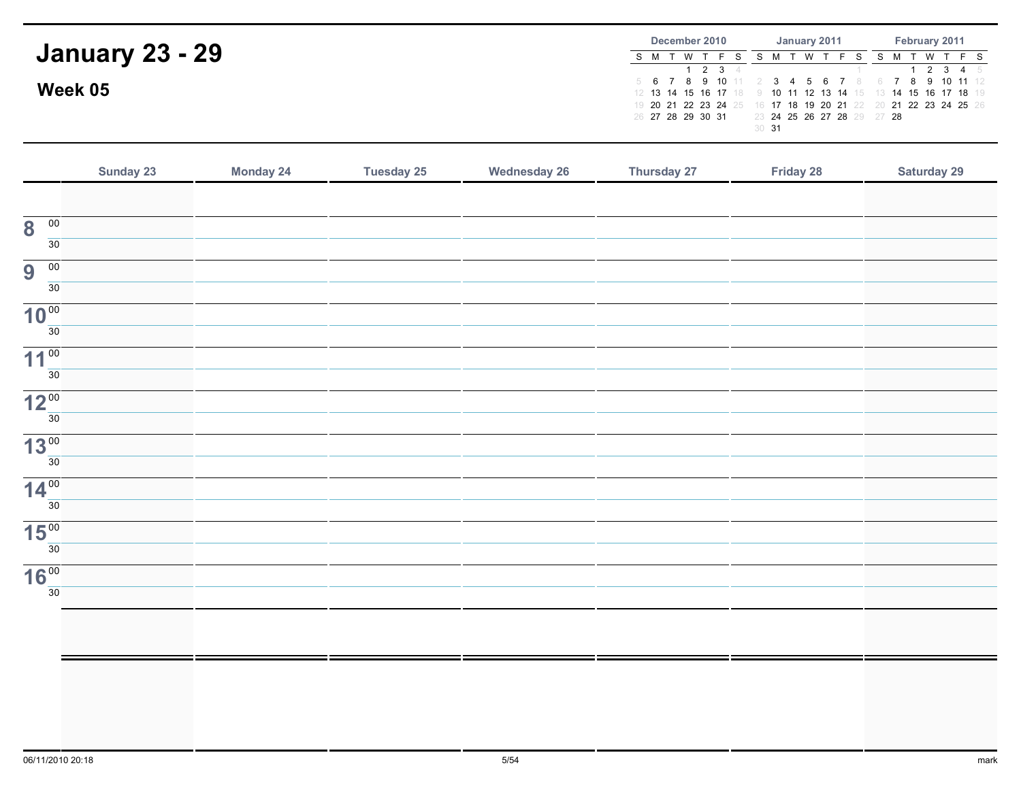|                        | December 2010                                                 | January 2011                                                   | February 2011          |  |  |  |  |
|------------------------|---------------------------------------------------------------|----------------------------------------------------------------|------------------------|--|--|--|--|
| <b>January 23 - 29</b> | S M T W                                                       | W T                                                            | T W T F S<br>1 2 3 4 5 |  |  |  |  |
| Week 05                |                                                               | 5 6 7 8 9 10 11 2 3 4 5 6 7 8 6 7 8 9 10 11 12                 |                        |  |  |  |  |
|                        | 12 13 14 15 16 17 18 9 10 11 12 13 14 15 13 14 15 16 17 18 19 | 19 20 21 22 23 24 25 16 17 18 19 20 21 22 20 21 22 23 24 25 26 |                        |  |  |  |  |
|                        | 26 27 28 29 30 31                                             | 23 24 25 26 27 28 29 27 28<br>30 <sup>31</sup>                 |                        |  |  |  |  |

|                                            | Sunday 23 | <b>Monday 24</b> | <b>Tuesday 25</b> | <b>Wednesday 26</b> | Thursday 27 | Friday 28 | <b>Saturday 29</b> |
|--------------------------------------------|-----------|------------------|-------------------|---------------------|-------------|-----------|--------------------|
|                                            |           |                  |                   |                     |             |           |                    |
| $\overline{00}$<br>$\overline{\mathbf{8}}$ |           |                  |                   |                     |             |           |                    |
| $\overline{30}$                            |           |                  |                   |                     |             |           |                    |
| 9<br>$\overline{00}$                       |           |                  |                   |                     |             |           |                    |
| $\overline{30}$                            |           |                  |                   |                     |             |           |                    |
| 10 <sup>00</sup><br>$\overline{30}$        |           |                  |                   |                     |             |           |                    |
|                                            |           |                  |                   |                     |             |           |                    |
| 11 <sup>00</sup><br>$\overline{30}$        |           |                  |                   |                     |             |           |                    |
|                                            |           |                  |                   |                     |             |           |                    |
| 12 <sup>00</sup>                           |           |                  |                   |                     |             |           |                    |
| 30                                         |           |                  |                   |                     |             |           |                    |
| 13 <sup>00</sup>                           |           |                  |                   |                     |             |           |                    |
| 30                                         |           |                  |                   |                     |             |           |                    |
| 14 <sup>00</sup>                           |           |                  |                   |                     |             |           |                    |
| 30                                         |           |                  |                   |                     |             |           |                    |
| 15 <sup>00</sup>                           |           |                  |                   |                     |             |           |                    |
| 30                                         |           |                  |                   |                     |             |           |                    |
| 16 <sup>00</sup>                           |           |                  |                   |                     |             |           |                    |
| $\overline{30}$                            |           |                  |                   |                     |             |           |                    |
|                                            |           |                  |                   |                     |             |           |                    |
|                                            |           |                  |                   |                     |             |           |                    |
|                                            |           |                  |                   |                     |             |           |                    |
|                                            |           |                  |                   |                     |             |           |                    |
|                                            |           |                  |                   |                     |             |           |                    |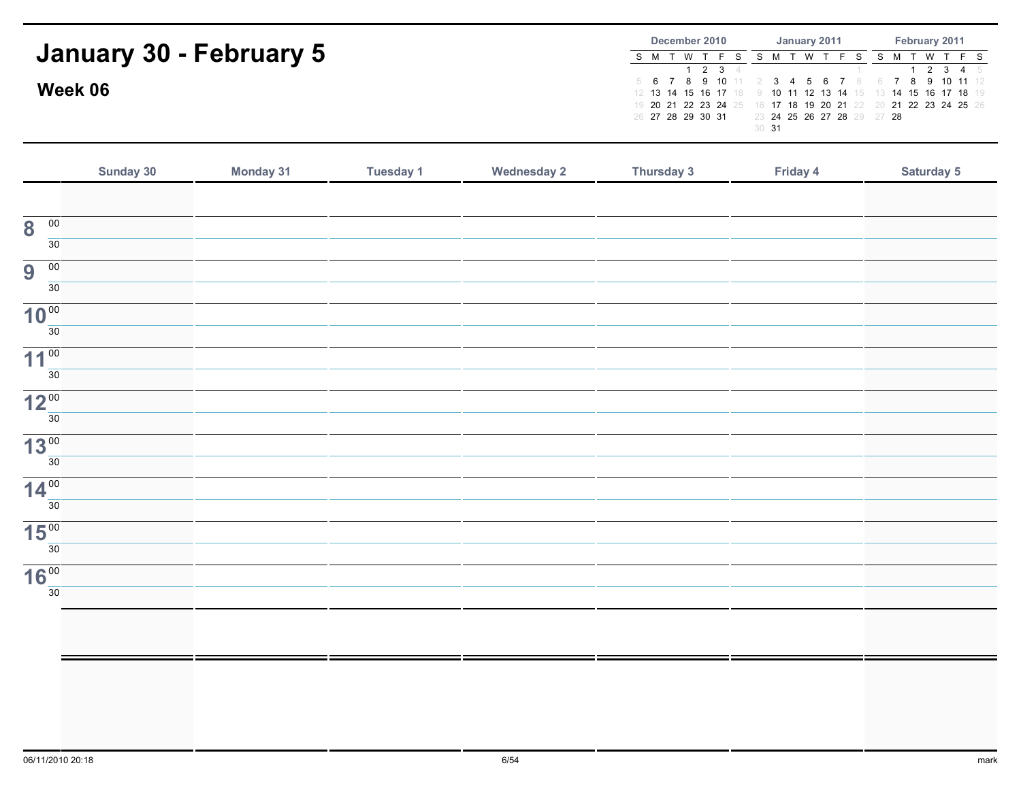|                         | December 2010<br>February 2011<br>January 2011                                                                    |
|-------------------------|-------------------------------------------------------------------------------------------------------------------|
| January 30 - February 5 | S M T W T F S S M T W T F S<br>S M T W T F S                                                                      |
|                         | 1 2 3 4 5<br>1 2 3 4<br>5 6 7 8 9 10 11 2 3 4 5 6 7 8 6 7 8 9 10 11 12                                            |
| Week 06                 | 12 13 14 15 16 17 18 9 10 11 12 13 14 15 13 14 15 16 17 18 19                                                     |
|                         | 19 20 21 22 23 24 25 16 17 18 19 20 21 22 20 21 22 23 24 25 26<br>23 24 25 26 27 28 29 27 28<br>26 27 28 29 30 31 |
|                         | 30 <sup>31</sup>                                                                                                  |
|                         |                                                                                                                   |

|                                            | Sunday 30 | Monday 31 | Tuesday 1 | <b>Wednesday 2</b> | Thursday 3 | Friday 4 | Saturday 5 |
|--------------------------------------------|-----------|-----------|-----------|--------------------|------------|----------|------------|
|                                            |           |           |           |                    |            |          |            |
| $\overline{00}$<br>$\overline{\mathbf{8}}$ |           |           |           |                    |            |          |            |
| 30                                         |           |           |           |                    |            |          |            |
| $\overline{00}$<br>9                       |           |           |           |                    |            |          |            |
| 30                                         |           |           |           |                    |            |          |            |
| 10 <sup>00</sup>                           |           |           |           |                    |            |          |            |
| 30                                         |           |           |           |                    |            |          |            |
| 11 <sup>00</sup><br>30                     |           |           |           |                    |            |          |            |
|                                            |           |           |           |                    |            |          |            |
| 12 <sup>00</sup><br>30                     |           |           |           |                    |            |          |            |
| 13 <sup>00</sup>                           |           |           |           |                    |            |          |            |
| 30                                         |           |           |           |                    |            |          |            |
| 14 <sup>00</sup>                           |           |           |           |                    |            |          |            |
| 30                                         |           |           |           |                    |            |          |            |
| 15 <sup>00</sup>                           |           |           |           |                    |            |          |            |
| 30                                         |           |           |           |                    |            |          |            |
| 16 <sup>00</sup>                           |           |           |           |                    |            |          |            |
| 30                                         |           |           |           |                    |            |          |            |
|                                            |           |           |           |                    |            |          |            |
|                                            |           |           |           |                    |            |          |            |
|                                            |           |           |           |                    |            |          |            |
|                                            |           |           |           |                    |            |          |            |
|                                            |           |           |           |                    |            |          |            |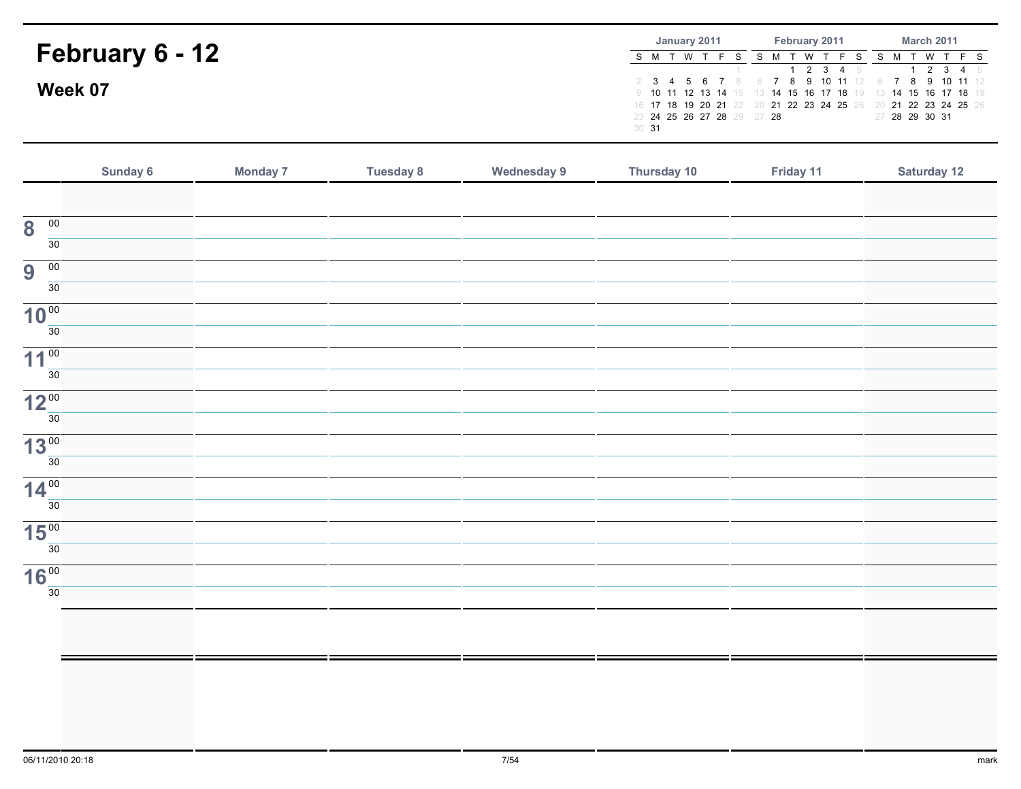|                 |                  | January 2011 |  |                            |  |          | February 2011 |                                                                | <b>March 2011</b> |  |  |                |  |  |
|-----------------|------------------|--------------|--|----------------------------|--|----------|---------------|----------------------------------------------------------------|-------------------|--|--|----------------|--|--|
| February 6 - 12 |                  | S M T W T    |  |                            |  | <b>W</b> |               |                                                                |                   |  |  | W T F S        |  |  |
|                 |                  |              |  |                            |  |          |               | 1 2 3 4 5                                                      |                   |  |  | 2 3 4 5        |  |  |
| Week 07         |                  |              |  |                            |  |          |               | 2 3 4 5 6 7 8 6 7 8 9 10 11 12 6 7 8 9 10 11 12                |                   |  |  |                |  |  |
|                 |                  |              |  |                            |  |          |               | 9 10 11 12 13 14 15 13 14 15 16 17 18 19 13 14 15 16 17 18 19  |                   |  |  |                |  |  |
|                 |                  |              |  |                            |  |          |               | 16 17 18 19 20 21 22 20 21 22 23 24 25 26 20 21 22 23 24 25 26 |                   |  |  |                |  |  |
|                 |                  |              |  | 23 24 25 26 27 28 29 27 28 |  |          |               |                                                                |                   |  |  | 27 28 29 30 31 |  |  |
|                 | 30 <sup>31</sup> |              |  |                            |  |          |               |                                                                |                   |  |  |                |  |  |

|                                            | Sunday 6 | <b>Monday 7</b> | <b>Tuesday 8</b> | <b>Wednesday 9</b> | Thursday 10 | Friday 11 | <b>Saturday 12</b> |
|--------------------------------------------|----------|-----------------|------------------|--------------------|-------------|-----------|--------------------|
|                                            |          |                 |                  |                    |             |           |                    |
| $\overline{\mathbf{8}}$<br>$\overline{00}$ |          |                 |                  |                    |             |           |                    |
| 30 <sup>7</sup>                            |          |                 |                  |                    |             |           |                    |
| $\overline{00}$<br>9                       |          |                 |                  |                    |             |           |                    |
| $\overline{30}$                            |          |                 |                  |                    |             |           |                    |
| 10 <sup>00</sup>                           |          |                 |                  |                    |             |           |                    |
| 30                                         |          |                 |                  |                    |             |           |                    |
| 11 <sup>00</sup>                           |          |                 |                  |                    |             |           |                    |
| 30 <sup>2</sup>                            |          |                 |                  |                    |             |           |                    |
| 12 <sup>00</sup>                           |          |                 |                  |                    |             |           |                    |
| 30 <sup>7</sup>                            |          |                 |                  |                    |             |           |                    |
| 13 <sup>00</sup><br>30 <sup>2</sup>        |          |                 |                  |                    |             |           |                    |
|                                            |          |                 |                  |                    |             |           |                    |
| 14 <sup>00</sup><br>30 <sup>2</sup>        |          |                 |                  |                    |             |           |                    |
|                                            |          |                 |                  |                    |             |           |                    |
| 15 <sup>00</sup><br>30 <sup>1</sup>        |          |                 |                  |                    |             |           |                    |
| 16 <sup>00</sup>                           |          |                 |                  |                    |             |           |                    |
| 30                                         |          |                 |                  |                    |             |           |                    |
|                                            |          |                 |                  |                    |             |           |                    |
|                                            |          |                 |                  |                    |             |           |                    |
|                                            |          |                 |                  |                    |             |           |                    |
|                                            |          |                 |                  |                    |             |           |                    |
|                                            |          |                 |                  |                    |             |           |                    |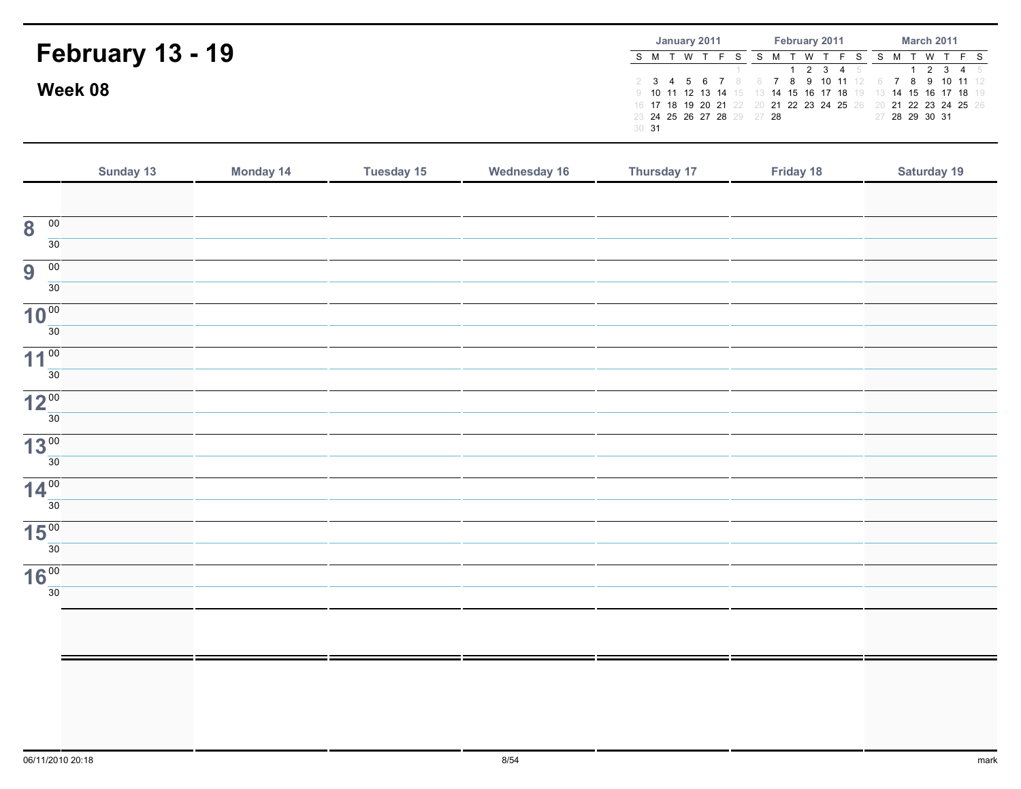|                         | January 2011     |  |           |  |  |                            |  | February 2011 |  |  |     |  |                                                                |  | <b>March 2011</b> |                |           |  |  |  |
|-------------------------|------------------|--|-----------|--|--|----------------------------|--|---------------|--|--|-----|--|----------------------------------------------------------------|--|-------------------|----------------|-----------|--|--|--|
| <b>February 13 - 19</b> |                  |  | S M T W T |  |  |                            |  |               |  |  | W T |  | . FS                                                           |  |                   |                | T W T F S |  |  |  |
|                         |                  |  |           |  |  |                            |  |               |  |  |     |  | 1 2 3 4 5<br>2 3 4 5 6 7 8 6 7 8 9 10 11 12 6 7 8 9 10 11 12   |  |                   |                | 2 3 4 5   |  |  |  |
| Week 08                 |                  |  |           |  |  |                            |  |               |  |  |     |  | 9 10 11 12 13 14 15 13 14 15 16 17 18 19 13 14 15 16 17 18 19  |  |                   |                |           |  |  |  |
|                         |                  |  |           |  |  | 23 24 25 26 27 28 29 27 28 |  |               |  |  |     |  | 16 17 18 19 20 21 22 20 21 22 23 24 25 26 20 21 22 23 24 25 26 |  |                   | 27 28 29 30 31 |           |  |  |  |
|                         | 30 <sup>31</sup> |  |           |  |  |                            |  |               |  |  |     |  |                                                                |  |                   |                |           |  |  |  |

|                                            | Sunday 13 | Monday 14 | <b>Tuesday 15</b> | <b>Wednesday 16</b> | Thursday 17 | Friday 18 | Saturday 19 |
|--------------------------------------------|-----------|-----------|-------------------|---------------------|-------------|-----------|-------------|
|                                            |           |           |                   |                     |             |           |             |
| $\overline{00}$<br>$\overline{\mathbf{8}}$ |           |           |                   |                     |             |           |             |
| 30                                         |           |           |                   |                     |             |           |             |
| 9<br>$\overline{00}$                       |           |           |                   |                     |             |           |             |
| 30                                         |           |           |                   |                     |             |           |             |
| 10 <sup>00</sup>                           |           |           |                   |                     |             |           |             |
| 30                                         |           |           |                   |                     |             |           |             |
| 11 <sup>00</sup>                           |           |           |                   |                     |             |           |             |
| 30 <sup>2</sup>                            |           |           |                   |                     |             |           |             |
| 12 <sup>00</sup>                           |           |           |                   |                     |             |           |             |
| 30 <sup>2</sup>                            |           |           |                   |                     |             |           |             |
| 13 <sup>00</sup>                           |           |           |                   |                     |             |           |             |
| 30 <sup>7</sup>                            |           |           |                   |                     |             |           |             |
| 14 <sup>00</sup>                           |           |           |                   |                     |             |           |             |
| 30 <sup>2</sup>                            |           |           |                   |                     |             |           |             |
| $15\frac{00}{30}$                          |           |           |                   |                     |             |           |             |
|                                            |           |           |                   |                     |             |           |             |
| 16 <sup>00</sup>                           |           |           |                   |                     |             |           |             |
| 30 <sup>2</sup>                            |           |           |                   |                     |             |           |             |
|                                            |           |           |                   |                     |             |           |             |
|                                            |           |           |                   |                     |             |           |             |
|                                            |           |           |                   |                     |             |           |             |
|                                            |           |           |                   |                     |             |           |             |
|                                            |           |           |                   |                     |             |           |             |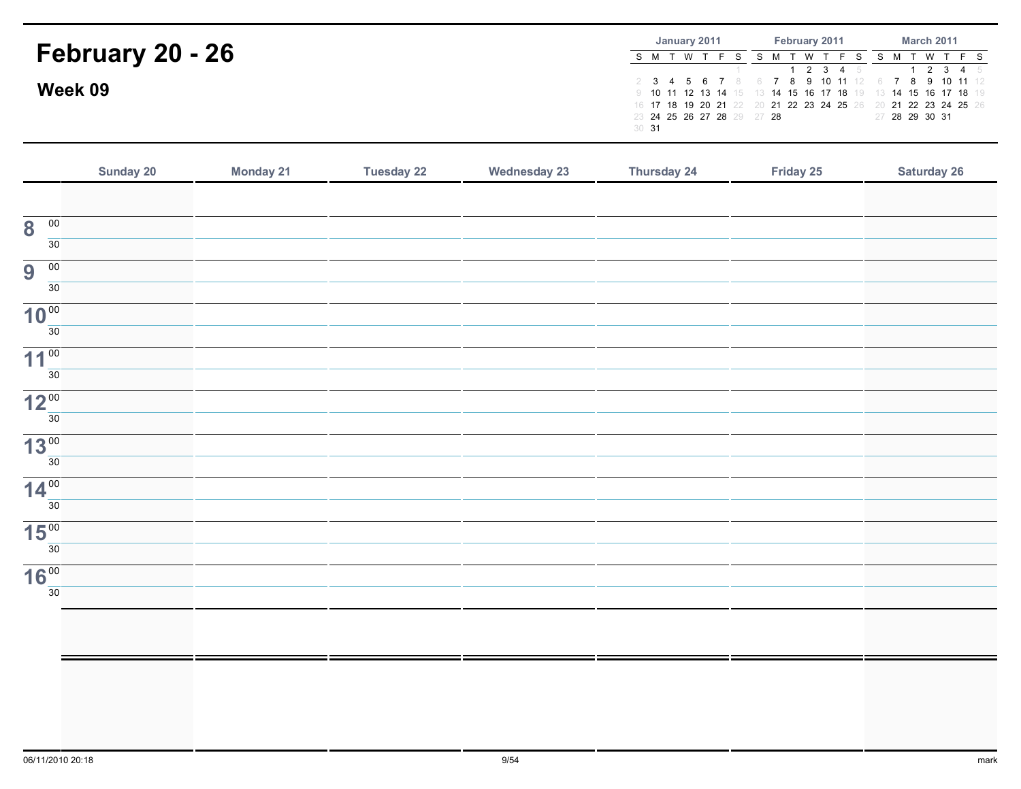|                         | February 2011<br><b>March 2011</b><br>January 2011                                                                                                                                 |
|-------------------------|------------------------------------------------------------------------------------------------------------------------------------------------------------------------------------|
| <b>February 20 - 26</b> | WTFS:<br>T W T F S<br>⊤ W<br>S M T<br>$1 \t2 \t3 \t4 \t5$<br>1 2 3 4 5                                                                                                             |
| Week 09                 | 2 3 4 5 6 7 8 6 7 8 9 10 11 12 6 7 8 9 10 11 12<br>9 10 11 12 13 14 15 13 14 15 16 17 18 19 13 14 15 16 17 18 19<br>16 17 18 19 20 21 22 20 21 22 23 24 25 26 20 21 22 23 24 25 26 |
|                         | 23 24 25 26 27 28 29 27 28<br>27 28 29 30 31<br>30 <sup>31</sup>                                                                                                                   |

|                                            | Sunday 20 | <b>Monday 21</b> | <b>Tuesday 22</b> | <b>Wednesday 23</b> | Thursday 24 | Friday 25 | <b>Saturday 26</b> |
|--------------------------------------------|-----------|------------------|-------------------|---------------------|-------------|-----------|--------------------|
|                                            |           |                  |                   |                     |             |           |                    |
| $\overline{00}$<br>$\overline{\mathbf{8}}$ |           |                  |                   |                     |             |           |                    |
| 30                                         |           |                  |                   |                     |             |           |                    |
| $\overline{00}$<br>$\overline{9}$          |           |                  |                   |                     |             |           |                    |
| 30 <sup>7</sup>                            |           |                  |                   |                     |             |           |                    |
| 10 <sup>00</sup>                           |           |                  |                   |                     |             |           |                    |
| 30                                         |           |                  |                   |                     |             |           |                    |
| 11 <sup>00</sup><br>30                     |           |                  |                   |                     |             |           |                    |
| 12 <sup>00</sup>                           |           |                  |                   |                     |             |           |                    |
| 30                                         |           |                  |                   |                     |             |           |                    |
| 13 <sup>00</sup>                           |           |                  |                   |                     |             |           |                    |
| 30                                         |           |                  |                   |                     |             |           |                    |
| 14 <sup>00</sup>                           |           |                  |                   |                     |             |           |                    |
| 30                                         |           |                  |                   |                     |             |           |                    |
| 15 <sup>00</sup>                           |           |                  |                   |                     |             |           |                    |
| 30                                         |           |                  |                   |                     |             |           |                    |
| 16 <sup>00</sup><br>30 <sup>7</sup>        |           |                  |                   |                     |             |           |                    |
|                                            |           |                  |                   |                     |             |           |                    |
|                                            |           |                  |                   |                     |             |           |                    |
|                                            |           |                  |                   |                     |             |           |                    |
|                                            |           |                  |                   |                     |             |           |                    |
|                                            |           |                  |                   |                     |             |           |                    |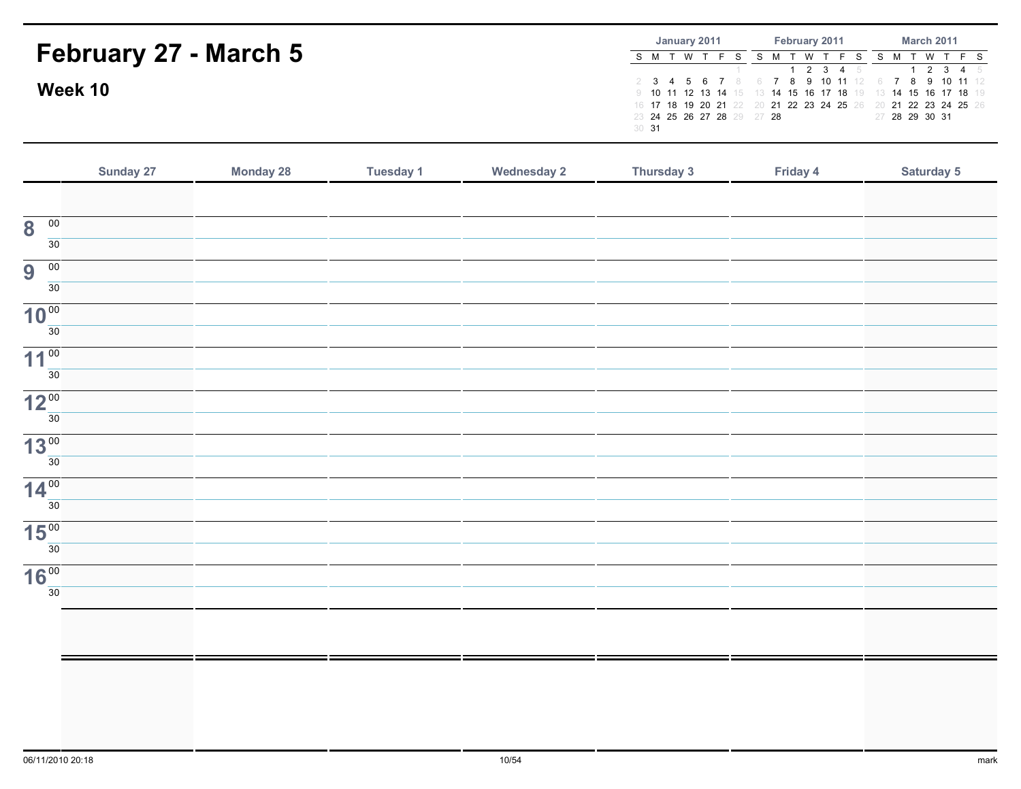|                              | January 2011<br><b>March 2011</b><br>February 2011                        |
|------------------------------|---------------------------------------------------------------------------|
| <b>February 27 - March 5</b> | T W T<br>W T F S<br>S M T W '                                             |
|                              | 1 2 3 4 5<br>1 2 3 4 5<br>2 3 4 5 6 7 8 6 7 8 9 10 11 12 6 7 8 9 10 11 12 |
| Week 10                      | 9 10 11 12 13 14 15 13 14 15 16 17 18 19 13 14 15 16 17 18 19             |
|                              | 16 17 18 19 20 21 22 20 21 22 23 24 25 26 20 21 22 23 24 25 26            |
|                              | 23 24 25 26 27 28 29 27 28<br>27 28 29 30 31<br>30 <sup>31</sup>          |
|                              |                                                                           |

| $\overline{00}$<br>$\overline{\mathbf{8}}$<br>30<br>$\overline{00}$<br>9<br>30<br>10 <sup>00</sup><br>30<br>11 <sup>00</sup><br>30 <sup>°</sup> | Saturday 5 |
|-------------------------------------------------------------------------------------------------------------------------------------------------|------------|
|                                                                                                                                                 |            |
|                                                                                                                                                 |            |
|                                                                                                                                                 |            |
|                                                                                                                                                 |            |
|                                                                                                                                                 |            |
|                                                                                                                                                 |            |
|                                                                                                                                                 |            |
|                                                                                                                                                 |            |
|                                                                                                                                                 |            |
| 12 <sup>00</sup>                                                                                                                                |            |
| 30                                                                                                                                              |            |
| 13 <sup>00</sup>                                                                                                                                |            |
| $\overline{30}$                                                                                                                                 |            |
| 14 <sup>00</sup>                                                                                                                                |            |
| $\overline{30}$                                                                                                                                 |            |
| 15 <sup>00</sup>                                                                                                                                |            |
| 30                                                                                                                                              |            |
| 16 <sup>00</sup>                                                                                                                                |            |
| 30                                                                                                                                              |            |
|                                                                                                                                                 |            |
|                                                                                                                                                 |            |
|                                                                                                                                                 |            |
|                                                                                                                                                 |            |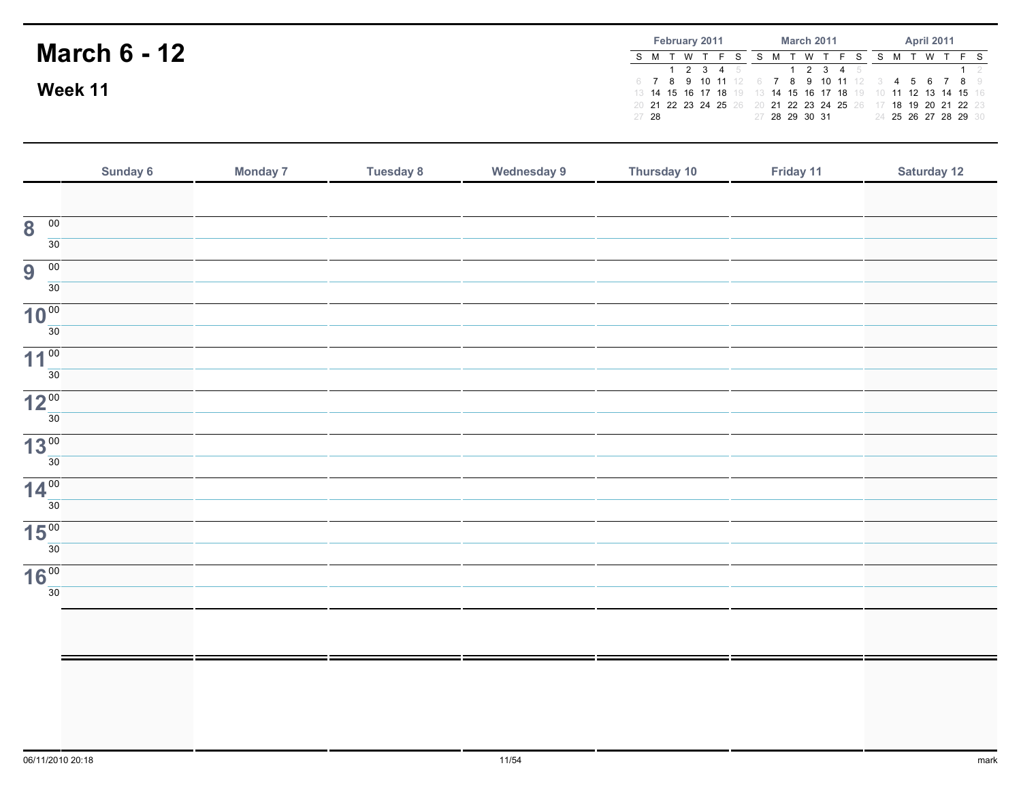|                     |       | <b>February 2011</b> |          |                     | <b>March 2011</b> |  |   |  |                                                                |  |  | <b>April 2011</b> |  |  |                                                                                                                   |  |
|---------------------|-------|----------------------|----------|---------------------|-------------------|--|---|--|----------------------------------------------------------------|--|--|-------------------|--|--|-------------------------------------------------------------------------------------------------------------------|--|
| <b>March 6 - 12</b> |       |                      | <b>W</b> | $1 \t2 \t3 \t4 \t5$ |                   |  | W |  | 2 3 4 5                                                        |  |  |                   |  |  |                                                                                                                   |  |
| Week 11             |       |                      |          |                     |                   |  |   |  |                                                                |  |  |                   |  |  | 6 7 8 9 10 11 12 6 7 8 9 10 11 12 3 4 5 6 7 8 9<br>13 14 15 16 17 18 19 13 14 15 16 17 18 19 10 11 12 13 14 15 16 |  |
|                     | 27 28 |                      |          |                     | 27 28 29 30 31    |  |   |  | 20 21 22 23 24 25 26 20 21 22 23 24 25 26 17 18 19 20 21 22 23 |  |  |                   |  |  | 24 25 26 27 28 29 30                                                                                              |  |

|                                            | Sunday 6 | <b>Monday 7</b> | <b>Tuesday 8</b> | <b>Wednesday 9</b> | Thursday 10 | Friday 11 | <b>Saturday 12</b> |
|--------------------------------------------|----------|-----------------|------------------|--------------------|-------------|-----------|--------------------|
|                                            |          |                 |                  |                    |             |           |                    |
| $\overline{\mathbf{8}}$<br>$\overline{00}$ |          |                 |                  |                    |             |           |                    |
| 30 <sup>2</sup>                            |          |                 |                  |                    |             |           |                    |
| 9<br>$\overline{00}$                       |          |                 |                  |                    |             |           |                    |
| 30 <sup>7</sup>                            |          |                 |                  |                    |             |           |                    |
| 10 <sup>00</sup><br>30 <sup>2</sup>        |          |                 |                  |                    |             |           |                    |
| 11 <sup>00</sup>                           |          |                 |                  |                    |             |           |                    |
| 30 <sup>7</sup>                            |          |                 |                  |                    |             |           |                    |
| 12 <sup>00</sup>                           |          |                 |                  |                    |             |           |                    |
| 30 <sup>2</sup>                            |          |                 |                  |                    |             |           |                    |
| 13 <sup>00</sup>                           |          |                 |                  |                    |             |           |                    |
| 30 <sup>7</sup>                            |          |                 |                  |                    |             |           |                    |
| 14 <sup>00</sup><br>30 <sup>2</sup>        |          |                 |                  |                    |             |           |                    |
| 15 <sup>00</sup>                           |          |                 |                  |                    |             |           |                    |
| 30 <sup>7</sup>                            |          |                 |                  |                    |             |           |                    |
| 16 <sup>00</sup>                           |          |                 |                  |                    |             |           |                    |
| 30                                         |          |                 |                  |                    |             |           |                    |
|                                            |          |                 |                  |                    |             |           |                    |
|                                            |          |                 |                  |                    |             |           |                    |
|                                            |          |                 |                  |                    |             |           |                    |
|                                            |          |                 |                  |                    |             |           |                    |
|                                            |          |                 |                  |                    |             |           |                    |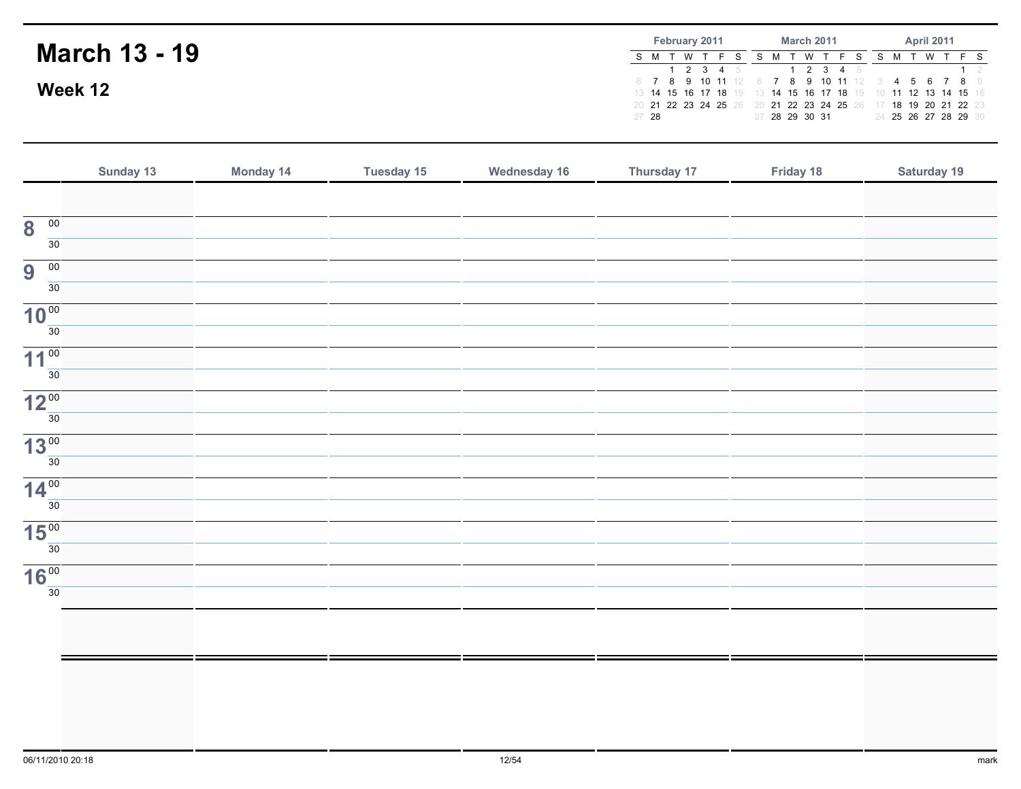|                      | <b>February 2011</b> | <b>March 2011</b>                                                                                                                                                                                     | <b>April 2011</b>    |
|----------------------|----------------------|-------------------------------------------------------------------------------------------------------------------------------------------------------------------------------------------------------|----------------------|
| <b>March 13 - 19</b> | 1 2 3 4 5            | W<br>2 3 4 5                                                                                                                                                                                          | WTFS                 |
| Week 12              | 27 28                | 6 7 8 9 10 11 12 6 7 8 9 10 11 12 3 4 5 6 7 8 9<br>13 14 15 16 17 18 19 13 14 15 16 17 18 19 10 11 12 13 14 15 16<br>20 21 22 23 24 25 26 20 21 22 23 24 25 26 17 18 19 20 21 22 23<br>27 28 29 30 31 | 24 25 26 27 28 29 30 |

|                                                               | Sunday 13 | Monday 14 | <b>Tuesday 15</b> | <b>Wednesday 16</b> | Thursday 17 | Friday 18 | Saturday 19 |
|---------------------------------------------------------------|-----------|-----------|-------------------|---------------------|-------------|-----------|-------------|
|                                                               |           |           |                   |                     |             |           |             |
| $\overline{00}$<br>$\overline{\mathbf{8}}$<br>30 <sup>7</sup> |           |           |                   |                     |             |           |             |
| 9<br>$\overline{00}$                                          |           |           |                   |                     |             |           |             |
| 30 <sup>7</sup>                                               |           |           |                   |                     |             |           |             |
| 10 <sup>00</sup><br>$\overline{30}$                           |           |           |                   |                     |             |           |             |
| 11 <sup>00</sup>                                              |           |           |                   |                     |             |           |             |
| 30 <sup>2</sup>                                               |           |           |                   |                     |             |           |             |
| 12 <sup>00</sup><br>30                                        |           |           |                   |                     |             |           |             |
| 13 <sup>00</sup><br>30 <sup>7</sup>                           |           |           |                   |                     |             |           |             |
| 14 <sup>00</sup>                                              |           |           |                   |                     |             |           |             |
| 30 <sup>2</sup>                                               |           |           |                   |                     |             |           |             |
| 15 <sup>00</sup><br>30 <sup>7</sup>                           |           |           |                   |                     |             |           |             |
| 16 <sup>00</sup><br>30 <sup>7</sup>                           |           |           |                   |                     |             |           |             |
|                                                               |           |           |                   |                     |             |           |             |
|                                                               |           |           |                   |                     |             |           |             |
|                                                               |           |           |                   |                     |             |           |             |
|                                                               |           |           |                   |                     |             |           |             |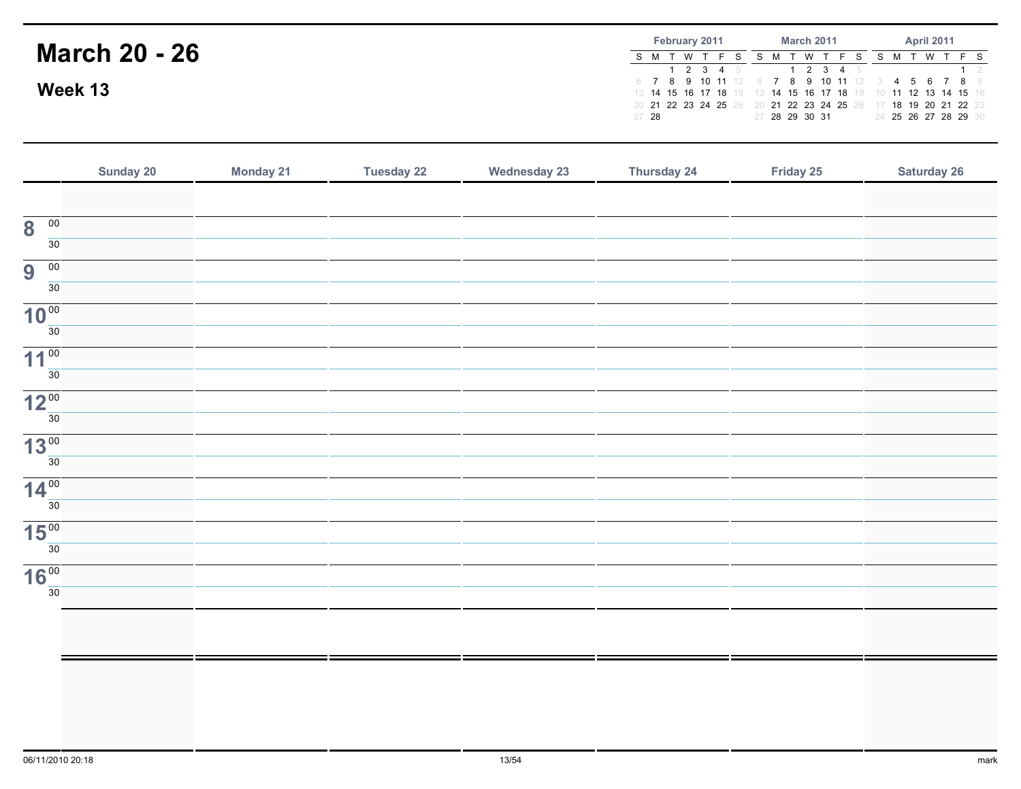|                      |       | February 2011 |  |             |                | <b>March 2011</b> |                                                                                                                                                                              | <b>April 2011</b> |  |  |                             |  |
|----------------------|-------|---------------|--|-------------|----------------|-------------------|------------------------------------------------------------------------------------------------------------------------------------------------------------------------------|-------------------|--|--|-----------------------------|--|
| <b>March 20 - 26</b> |       |               |  | $1$ 2 3 4 5 |                | W                 | 2 3 4 5                                                                                                                                                                      |                   |  |  |                             |  |
| Week 13              |       |               |  |             |                |                   | 6 7 8 9 10 11 12 6 7 8 9 10 11 12 3 4 5 6 7 8 9<br>13 <b>14 15 16 17 18</b> 19 13 <b>14 15 16 17 18</b> 19<br>20 21 22 23 24 25 26 20 21 22 23 24 25 26 17 18 19 20 21 22 23 |                   |  |  | 10 11 12 13 14 15 16        |  |
|                      | 27 28 |               |  |             | 27 28 29 30 31 |                   |                                                                                                                                                                              |                   |  |  | 24 <b>25 26 27 28 29</b> 30 |  |

|                                                  | Sunday 20 | <b>Monday 21</b> | <b>Tuesday 22</b> | <b>Wednesday 23</b> | Thursday 24 | Friday 25 | <b>Saturday 26</b> |
|--------------------------------------------------|-----------|------------------|-------------------|---------------------|-------------|-----------|--------------------|
|                                                  |           |                  |                   |                     |             |           |                    |
| $\overline{\mathbf{8}}$<br>$\overline{00}$<br>30 |           |                  |                   |                     |             |           |                    |
| $\overline{00}$<br>9<br>30 <sup>7</sup>          |           |                  |                   |                     |             |           |                    |
| 10 <sup>00</sup><br>30 <sup>2</sup>              |           |                  |                   |                     |             |           |                    |
| 11 <sup>00</sup><br>30 <sup>2</sup>              |           |                  |                   |                     |             |           |                    |
| 12 <sup>00</sup><br>30                           |           |                  |                   |                     |             |           |                    |
| 13 <sup>00</sup><br>30 <sup>7</sup>              |           |                  |                   |                     |             |           |                    |
| 14 <sup>00</sup><br>$\overline{30}$              |           |                  |                   |                     |             |           |                    |
| 15 <sup>00</sup>                                 |           |                  |                   |                     |             |           |                    |
| 30 <sup>7</sup><br>16 <sup>00</sup>              |           |                  |                   |                     |             |           |                    |
| 30 <sup>2</sup>                                  |           |                  |                   |                     |             |           |                    |
|                                                  |           |                  |                   |                     |             |           |                    |
|                                                  |           |                  |                   |                     |             |           |                    |
|                                                  |           |                  |                   |                     |             |           |                    |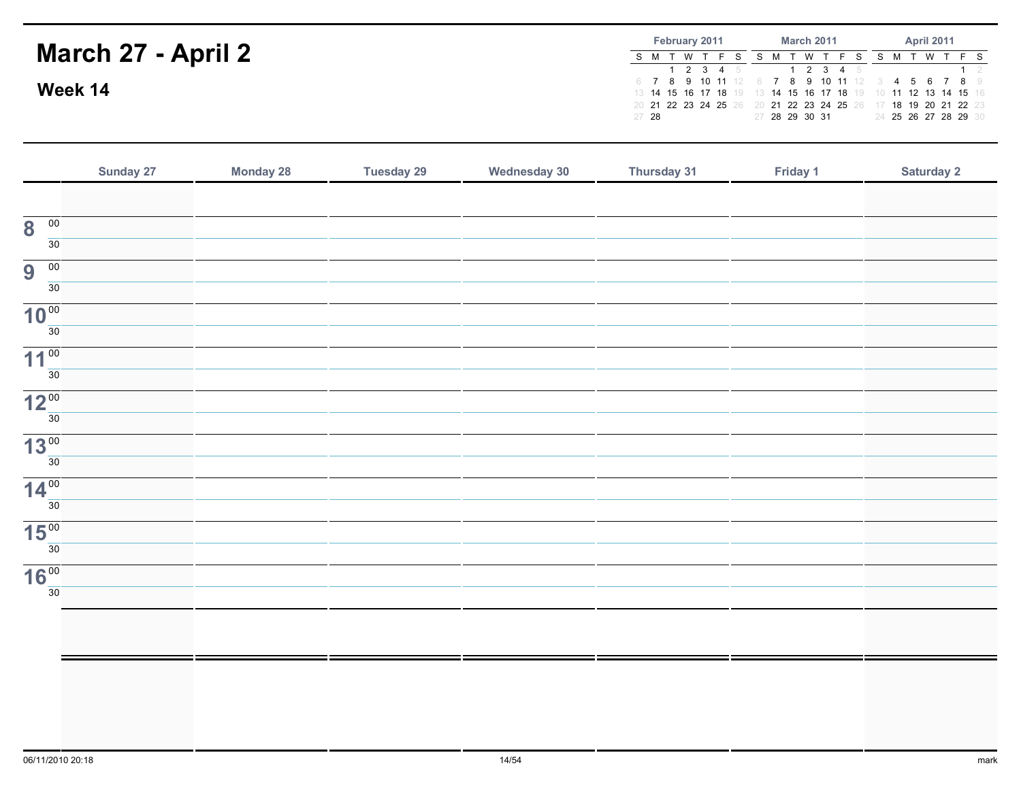#### March 27 - April 2Week 14February 2011S M T W T F S S M T W T F S S M T W T F S <sup>2</sup> <sup>3</sup> <sup>4</sup> <sup>5</sup> 6 <sup>7</sup> <sup>8</sup> <sup>9</sup> <sup>10</sup> <sup>11</sup> <sup>12</sup> 6 <sup>7</sup> <sup>8</sup> <sup>9</sup> <sup>10</sup> <sup>11</sup> <sup>12</sup> 3 <sup>14</sup> <sup>15</sup> <sup>16</sup> <sup>17</sup> <sup>18</sup> <sup>19</sup> 13 <sup>14</sup> <sup>15</sup> <sup>16</sup> <sup>17</sup> <sup>18</sup> <sup>19</sup> 10 <sup>11</sup> <sup>12</sup> <sup>13</sup> <sup>14</sup> <sup>15</sup> <sup>16</sup> <sup>21</sup> <sup>22</sup> <sup>23</sup> <sup>24</sup> <sup>25</sup> <sup>26</sup> 20 <sup>21</sup> <sup>22</sup> <sup>23</sup> <sup>24</sup> <sup>25</sup> <sup>26</sup> 17 <sup>18</sup> <sup>19</sup> <sup>20</sup> <sup>21</sup> <sup>22</sup> <sup>23</sup> <sup>28</sup> March 2011 <sup>2</sup> <sup>3</sup> <sup>4</sup> <sup>5</sup> <sup>28</sup> <sup>29</sup> <sup>30</sup> <sup>31</sup> April 2011 $1 \quad 2$ 4 5 6 7 8 9<br>**11 12 13 14 15** 16 <sup>25</sup> <sup>26</sup> <sup>27</sup> <sup>28</sup> <sup>29</sup> <sup>30</sup>

|                                     | Sunday 27 | <b>Monday 28</b> | <b>Tuesday 29</b> | <b>Wednesday 30</b> | Thursday 31 | Friday 1 | Saturday 2 |
|-------------------------------------|-----------|------------------|-------------------|---------------------|-------------|----------|------------|
|                                     |           |                  |                   |                     |             |          |            |
| $\overline{00}$<br>8                |           |                  |                   |                     |             |          |            |
| $\overline{30}$                     |           |                  |                   |                     |             |          |            |
| 00<br>9                             |           |                  |                   |                     |             |          |            |
| $\overline{30}$                     |           |                  |                   |                     |             |          |            |
| 10 <sup>00</sup><br>$\overline{30}$ |           |                  |                   |                     |             |          |            |
|                                     |           |                  |                   |                     |             |          |            |
| 11 <sup>00</sup><br>$\overline{30}$ |           |                  |                   |                     |             |          |            |
| 12 <sup>00</sup>                    |           |                  |                   |                     |             |          |            |
| $\overline{30}$                     |           |                  |                   |                     |             |          |            |
| 13 <sup>00</sup>                    |           |                  |                   |                     |             |          |            |
| $\overline{30}$                     |           |                  |                   |                     |             |          |            |
| 14 <sup>00</sup>                    |           |                  |                   |                     |             |          |            |
| $\overline{30}$                     |           |                  |                   |                     |             |          |            |
| 15 <sup>00</sup>                    |           |                  |                   |                     |             |          |            |
| 30                                  |           |                  |                   |                     |             |          |            |
| 16 <sup>00</sup>                    |           |                  |                   |                     |             |          |            |
| 30                                  |           |                  |                   |                     |             |          |            |
|                                     |           |                  |                   |                     |             |          |            |
|                                     |           |                  |                   |                     |             |          |            |
|                                     |           |                  |                   |                     |             |          |            |
|                                     |           |                  |                   |                     |             |          |            |
|                                     |           |                  |                   |                     |             |          |            |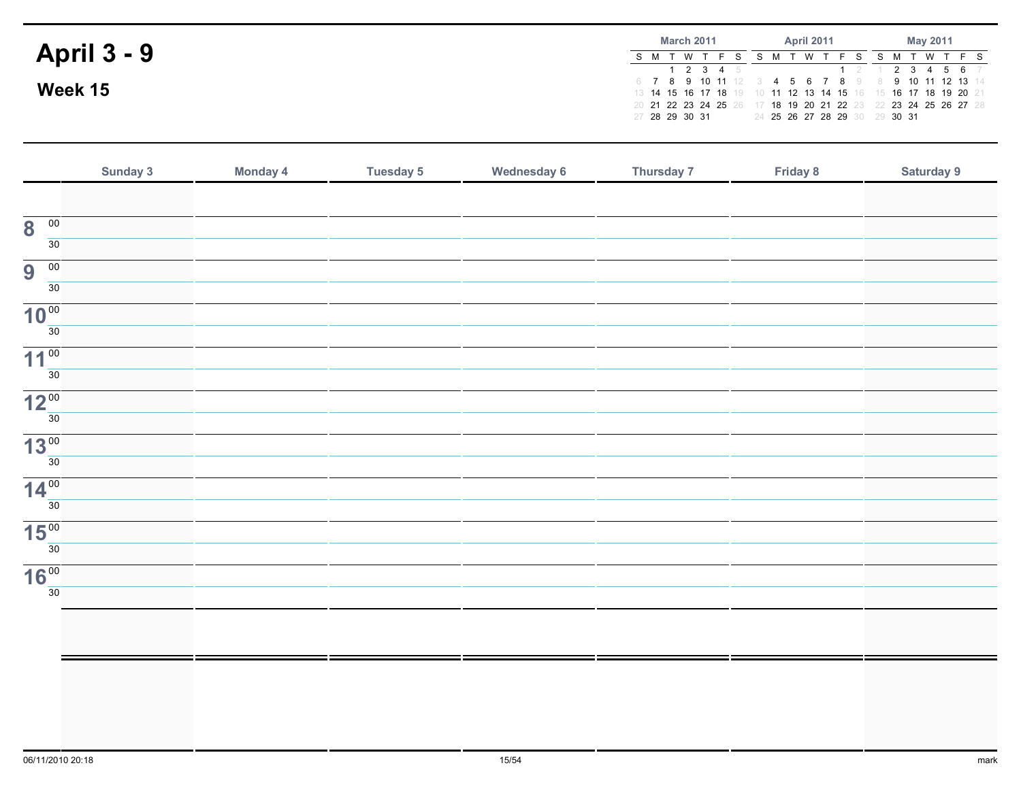|                    | <b>March 2011</b> |  |  |  |                     |  |  |   | <b>April 2011</b> |                               | May 2011 |  |  |                                                                |  |  |
|--------------------|-------------------|--|--|--|---------------------|--|--|---|-------------------|-------------------------------|----------|--|--|----------------------------------------------------------------|--|--|
| <b>April 3 - 9</b> | S M T W           |  |  |  |                     |  |  | W |                   |                               |          |  |  | S M T W T F S                                                  |  |  |
|                    |                   |  |  |  | $1 \t2 \t3 \t4 \t5$ |  |  |   |                   | $1 \t2 \t1$                   |          |  |  | $234567$<br>6 7 8 9 10 11 12 3 4 5 6 7 8 9 8 9 10 11 12 13 14  |  |  |
| Week 15            |                   |  |  |  |                     |  |  |   |                   |                               |          |  |  | 13 14 15 16 17 18 19 10 11 12 13 14 15 16 15 16 17 18 19 20 21 |  |  |
|                    |                   |  |  |  |                     |  |  |   |                   |                               |          |  |  | 20 21 22 23 24 25 26 17 18 19 20 21 22 23 22 23 24 25 26 27 28 |  |  |
|                    | 27 28 29 30 31    |  |  |  |                     |  |  |   |                   | 24 25 26 27 28 29 30 29 30 31 |          |  |  |                                                                |  |  |

|                                            | Sunday 3 | Monday 4 | <b>Tuesday 5</b> | <b>Wednesday 6</b> | Thursday 7 | Friday 8 | Saturday 9 |
|--------------------------------------------|----------|----------|------------------|--------------------|------------|----------|------------|
|                                            |          |          |                  |                    |            |          |            |
| $\overline{00}$<br>$\overline{\mathbf{8}}$ |          |          |                  |                    |            |          |            |
| $\overline{30}$                            |          |          |                  |                    |            |          |            |
| 9<br>$\overline{00}$                       |          |          |                  |                    |            |          |            |
| 30                                         |          |          |                  |                    |            |          |            |
| 10 <sup>00</sup>                           |          |          |                  |                    |            |          |            |
| $\overline{30}$                            |          |          |                  |                    |            |          |            |
| 11 <sup>00</sup>                           |          |          |                  |                    |            |          |            |
| $\overline{30}$                            |          |          |                  |                    |            |          |            |
| 12 <sup>00</sup>                           |          |          |                  |                    |            |          |            |
| 30                                         |          |          |                  |                    |            |          |            |
| 13 <sup>00</sup><br>$\overline{30}$        |          |          |                  |                    |            |          |            |
|                                            |          |          |                  |                    |            |          |            |
| 14 <sup>00</sup><br>$\overline{30}$        |          |          |                  |                    |            |          |            |
|                                            |          |          |                  |                    |            |          |            |
| 15 <sup>00</sup><br>$\overline{30}$        |          |          |                  |                    |            |          |            |
|                                            |          |          |                  |                    |            |          |            |
| 16 <sup>00</sup><br>30                     |          |          |                  |                    |            |          |            |
|                                            |          |          |                  |                    |            |          |            |
|                                            |          |          |                  |                    |            |          |            |
|                                            |          |          |                  |                    |            |          |            |
|                                            |          |          |                  |                    |            |          |            |
|                                            |          |          |                  |                    |            |          |            |
|                                            |          |          |                  |                    |            |          |            |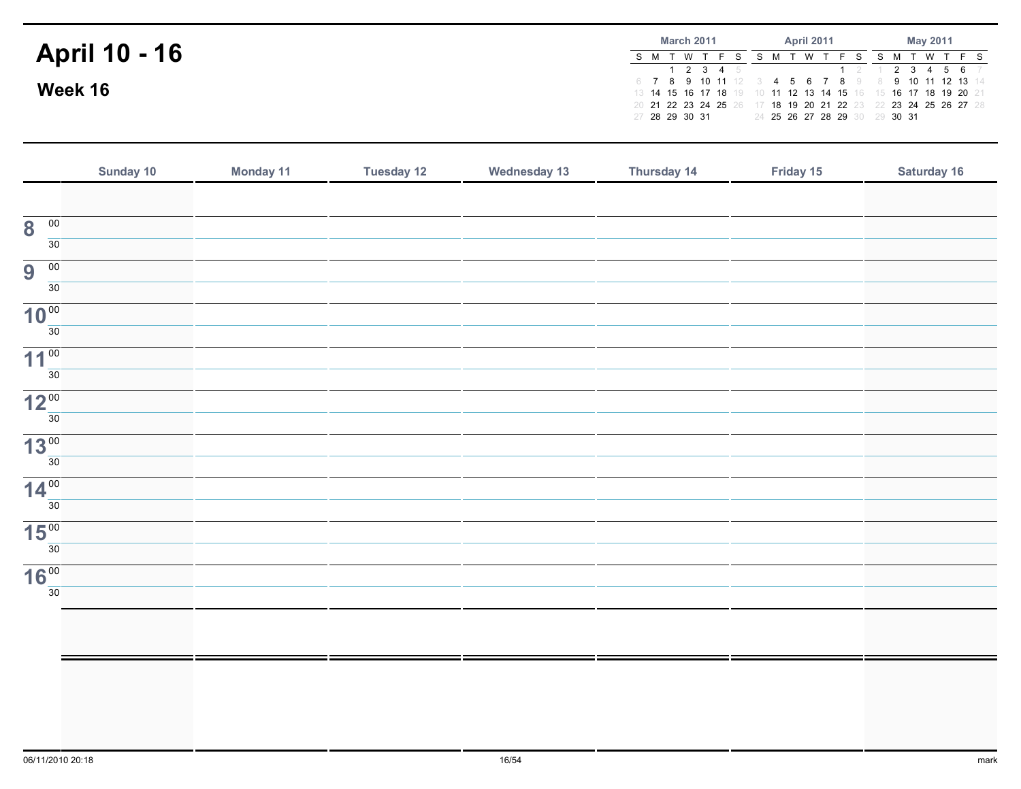|                      | <b>March 2011</b> |  |  |  |           |  |  | <b>April 2011</b> |  |                               | May 2011 |  |  |                                                                                                                     |  |
|----------------------|-------------------|--|--|--|-----------|--|--|-------------------|--|-------------------------------|----------|--|--|---------------------------------------------------------------------------------------------------------------------|--|
| <b>April 10 - 16</b> | S M T W           |  |  |  | 1 2 3 4 5 |  |  | ∵ W               |  |                               |          |  |  | S M T W T F S<br>1 2 1 2 3 4 5 6 7                                                                                  |  |
| Week 16              |                   |  |  |  |           |  |  |                   |  |                               |          |  |  | 6 7 8 9 10 11 12 3 4 5 6 7 8 9 8 9 10 11 12 13 14<br>13 14 15 16 17 18 19 10 11 12 13 14 15 16 15 16 17 18 19 20 21 |  |
|                      | 27 28 29 30 31    |  |  |  |           |  |  |                   |  | 24 25 26 27 28 29 30 29 30 31 |          |  |  | 20 21 22 23 24 25 26 17 18 19 20 21 22 23 22 23 24 25 26 27 28                                                      |  |

|                                         | Sunday 10 | Monday 11 | <b>Tuesday 12</b> | <b>Wednesday 13</b> | Thursday 14 | Friday 15 | Saturday 16 |
|-----------------------------------------|-----------|-----------|-------------------|---------------------|-------------|-----------|-------------|
|                                         |           |           |                   |                     |             |           |             |
| $\overline{00}$<br>8<br>$\overline{30}$ |           |           |                   |                     |             |           |             |
| 9<br>$\overline{00}$                    |           |           |                   |                     |             |           |             |
| $\overline{30}$                         |           |           |                   |                     |             |           |             |
| 10 <sup>00</sup><br>$\overline{30}$     |           |           |                   |                     |             |           |             |
| 11 <sup>00</sup>                        |           |           |                   |                     |             |           |             |
| 30                                      |           |           |                   |                     |             |           |             |
| 12 <sup>00</sup>                        |           |           |                   |                     |             |           |             |
| 30                                      |           |           |                   |                     |             |           |             |
| 13 <sup>00</sup><br>$\overline{30}$     |           |           |                   |                     |             |           |             |
|                                         |           |           |                   |                     |             |           |             |
| 14 <sup>00</sup><br>30                  |           |           |                   |                     |             |           |             |
|                                         |           |           |                   |                     |             |           |             |
| 15 <sup>00</sup><br>30                  |           |           |                   |                     |             |           |             |
| 16 <sup>00</sup>                        |           |           |                   |                     |             |           |             |
| 30                                      |           |           |                   |                     |             |           |             |
|                                         |           |           |                   |                     |             |           |             |
|                                         |           |           |                   |                     |             |           |             |
|                                         |           |           |                   |                     |             |           |             |
|                                         |           |           |                   |                     |             |           |             |
|                                         |           |           |                   |                     |             |           |             |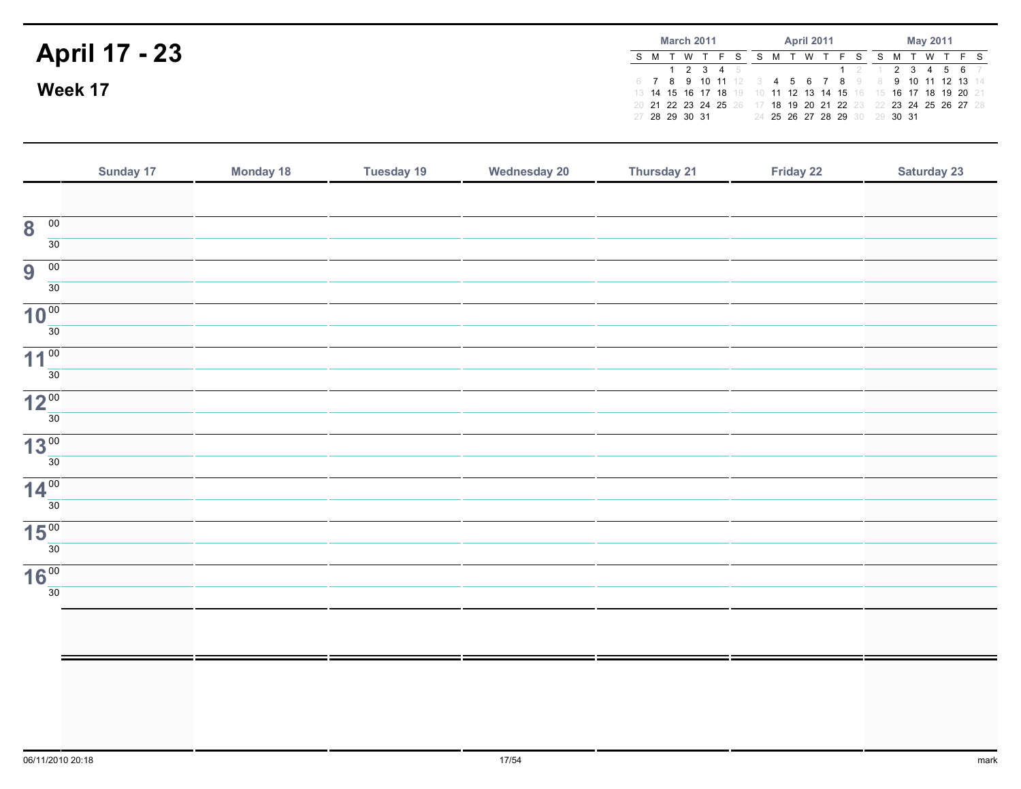|                      | <b>March 2011</b>                                                                |  |  |           |  |  |     | <b>April 2011</b> |                               | May 2011 |  |  |               |  |  |
|----------------------|----------------------------------------------------------------------------------|--|--|-----------|--|--|-----|-------------------|-------------------------------|----------|--|--|---------------|--|--|
| <b>April 17 - 23</b> | S M T W T                                                                        |  |  |           |  |  | - W |                   |                               |          |  |  | S M T W T F S |  |  |
|                      | 6 7 8 9 10 11 12 3 4 5 6 7 8 9 8 9 10 11 12 13 14                                |  |  | 1 2 3 4 5 |  |  |     |                   | $1$ 2 1 2 3 4 5 6 7           |          |  |  |               |  |  |
| Week 17              | 13 14 15 16 17 18 19 10 11 12 13 14 15 16 15 16 17 18 19 20 21                   |  |  |           |  |  |     |                   |                               |          |  |  |               |  |  |
|                      | 20 21 22 23 24 25 26 17 18 19 20 21 22 23 22 23 24 25 26 27 28<br>27 28 29 30 31 |  |  |           |  |  |     |                   | 24 25 26 27 28 29 30 29 30 31 |          |  |  |               |  |  |

|                                         | Sunday 17 | <b>Monday 18</b> | <b>Tuesday 19</b> | <b>Wednesday 20</b> | Thursday 21 | Friday 22 | <b>Saturday 23</b> |
|-----------------------------------------|-----------|------------------|-------------------|---------------------|-------------|-----------|--------------------|
|                                         |           |                  |                   |                     |             |           |                    |
| $\overline{00}$<br>8<br>$\overline{30}$ |           |                  |                   |                     |             |           |                    |
| $\overline{00}$<br>9                    |           |                  |                   |                     |             |           |                    |
| $\overline{30}$                         |           |                  |                   |                     |             |           |                    |
| 10 <sup>00</sup>                        |           |                  |                   |                     |             |           |                    |
| $\overline{30}$                         |           |                  |                   |                     |             |           |                    |
| 11 <sup>00</sup><br>$\overline{30}$     |           |                  |                   |                     |             |           |                    |
| 12 <sup>00</sup>                        |           |                  |                   |                     |             |           |                    |
| 30                                      |           |                  |                   |                     |             |           |                    |
| 13 <sup>00</sup>                        |           |                  |                   |                     |             |           |                    |
| $\overline{30}$                         |           |                  |                   |                     |             |           |                    |
| 14 <sup>00</sup><br>30                  |           |                  |                   |                     |             |           |                    |
| 15 <sup>00</sup>                        |           |                  |                   |                     |             |           |                    |
| 30                                      |           |                  |                   |                     |             |           |                    |
| 16 <sup>00</sup><br>30                  |           |                  |                   |                     |             |           |                    |
|                                         |           |                  |                   |                     |             |           |                    |
|                                         |           |                  |                   |                     |             |           |                    |
|                                         |           |                  |                   |                     |             |           |                    |
|                                         |           |                  |                   |                     |             |           |                    |
|                                         |           |                  |                   |                     |             |           |                    |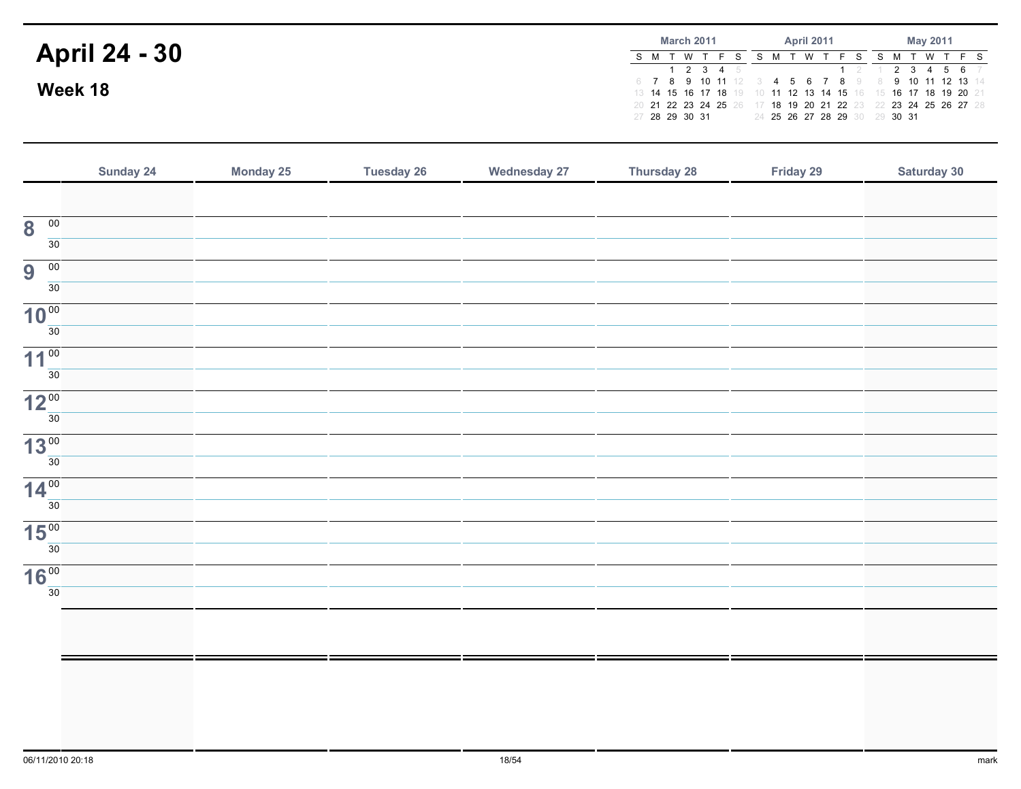|                      | <b>March 2011</b> |  |     |  |                     |  |  |   | <b>April 2011</b> |                                                                                                                     | May 2011 |  |  |             |  |  |
|----------------------|-------------------|--|-----|--|---------------------|--|--|---|-------------------|---------------------------------------------------------------------------------------------------------------------|----------|--|--|-------------|--|--|
| <b>April 24 - 30</b> |                   |  | T W |  |                     |  |  | W |                   |                                                                                                                     |          |  |  | W T F S     |  |  |
|                      |                   |  |     |  | $1 \t2 \t3 \t4 \t5$ |  |  |   |                   |                                                                                                                     |          |  |  | 2 3 4 5 6 7 |  |  |
| Week 18              |                   |  |     |  |                     |  |  |   |                   | 6 7 8 9 10 11 12 3 4 5 6 7 8 9 8 9 10 11 12 13 14<br>13 14 15 16 17 18 19 10 11 12 13 14 15 16 15 16 17 18 19 20 21 |          |  |  |             |  |  |
|                      |                   |  |     |  |                     |  |  |   |                   | 20 21 22 23 24 25 26 17 18 19 20 21 22 23 22 23 24 25 26 27 28                                                      |          |  |  |             |  |  |
|                      | 27 28 29 30 31    |  |     |  |                     |  |  |   |                   | 24 25 26 27 28 29 30 29 30 31                                                                                       |          |  |  |             |  |  |

|                                            | Sunday 24 | <b>Monday 25</b> | <b>Tuesday 26</b> | <b>Wednesday 27</b> | Thursday 28 | Friday 29 | Saturday 30 |
|--------------------------------------------|-----------|------------------|-------------------|---------------------|-------------|-----------|-------------|
|                                            |           |                  |                   |                     |             |           |             |
| $\overline{\mathbf{8}}$<br>$\overline{00}$ |           |                  |                   |                     |             |           |             |
| 30                                         |           |                  |                   |                     |             |           |             |
| $\overline{00}$<br>9                       |           |                  |                   |                     |             |           |             |
| 30 <sup>7</sup>                            |           |                  |                   |                     |             |           |             |
| 10 <sup>00</sup>                           |           |                  |                   |                     |             |           |             |
| 30                                         |           |                  |                   |                     |             |           |             |
| 11 <sup>00</sup>                           |           |                  |                   |                     |             |           |             |
| 30 <sup>2</sup>                            |           |                  |                   |                     |             |           |             |
| 12 <sup>00</sup><br>30 <sup>7</sup>        |           |                  |                   |                     |             |           |             |
|                                            |           |                  |                   |                     |             |           |             |
| 13 <sup>00</sup><br>30 <sup>1</sup>        |           |                  |                   |                     |             |           |             |
|                                            |           |                  |                   |                     |             |           |             |
| 14 <sup>00</sup><br>30                     |           |                  |                   |                     |             |           |             |
|                                            |           |                  |                   |                     |             |           |             |
| 15 <sup>00</sup><br>30 <sup>7</sup>        |           |                  |                   |                     |             |           |             |
| 16 <sup>00</sup>                           |           |                  |                   |                     |             |           |             |
| 30 <sup>7</sup>                            |           |                  |                   |                     |             |           |             |
|                                            |           |                  |                   |                     |             |           |             |
|                                            |           |                  |                   |                     |             |           |             |
|                                            |           |                  |                   |                     |             |           |             |
|                                            |           |                  |                   |                     |             |           |             |
|                                            |           |                  |                   |                     |             |           |             |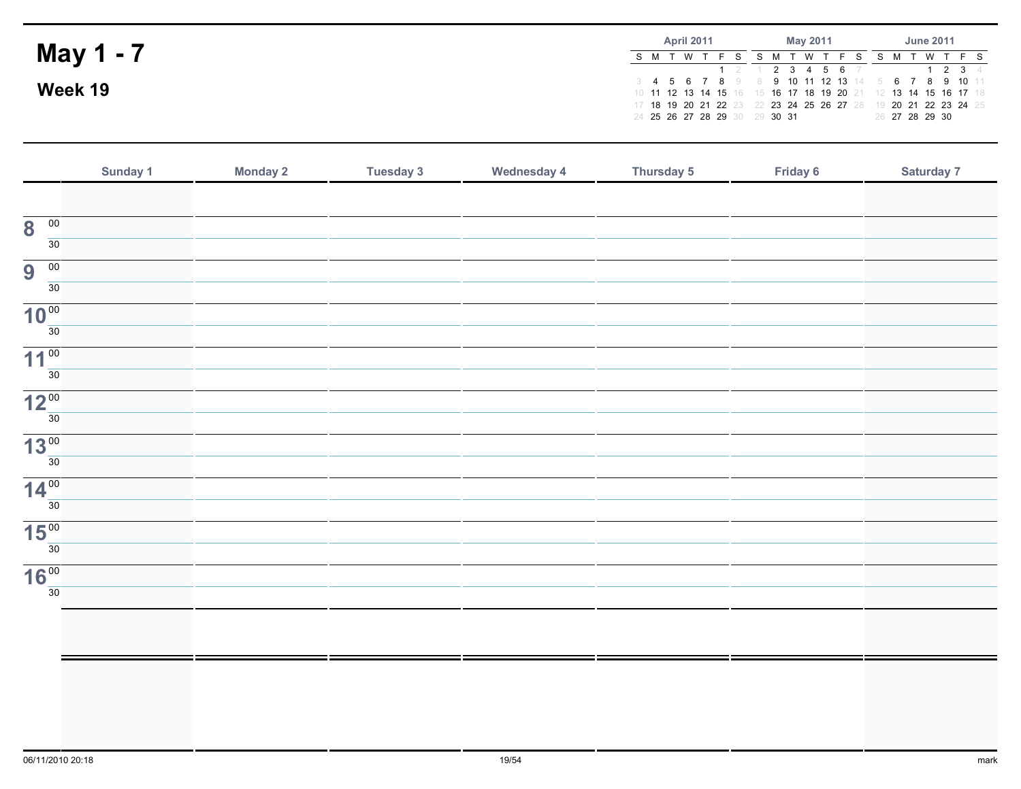|           | <b>April 2011</b>             | May 2011                                                                                                                                                                             | <b>June 2011</b> |  |  |  |  |
|-----------|-------------------------------|--------------------------------------------------------------------------------------------------------------------------------------------------------------------------------------|------------------|--|--|--|--|
| May 1 - 7 | S M T W T F S                 | S M T W T F S S M T W T F S<br>1 2 1 2 3 4 5 6 7                                                                                                                                     | $1 \t2 \t3 \t4$  |  |  |  |  |
| Week 19   | 24 25 26 27 28 29 30 29 30 31 | 3 4 5 6 7 8 9 8 9 10 11 12 13 14 5 6 7 8 9 10 11<br>10 11 12 13 14 15 16 15 16 17 18 19 20 21 12 13 14 15 16 17 18<br>17 18 19 20 21 22 23 22 23 24 25 26 27 28 19 20 21 22 23 24 25 | 26 27 28 29 30   |  |  |  |  |

|                                            | Sunday 1 | <b>Monday 2</b> | <b>Tuesday 3</b> | <b>Wednesday 4</b> | Thursday 5 | Friday 6 | Saturday 7 |
|--------------------------------------------|----------|-----------------|------------------|--------------------|------------|----------|------------|
|                                            |          |                 |                  |                    |            |          |            |
| $\overline{00}$<br>$\overline{\mathbf{8}}$ |          |                 |                  |                    |            |          |            |
| 30                                         |          |                 |                  |                    |            |          |            |
| 9<br>$\overline{00}$                       |          |                 |                  |                    |            |          |            |
| 30                                         |          |                 |                  |                    |            |          |            |
| 10 <sup>00</sup>                           |          |                 |                  |                    |            |          |            |
| 30                                         |          |                 |                  |                    |            |          |            |
| 11 <sup>00</sup><br>30                     |          |                 |                  |                    |            |          |            |
|                                            |          |                 |                  |                    |            |          |            |
| 12 <sup>00</sup><br>30                     |          |                 |                  |                    |            |          |            |
| 13 <sup>00</sup>                           |          |                 |                  |                    |            |          |            |
| 30                                         |          |                 |                  |                    |            |          |            |
| 14 <sup>00</sup>                           |          |                 |                  |                    |            |          |            |
| 30                                         |          |                 |                  |                    |            |          |            |
| 15 <sup>00</sup>                           |          |                 |                  |                    |            |          |            |
| 30                                         |          |                 |                  |                    |            |          |            |
| 16 <sup>00</sup>                           |          |                 |                  |                    |            |          |            |
| 30                                         |          |                 |                  |                    |            |          |            |
|                                            |          |                 |                  |                    |            |          |            |
|                                            |          |                 |                  |                    |            |          |            |
|                                            |          |                 |                  |                    |            |          |            |
|                                            |          |                 |                  |                    |            |          |            |
|                                            |          |                 |                  |                    |            |          |            |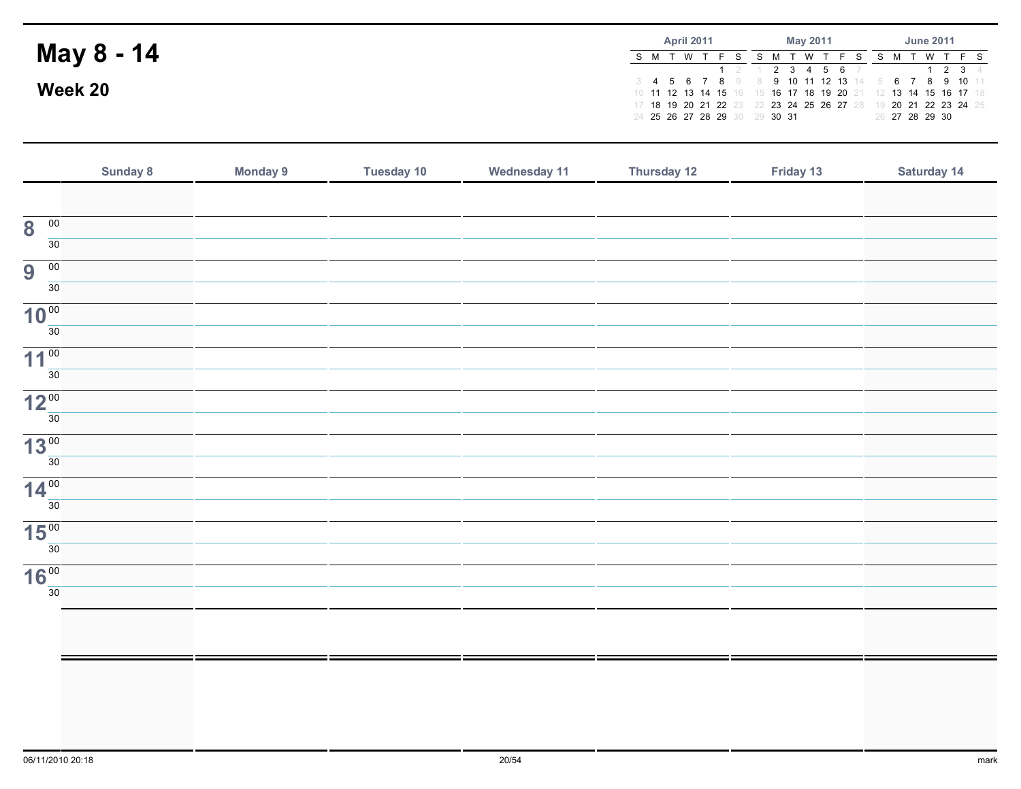|            |                               | <b>April 2011</b> |  |  |  | Mav 2011 |                   |  | <b>June 2011</b> |                                                                |
|------------|-------------------------------|-------------------|--|--|--|----------|-------------------|--|------------------|----------------------------------------------------------------|
| May 8 - 14 | S M T W T F S                 |                   |  |  |  |          |                   |  |                  | S M T W T F S S M T W T F S                                    |
|            |                               |                   |  |  |  |          | 1 2 1 2 3 4 5 6 7 |  |                  | 1234                                                           |
|            |                               |                   |  |  |  |          |                   |  |                  | 3 4 5 6 7 8 9 8 9 10 11 12 13 14 5 6 7 8 9 10 11               |
| Week 20    |                               |                   |  |  |  |          |                   |  |                  | 10 11 12 13 14 15 16 15 16 17 18 19 20 21 12 13 14 15 16 17 18 |
|            |                               |                   |  |  |  |          |                   |  |                  | 17 18 19 20 21 22 23 22 23 24 25 26 27 28 19 20 21 22 23 24 25 |
|            | 24 25 26 27 28 29 30 29 30 31 |                   |  |  |  |          |                   |  | 26 27 28 29 30   |                                                                |

|                                            | Sunday 8 | <b>Monday 9</b> | <b>Tuesday 10</b> | Wednesday 11 | Thursday 12 | Friday 13 | Saturday 14 |
|--------------------------------------------|----------|-----------------|-------------------|--------------|-------------|-----------|-------------|
|                                            |          |                 |                   |              |             |           |             |
| $\overline{\mathbf{8}}$<br>$\overline{00}$ |          |                 |                   |              |             |           |             |
| 30                                         |          |                 |                   |              |             |           |             |
| 9<br>$\overline{00}$                       |          |                 |                   |              |             |           |             |
| 30                                         |          |                 |                   |              |             |           |             |
| 10 <sup>00</sup>                           |          |                 |                   |              |             |           |             |
| 30                                         |          |                 |                   |              |             |           |             |
| 11 <sup>00</sup><br>30 <sup>°</sup>        |          |                 |                   |              |             |           |             |
| 12 <sup>00</sup>                           |          |                 |                   |              |             |           |             |
| 30                                         |          |                 |                   |              |             |           |             |
| 13 <sup>00</sup>                           |          |                 |                   |              |             |           |             |
| 30 <sup>°</sup>                            |          |                 |                   |              |             |           |             |
| 14 <sup>00</sup>                           |          |                 |                   |              |             |           |             |
| 30                                         |          |                 |                   |              |             |           |             |
| 15 <sup>00</sup><br>30                     |          |                 |                   |              |             |           |             |
|                                            |          |                 |                   |              |             |           |             |
| 16 <sup>00</sup><br>30                     |          |                 |                   |              |             |           |             |
|                                            |          |                 |                   |              |             |           |             |
|                                            |          |                 |                   |              |             |           |             |
|                                            |          |                 |                   |              |             |           |             |
|                                            |          |                 |                   |              |             |           |             |
|                                            |          |                 |                   |              |             |           |             |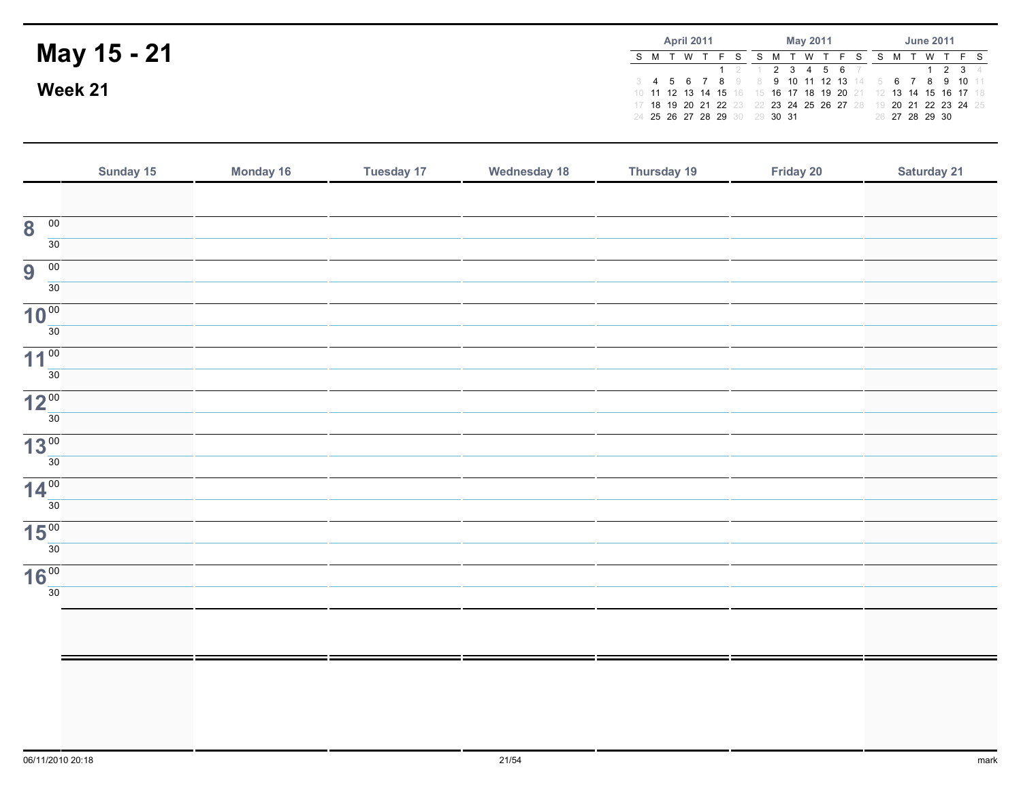|             |                               | <b>April 2011</b> |  |  | May 2011 |                   |  | <b>June 2011</b> |                                                                |
|-------------|-------------------------------|-------------------|--|--|----------|-------------------|--|------------------|----------------------------------------------------------------|
| May 15 - 21 |                               |                   |  |  | - W      |                   |  |                  | W T F S                                                        |
|             |                               |                   |  |  |          | 1 2 1 2 3 4 5 6 7 |  |                  | $1 \t2 \t3 \t4$                                                |
|             |                               |                   |  |  |          |                   |  |                  | 3 4 5 6 7 8 9 8 9 10 11 12 13 14 5 6 7 8 9 10 11               |
| Week 21     |                               |                   |  |  |          |                   |  |                  | 10 11 12 13 14 15 16 15 16 17 18 19 20 21 12 13 14 15 16 17 18 |
|             |                               |                   |  |  |          |                   |  |                  | 17 18 19 20 21 22 23 22 23 24 25 26 27 28 19 20 21 22 23 24 25 |
|             | 24 25 26 27 28 29 30 29 30 31 |                   |  |  |          |                   |  | 26 27 28 29 30   |                                                                |

|                                            | Sunday 15 | Monday 16 | <b>Tuesday 17</b> | <b>Wednesday 18</b> | Thursday 19 | Friday 20 | Saturday 21 |
|--------------------------------------------|-----------|-----------|-------------------|---------------------|-------------|-----------|-------------|
|                                            |           |           |                   |                     |             |           |             |
| $\overline{00}$<br>$\overline{\mathbf{8}}$ |           |           |                   |                     |             |           |             |
| $\overline{30}$                            |           |           |                   |                     |             |           |             |
| $\overline{00}$<br>9                       |           |           |                   |                     |             |           |             |
| $\overline{30}$                            |           |           |                   |                     |             |           |             |
| 10 <sup>00</sup><br>30                     |           |           |                   |                     |             |           |             |
| 11 <sup>00</sup>                           |           |           |                   |                     |             |           |             |
| 30                                         |           |           |                   |                     |             |           |             |
| 12 <sup>00</sup>                           |           |           |                   |                     |             |           |             |
| 30                                         |           |           |                   |                     |             |           |             |
| 13 <sup>00</sup>                           |           |           |                   |                     |             |           |             |
| $\overline{30}$                            |           |           |                   |                     |             |           |             |
| 14 <sup>00</sup>                           |           |           |                   |                     |             |           |             |
| $\overline{30}$                            |           |           |                   |                     |             |           |             |
| 15 <sup>00</sup><br>30                     |           |           |                   |                     |             |           |             |
|                                            |           |           |                   |                     |             |           |             |
| 16 <sup>00</sup><br>$\overline{30}$        |           |           |                   |                     |             |           |             |
|                                            |           |           |                   |                     |             |           |             |
|                                            |           |           |                   |                     |             |           |             |
|                                            |           |           |                   |                     |             |           |             |
|                                            |           |           |                   |                     |             |           |             |
|                                            |           |           |                   |                     |             |           |             |
|                                            |           |           |                   |                     |             |           |             |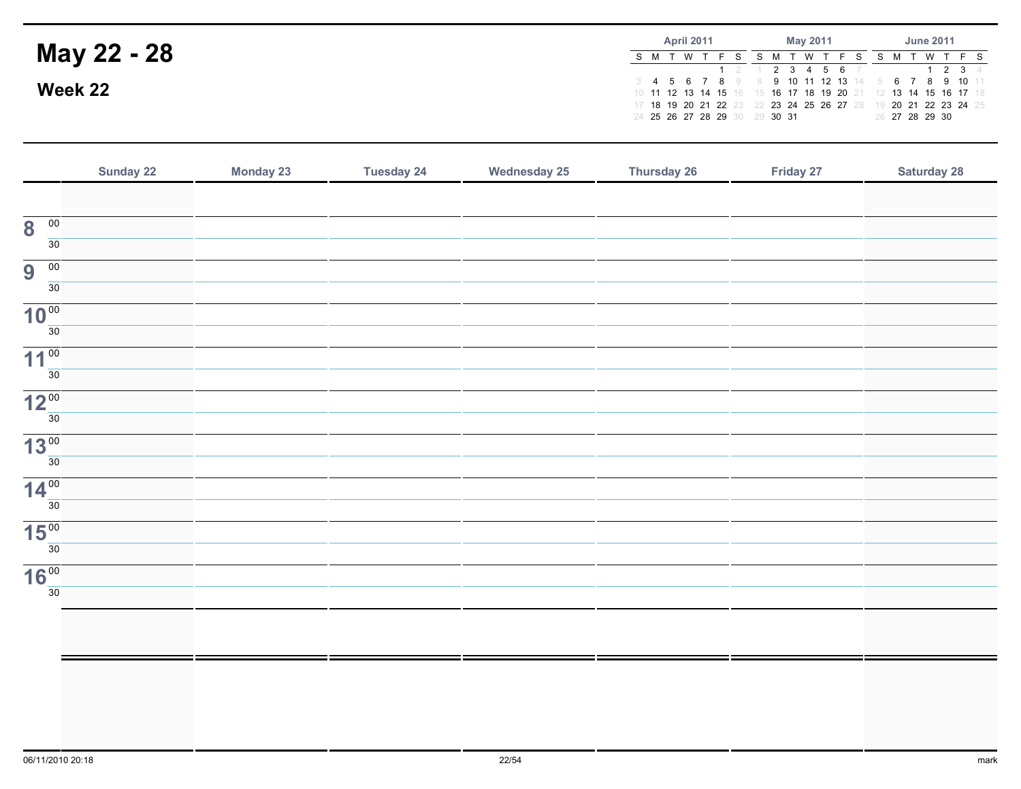|             |                                                  | <b>April 2011</b> |          |  | Mav 2011 |  |  |  |                   |      | <b>June 2011</b> |  |                |                                                                |
|-------------|--------------------------------------------------|-------------------|----------|--|----------|--|--|--|-------------------|------|------------------|--|----------------|----------------------------------------------------------------|
| May 22 - 28 |                                                  |                   | <b>W</b> |  | S M T    |  |  |  | 'W T F S          | SM T |                  |  |                | W T F S                                                        |
|             |                                                  |                   |          |  |          |  |  |  | 1 2 1 2 3 4 5 6 7 |      |                  |  |                | 1234                                                           |
| Week 22     | 3 4 5 6 7 8 9 8 9 10 11 12 13 14 5 6 7 8 9 10 11 |                   |          |  |          |  |  |  |                   |      |                  |  |                |                                                                |
|             |                                                  |                   |          |  |          |  |  |  |                   |      |                  |  |                | 10 11 12 13 14 15 16 15 16 17 18 19 20 21 12 13 14 15 16 17 18 |
|             |                                                  |                   |          |  |          |  |  |  |                   |      |                  |  |                | 17 18 19 20 21 22 23 22 23 24 25 26 27 28 19 20 21 22 23 24 25 |
|             | 24 25 26 27 28 29 30 29 30 31                    |                   |          |  |          |  |  |  |                   |      |                  |  | 26 27 28 29 30 |                                                                |

|                                            | Sunday 22 | <b>Monday 23</b> | <b>Tuesday 24</b> | <b>Wednesday 25</b> | <b>Thursday 26</b> | Friday 27 | <b>Saturday 28</b> |
|--------------------------------------------|-----------|------------------|-------------------|---------------------|--------------------|-----------|--------------------|
|                                            |           |                  |                   |                     |                    |           |                    |
| $\overline{\mathbf{8}}$<br>$\overline{00}$ |           |                  |                   |                     |                    |           |                    |
| $\overline{30}$                            |           |                  |                   |                     |                    |           |                    |
| $\overline{9}$<br>00                       |           |                  |                   |                     |                    |           |                    |
| $\overline{30}$                            |           |                  |                   |                     |                    |           |                    |
| 10 <sup>00</sup><br>30                     |           |                  |                   |                     |                    |           |                    |
| 11 <sup>00</sup>                           |           |                  |                   |                     |                    |           |                    |
| $\overline{30}$                            |           |                  |                   |                     |                    |           |                    |
| 12 <sup>00</sup>                           |           |                  |                   |                     |                    |           |                    |
| 30                                         |           |                  |                   |                     |                    |           |                    |
| 13 <sup>00</sup>                           |           |                  |                   |                     |                    |           |                    |
| $\overline{30}$                            |           |                  |                   |                     |                    |           |                    |
| 14 <sup>00</sup><br>$\overline{30}$        |           |                  |                   |                     |                    |           |                    |
| 15 <sup>00</sup>                           |           |                  |                   |                     |                    |           |                    |
| 30                                         |           |                  |                   |                     |                    |           |                    |
| 16 <sup>00</sup>                           |           |                  |                   |                     |                    |           |                    |
| $\overline{30}$                            |           |                  |                   |                     |                    |           |                    |
|                                            |           |                  |                   |                     |                    |           |                    |
|                                            |           |                  |                   |                     |                    |           |                    |
|                                            |           |                  |                   |                     |                    |           |                    |
|                                            |           |                  |                   |                     |                    |           |                    |
|                                            |           |                  |                   |                     |                    |           |                    |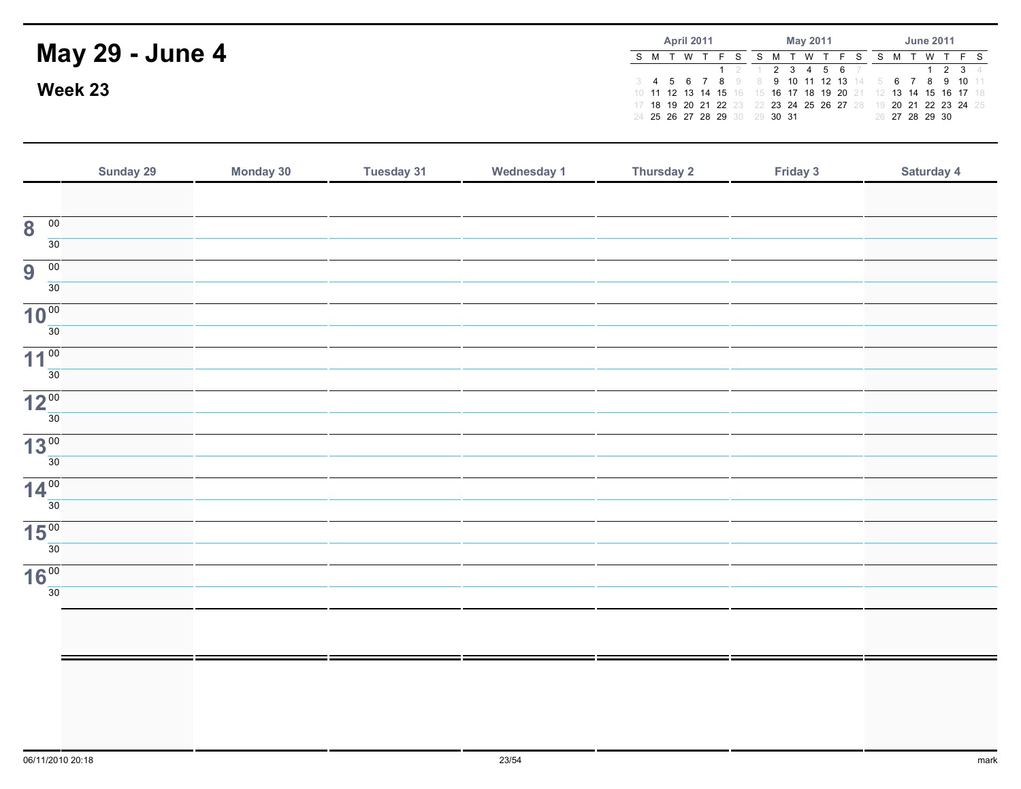|                        |                               |  | <b>April 2011</b> |  |         | May 2011 |  |  |  |  |  | <b>June 2011</b> |                |                                                                                                                                  |  |
|------------------------|-------------------------------|--|-------------------|--|---------|----------|--|--|--|--|--|------------------|----------------|----------------------------------------------------------------------------------------------------------------------------------|--|
| <b>May 29 - June 4</b> |                               |  |                   |  | S M T W |          |  |  |  |  |  |                  |                | T F S S M T W T F S                                                                                                              |  |
|                        |                               |  |                   |  |         |          |  |  |  |  |  |                  |                | 1 2 1 2 3 4 5 6 7 1 2 3 4<br>3 4 5 6 7 8 9 8 9 10 11 12 13 14 5 6 7 8 9 10 11                                                    |  |
| Week 23                |                               |  |                   |  |         |          |  |  |  |  |  |                  |                | 10 11 12 13 14 15 16 15 16 17 18 19 20 21 12 13 14 15 16 17 18<br>17 18 19 20 21 22 23 22 23 24 25 26 27 28 19 20 21 22 23 24 25 |  |
|                        | 24 25 26 27 28 29 30 29 30 31 |  |                   |  |         |          |  |  |  |  |  |                  | 26 27 28 29 30 |                                                                                                                                  |  |

|                                            | Sunday 29 | Monday 30 | <b>Tuesday 31</b> | <b>Wednesday 1</b> | <b>Thursday 2</b> | Friday 3 | Saturday 4 |
|--------------------------------------------|-----------|-----------|-------------------|--------------------|-------------------|----------|------------|
|                                            |           |           |                   |                    |                   |          |            |
| $\overline{00}$<br>$\overline{\mathbf{8}}$ |           |           |                   |                    |                   |          |            |
| 30                                         |           |           |                   |                    |                   |          |            |
| $\overline{9}$<br>$\overline{00}$          |           |           |                   |                    |                   |          |            |
| 30                                         |           |           |                   |                    |                   |          |            |
| 10 <sup>00</sup><br>30                     |           |           |                   |                    |                   |          |            |
|                                            |           |           |                   |                    |                   |          |            |
| 11 <sup>00</sup><br>30                     |           |           |                   |                    |                   |          |            |
| 12 <sup>00</sup>                           |           |           |                   |                    |                   |          |            |
| 30                                         |           |           |                   |                    |                   |          |            |
| 13 <sup>00</sup>                           |           |           |                   |                    |                   |          |            |
| 30                                         |           |           |                   |                    |                   |          |            |
| $14^{00}$                                  |           |           |                   |                    |                   |          |            |
| 30                                         |           |           |                   |                    |                   |          |            |
| 15 <sup>00</sup><br>30                     |           |           |                   |                    |                   |          |            |
| 16 <sup>00</sup>                           |           |           |                   |                    |                   |          |            |
| 30                                         |           |           |                   |                    |                   |          |            |
|                                            |           |           |                   |                    |                   |          |            |
|                                            |           |           |                   |                    |                   |          |            |
|                                            |           |           |                   |                    |                   |          |            |
|                                            |           |           |                   |                    |                   |          |            |
|                                            |           |           |                   |                    |                   |          |            |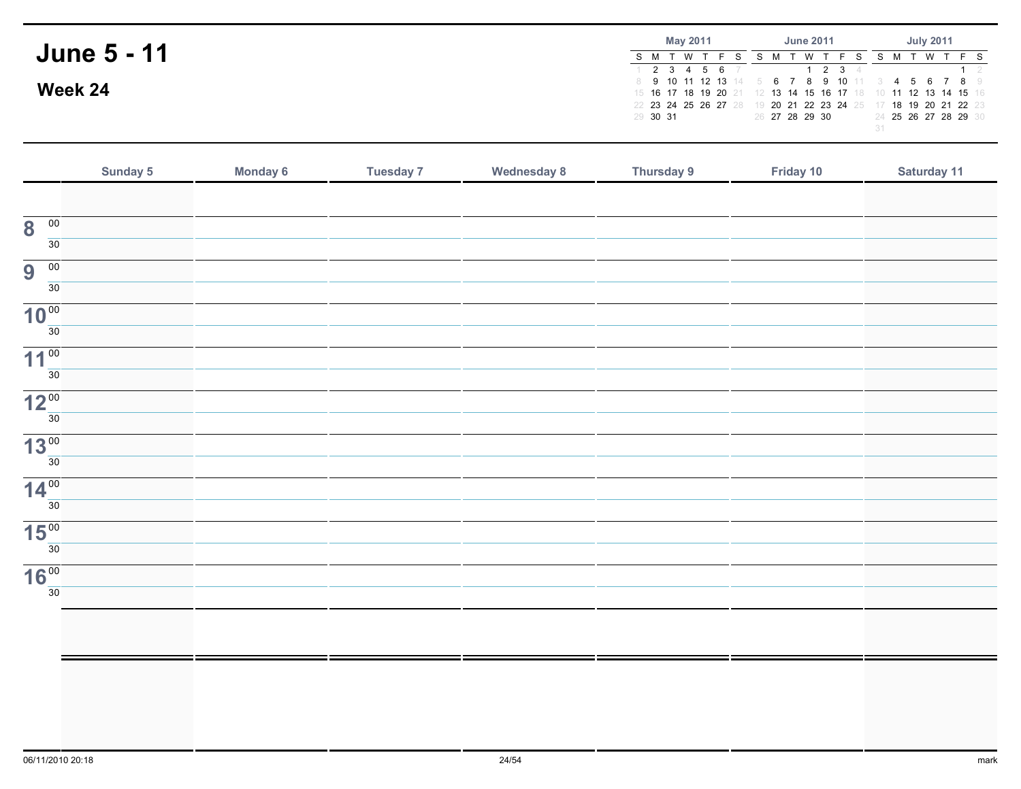| <b>June 5 - 11</b> |          |                                                                                                                                                    | <b>May 2011</b> |  |  |  |                | <b>June 2011</b> |  |                      |  | <b>July 2011</b> |                                           |  |
|--------------------|----------|----------------------------------------------------------------------------------------------------------------------------------------------------|-----------------|--|--|--|----------------|------------------|--|----------------------|--|------------------|-------------------------------------------|--|
|                    | S M T    |                                                                                                                                                    | <b>W</b>        |  |  |  |                | W                |  |                      |  | <b>W</b>         | F S                                       |  |
| Week 24            |          | $1$ 2 3 4 5 6 7<br>6 7 8 9 10 11<br>8 9 10 11 12 13 14 5<br>13 14 15 16 17 18 10 11 12 13 14 15 16<br>15 16 17 18 19 20 21<br>22 23 24 25 26 27 28 |                 |  |  |  |                |                  |  | 5 6 7 8 9            |  |                  |                                           |  |
|                    | 29 30 31 |                                                                                                                                                    |                 |  |  |  | 26 27 28 29 30 |                  |  | 20 21 22 23 24 25 17 |  |                  | 18 19 20 21 22 23<br>24 25 26 27 28 29 30 |  |

|                                            | Sunday 5 | Monday 6 | <b>Tuesday 7</b> | <b>Wednesday 8</b> | <b>Thursday 9</b> | Friday 10 | Saturday 11 |
|--------------------------------------------|----------|----------|------------------|--------------------|-------------------|-----------|-------------|
|                                            |          |          |                  |                    |                   |           |             |
| $\overline{\mathbf{8}}$<br>$\overline{00}$ |          |          |                  |                    |                   |           |             |
| $\overline{30}$                            |          |          |                  |                    |                   |           |             |
| 9<br>$\overline{00}$                       |          |          |                  |                    |                   |           |             |
| $\overline{30}$                            |          |          |                  |                    |                   |           |             |
| 10 <sup>00</sup>                           |          |          |                  |                    |                   |           |             |
| $\overline{30}$                            |          |          |                  |                    |                   |           |             |
| 11 <sup>00</sup>                           |          |          |                  |                    |                   |           |             |
| $\overline{30}$                            |          |          |                  |                    |                   |           |             |
| 12 <sup>00</sup>                           |          |          |                  |                    |                   |           |             |
| $\overline{30}$                            |          |          |                  |                    |                   |           |             |
| 13 <sup>00</sup>                           |          |          |                  |                    |                   |           |             |
| $\overline{30}$                            |          |          |                  |                    |                   |           |             |
| 14 <sup>00</sup>                           |          |          |                  |                    |                   |           |             |
| 30                                         |          |          |                  |                    |                   |           |             |
| 15 <sup>00</sup>                           |          |          |                  |                    |                   |           |             |
| $\overline{30}$                            |          |          |                  |                    |                   |           |             |
| 16 <sup>00</sup>                           |          |          |                  |                    |                   |           |             |
| $\overline{30}$                            |          |          |                  |                    |                   |           |             |
|                                            |          |          |                  |                    |                   |           |             |
|                                            |          |          |                  |                    |                   |           |             |
|                                            |          |          |                  |                    |                   |           |             |
|                                            |          |          |                  |                    |                   |           |             |
|                                            |          |          |                  |                    |                   |           |             |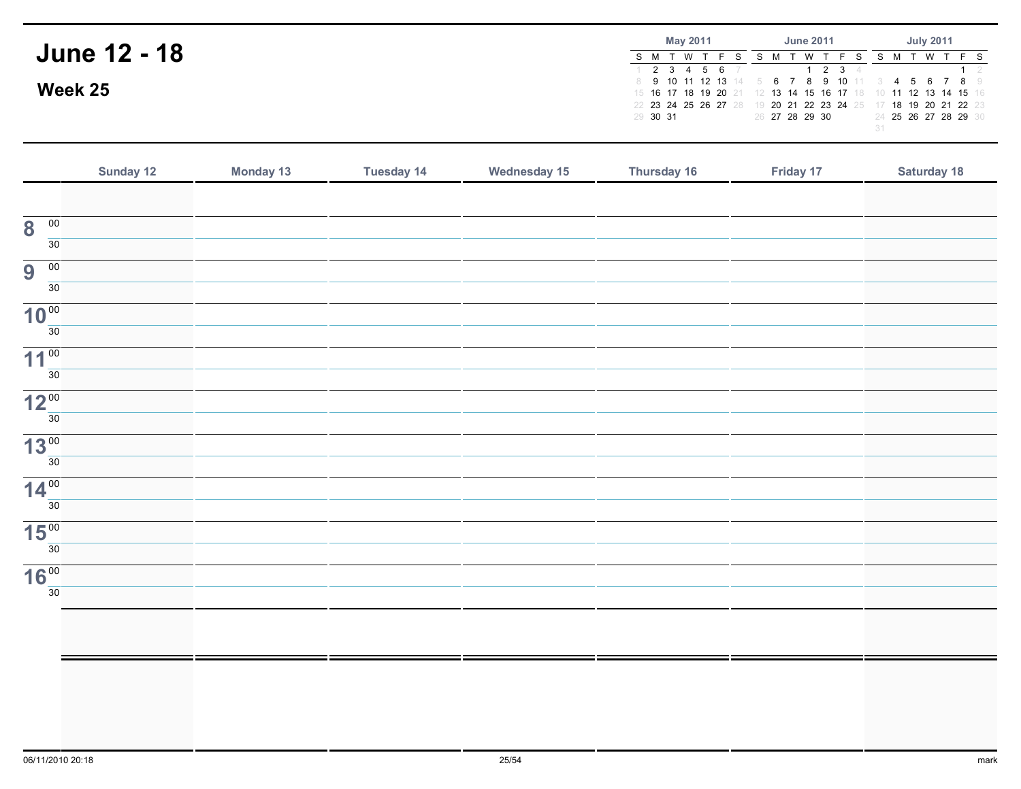|                     | <b>May 2011</b>                                                                                                                                                  |                     | <b>July 2011</b>     |  |  |  |
|---------------------|------------------------------------------------------------------------------------------------------------------------------------------------------------------|---------------------|----------------------|--|--|--|
| <b>June 12 - 18</b> | <b>W</b><br>$1$ 2 3 4 5 6 7                                                                                                                                      | $2 \quad 3 \quad 4$ | - W                  |  |  |  |
| Week 25             | 6 7 8 9 10 11<br>8 9 10 11 12 13 14 5<br>13 14 15 16 17 18 10 11 12 13 14 15 16<br>15 16 17 18 19 20 21<br>-12<br>1 20 21 22 23 24 25 17<br>22 23 24 25 26 27 28 |                     |                      |  |  |  |
|                     | 29 30 31                                                                                                                                                         | 26 27 28 29 30      | 24 25 26 27 28 29 30 |  |  |  |

|                                            | Sunday 12 | Monday 13 | <b>Tuesday 14</b> | <b>Wednesday 15</b> | Thursday 16 | Friday 17 | <b>Saturday 18</b> |
|--------------------------------------------|-----------|-----------|-------------------|---------------------|-------------|-----------|--------------------|
|                                            |           |           |                   |                     |             |           |                    |
| $\overline{00}$<br>$\overline{\mathbf{8}}$ |           |           |                   |                     |             |           |                    |
| 30                                         |           |           |                   |                     |             |           |                    |
| 9<br>$\overline{00}$                       |           |           |                   |                     |             |           |                    |
| $\overline{30}$                            |           |           |                   |                     |             |           |                    |
| 10 <sup>00</sup>                           |           |           |                   |                     |             |           |                    |
| 30                                         |           |           |                   |                     |             |           |                    |
| 11 <sup>00</sup>                           |           |           |                   |                     |             |           |                    |
| $\overline{30}$                            |           |           |                   |                     |             |           |                    |
| 12 <sup>00</sup>                           |           |           |                   |                     |             |           |                    |
| 30                                         |           |           |                   |                     |             |           |                    |
| 13 <sup>00</sup><br>30                     |           |           |                   |                     |             |           |                    |
|                                            |           |           |                   |                     |             |           |                    |
| 14 <sup>00</sup><br>30                     |           |           |                   |                     |             |           |                    |
|                                            |           |           |                   |                     |             |           |                    |
| 15 <sup>00</sup><br>30                     |           |           |                   |                     |             |           |                    |
| 16 <sup>00</sup>                           |           |           |                   |                     |             |           |                    |
| 30                                         |           |           |                   |                     |             |           |                    |
|                                            |           |           |                   |                     |             |           |                    |
|                                            |           |           |                   |                     |             |           |                    |
|                                            |           |           |                   |                     |             |           |                    |
|                                            |           |           |                   |                     |             |           |                    |
|                                            |           |           |                   |                     |             |           |                    |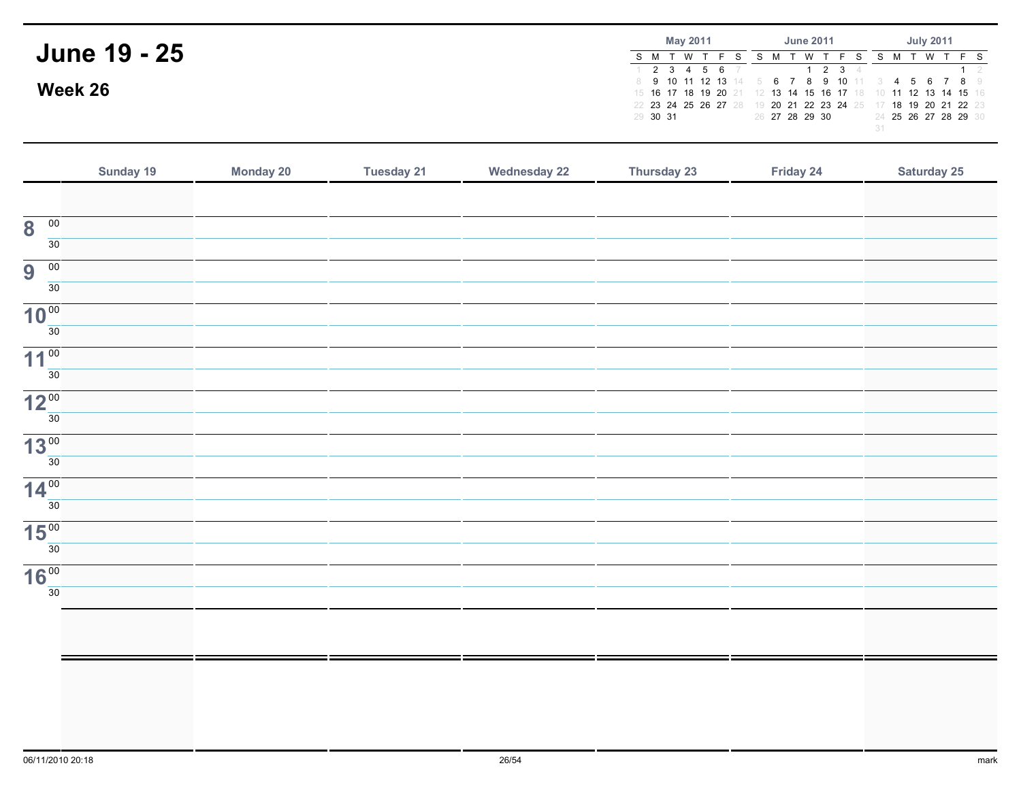|                     | May 2011                                     | <b>June 2011</b>                                                                              | <b>July 2011</b>                          |
|---------------------|----------------------------------------------|-----------------------------------------------------------------------------------------------|-------------------------------------------|
| <b>June 19 - 25</b> | S M T W<br>2 3 4 5 6 7                       | $2 \quad 3 \quad 4$                                                                           | T W                                       |
| Week 26             | 15 16 17 18 19 20 21<br>22 23 24 25 26 27 28 | 8 9 10 11 12 13 14 5 6 7 8 9 10 11 3 4 5 6 7 8 9<br>19 20 21 22 23 24 25 17 18 19 20 21 22 23 | 12 13 14 15 16 17 18 10 11 12 13 14 15 16 |
|                     | 29 30 31                                     | 26 27 28 29 30                                                                                | 24 25 26 27 28 29 30                      |

|                                                  | Sunday 19 | Monday 20 | <b>Tuesday 21</b> | <b>Wednesday 22</b> | Thursday 23 | Friday 24 | <b>Saturday 25</b> |
|--------------------------------------------------|-----------|-----------|-------------------|---------------------|-------------|-----------|--------------------|
|                                                  |           |           |                   |                     |             |           |                    |
| $\overline{\mathbf{8}}$<br>$\overline{00}$<br>30 |           |           |                   |                     |             |           |                    |
| 9<br>$\overline{00}$<br>30                       |           |           |                   |                     |             |           |                    |
| 10 <sup>00</sup><br>30                           |           |           |                   |                     |             |           |                    |
| 11 <sup>00</sup><br>30                           |           |           |                   |                     |             |           |                    |
| 12 <sup>00</sup>                                 |           |           |                   |                     |             |           |                    |
| 30<br>13 <sup>00</sup>                           |           |           |                   |                     |             |           |                    |
| 30<br>14 <sup>00</sup>                           |           |           |                   |                     |             |           |                    |
| $\overline{30}$<br>15 <sup>00</sup>              |           |           |                   |                     |             |           |                    |
| 30<br>16 <sup>00</sup>                           |           |           |                   |                     |             |           |                    |
| $\overline{30}$                                  |           |           |                   |                     |             |           |                    |
|                                                  |           |           |                   |                     |             |           |                    |
|                                                  |           |           |                   |                     |             |           |                    |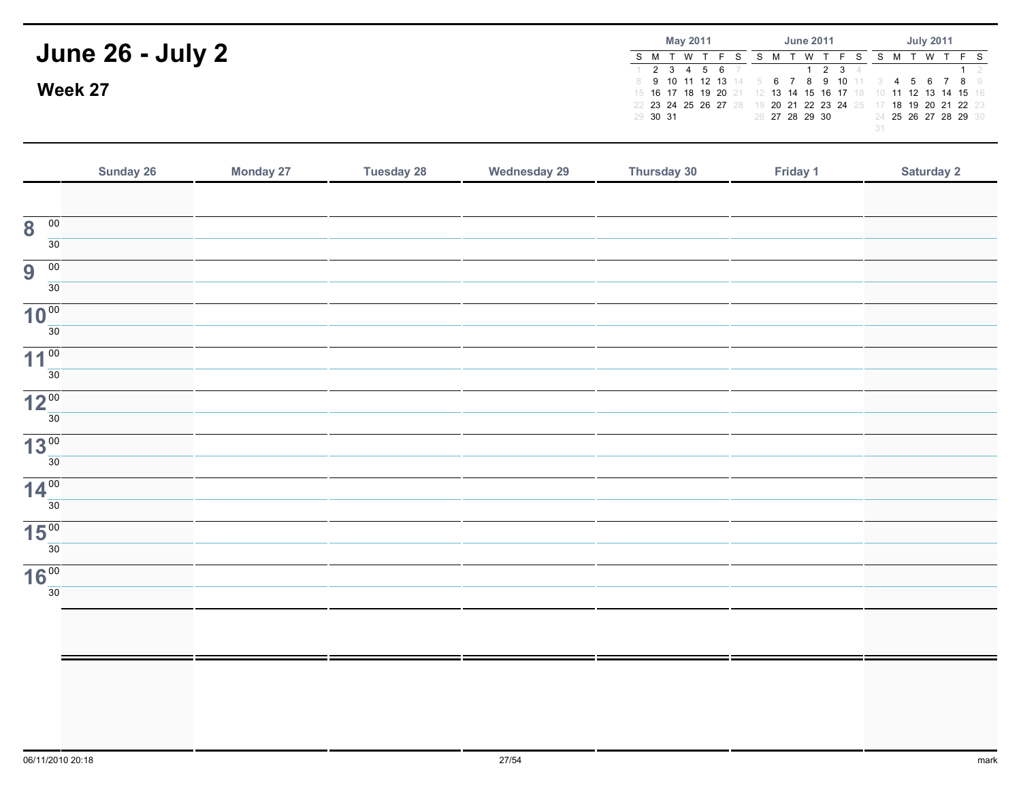|                         | May 2011                   | <b>June 2011</b>                                                                                                                                    | <b>July 2011</b>     |
|-------------------------|----------------------------|-----------------------------------------------------------------------------------------------------------------------------------------------------|----------------------|
| <b>June 26 - July 2</b> | S M T W<br>$1$ 2 3 4 5 6 7 | M<br>1 2 3 4                                                                                                                                        | T W                  |
| Week 27                 | 22 23 24 25 26 27 28       | 8 9 10 11 12 13 14 5 6 7 8 9 10 11 3<br>15 16 17 18 19 20 21 12 13 14 15 16 17 18 10 11 12 13 14 15 16<br>19 20 21 22 23 24 25 17 18 19 20 21 22 23 | 4 5 6 7 8 9          |
|                         | 29 30 31                   | 26 27 28 29 30                                                                                                                                      | 24 25 26 27 28 29 30 |

|                                            | Sunday 26 | <b>Monday 27</b> | <b>Tuesday 28</b> | <b>Wednesday 29</b> | Thursday 30 | Friday 1 | Saturday 2 |
|--------------------------------------------|-----------|------------------|-------------------|---------------------|-------------|----------|------------|
|                                            |           |                  |                   |                     |             |          |            |
| $\overline{\mathbf{8}}$<br>$\overline{00}$ |           |                  |                   |                     |             |          |            |
| 30                                         |           |                  |                   |                     |             |          |            |
| 9<br>$\overline{00}$                       |           |                  |                   |                     |             |          |            |
| 30                                         |           |                  |                   |                     |             |          |            |
| 10 <sup>00</sup>                           |           |                  |                   |                     |             |          |            |
| 30                                         |           |                  |                   |                     |             |          |            |
| 11 <sup>00</sup><br>30 <sup>°</sup>        |           |                  |                   |                     |             |          |            |
| 12 <sup>00</sup>                           |           |                  |                   |                     |             |          |            |
| 30                                         |           |                  |                   |                     |             |          |            |
| 13 <sup>00</sup>                           |           |                  |                   |                     |             |          |            |
| 30                                         |           |                  |                   |                     |             |          |            |
| 14 <sup>00</sup>                           |           |                  |                   |                     |             |          |            |
| 30                                         |           |                  |                   |                     |             |          |            |
| 15 <sup>00</sup>                           |           |                  |                   |                     |             |          |            |
| 30                                         |           |                  |                   |                     |             |          |            |
| 16 <sup>00</sup><br>30                     |           |                  |                   |                     |             |          |            |
|                                            |           |                  |                   |                     |             |          |            |
|                                            |           |                  |                   |                     |             |          |            |
|                                            |           |                  |                   |                     |             |          |            |
|                                            |           |                  |                   |                     |             |          |            |
|                                            |           |                  |                   |                     |             |          |            |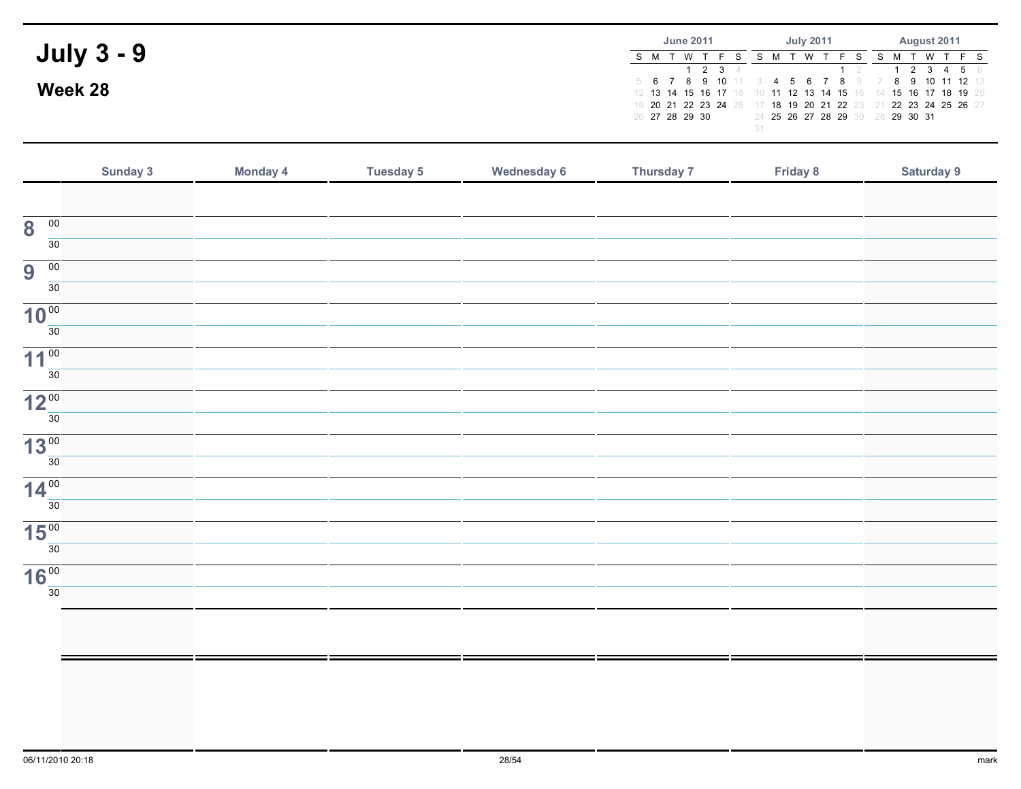| <b>July 3 - 9</b> | <b>June 2011</b>          | <b>July 2011</b>                                                                                                                                                                                        | August 2011                    |
|-------------------|---------------------------|---------------------------------------------------------------------------------------------------------------------------------------------------------------------------------------------------------|--------------------------------|
|                   | S M T W T                 | - W                                                                                                                                                                                                     | S M T W T F S                  |
| Week 28           | 1 2 3 4<br>26 27 28 29 30 | 5 6 7 8 9 10 11 3 4 5 6 7 8 9 7<br>12 13 14 15 16 17 18 10 11 12 13 14 15 16 14 15 16 17 18 19 20<br>19 20 21 22 23 24 25 17 18 19 20 21 22 23 21 22 23 24 25 26 27<br>24 25 26 27 28 29 30 28 29 30 31 | 2 3 4 5 6<br>$8$ 9 10 11 12 13 |

|                                            | Sunday 3 | Monday 4 | <b>Tuesday 5</b> | <b>Wednesday 6</b> | Thursday 7 | Friday 8 | Saturday 9 |
|--------------------------------------------|----------|----------|------------------|--------------------|------------|----------|------------|
|                                            |          |          |                  |                    |            |          |            |
| $\overline{\mathbf{8}}$<br>$\overline{00}$ |          |          |                  |                    |            |          |            |
| $\overline{30}$                            |          |          |                  |                    |            |          |            |
| 9<br>00                                    |          |          |                  |                    |            |          |            |
| 30                                         |          |          |                  |                    |            |          |            |
| 10 <sup>00</sup>                           |          |          |                  |                    |            |          |            |
| $\overline{30}$                            |          |          |                  |                    |            |          |            |
| 11 <sup>00</sup>                           |          |          |                  |                    |            |          |            |
| $\overline{30}$                            |          |          |                  |                    |            |          |            |
| 12 <sup>00</sup>                           |          |          |                  |                    |            |          |            |
| 30                                         |          |          |                  |                    |            |          |            |
| 13 <sup>00</sup>                           |          |          |                  |                    |            |          |            |
| $\overline{30}$                            |          |          |                  |                    |            |          |            |
| $14\frac{00}{30}$                          |          |          |                  |                    |            |          |            |
|                                            |          |          |                  |                    |            |          |            |
| 15 <sup>00</sup><br>$\overline{30}$        |          |          |                  |                    |            |          |            |
|                                            |          |          |                  |                    |            |          |            |
| 16 <sup>00</sup><br>$\overline{30}$        |          |          |                  |                    |            |          |            |
|                                            |          |          |                  |                    |            |          |            |
|                                            |          |          |                  |                    |            |          |            |
|                                            |          |          |                  |                    |            |          |            |
|                                            |          |          |                  |                    |            |          |            |
|                                            |          |          |                  |                    |            |          |            |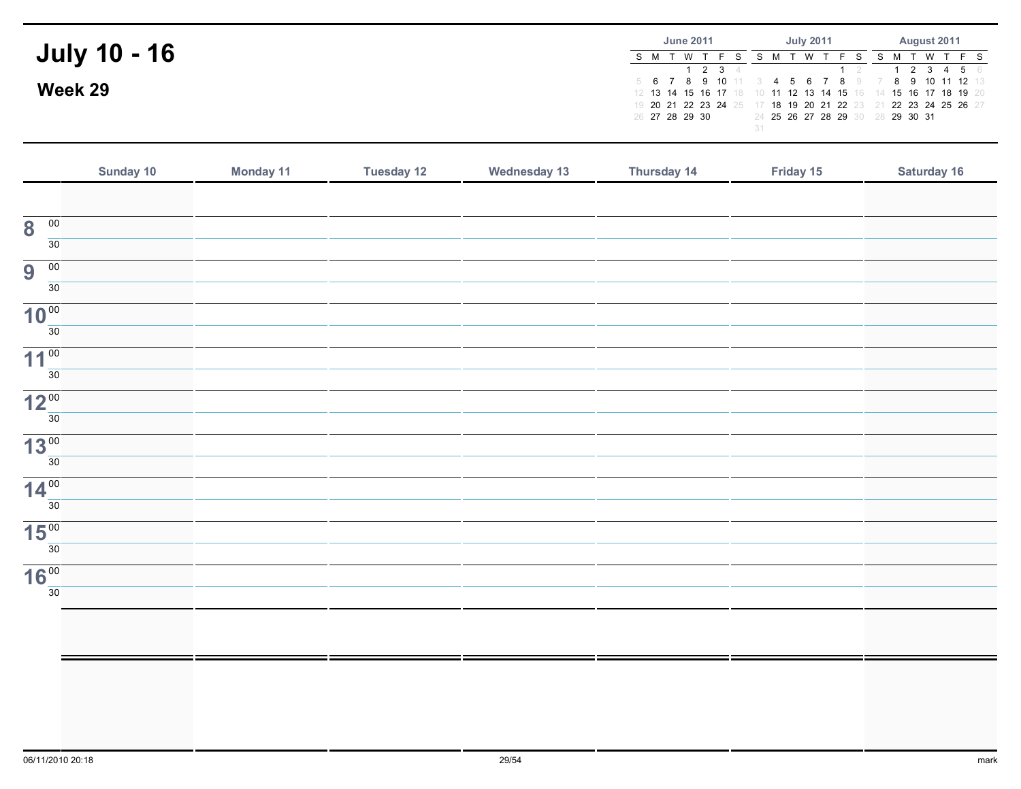|                     | <b>June 2011</b>     | <b>July 2011</b>                                                                                   | August 2011                                     |
|---------------------|----------------------|----------------------------------------------------------------------------------------------------|-------------------------------------------------|
| <b>July 10 - 16</b> | S M T W T<br>1 2 3 4 | W T                                                                                                | S M T W T F S<br>2 3 4 5 6                      |
| Week 29             |                      | 12 13 14 15 16 17 18 10 11 12 13 14 15 16 14 15 16 17 18 19 20                                     | 5 6 7 8 9 10 11 3 4 5 6 7 8 9 7 8 9 10 11 12 13 |
|                     | 26 27 28 29 30       | 19 20 21 22 23 24 25 17 18 19 20 21 22 23 21 22 23 24 25 26 27<br>24 25 26 27 28 29 30 28 29 30 31 |                                                 |

|                                            | Sunday 10 | <b>Monday 11</b> | <b>Tuesday 12</b> | <b>Wednesday 13</b> | Thursday 14 | Friday 15 | Saturday 16 |
|--------------------------------------------|-----------|------------------|-------------------|---------------------|-------------|-----------|-------------|
|                                            |           |                  |                   |                     |             |           |             |
| $\overline{00}$<br>$\overline{\mathbf{8}}$ |           |                  |                   |                     |             |           |             |
| $\overline{30}$                            |           |                  |                   |                     |             |           |             |
| 00<br>9                                    |           |                  |                   |                     |             |           |             |
| $\overline{30}$                            |           |                  |                   |                     |             |           |             |
| 10 <sup>00</sup>                           |           |                  |                   |                     |             |           |             |
| $\overline{30}$                            |           |                  |                   |                     |             |           |             |
| 11 <sup>00</sup>                           |           |                  |                   |                     |             |           |             |
| $\overline{30}$                            |           |                  |                   |                     |             |           |             |
| 12 <sup>00</sup>                           |           |                  |                   |                     |             |           |             |
| 30                                         |           |                  |                   |                     |             |           |             |
| 13 <sup>00</sup><br>$\overline{30}$        |           |                  |                   |                     |             |           |             |
|                                            |           |                  |                   |                     |             |           |             |
| 14 <sup>00</sup><br>30                     |           |                  |                   |                     |             |           |             |
|                                            |           |                  |                   |                     |             |           |             |
| 15 <sup>00</sup><br>$\overline{30}$        |           |                  |                   |                     |             |           |             |
| 16 <sup>00</sup>                           |           |                  |                   |                     |             |           |             |
| 30                                         |           |                  |                   |                     |             |           |             |
|                                            |           |                  |                   |                     |             |           |             |
|                                            |           |                  |                   |                     |             |           |             |
|                                            |           |                  |                   |                     |             |           |             |
|                                            |           |                  |                   |                     |             |           |             |
|                                            |           |                  |                   |                     |             |           |             |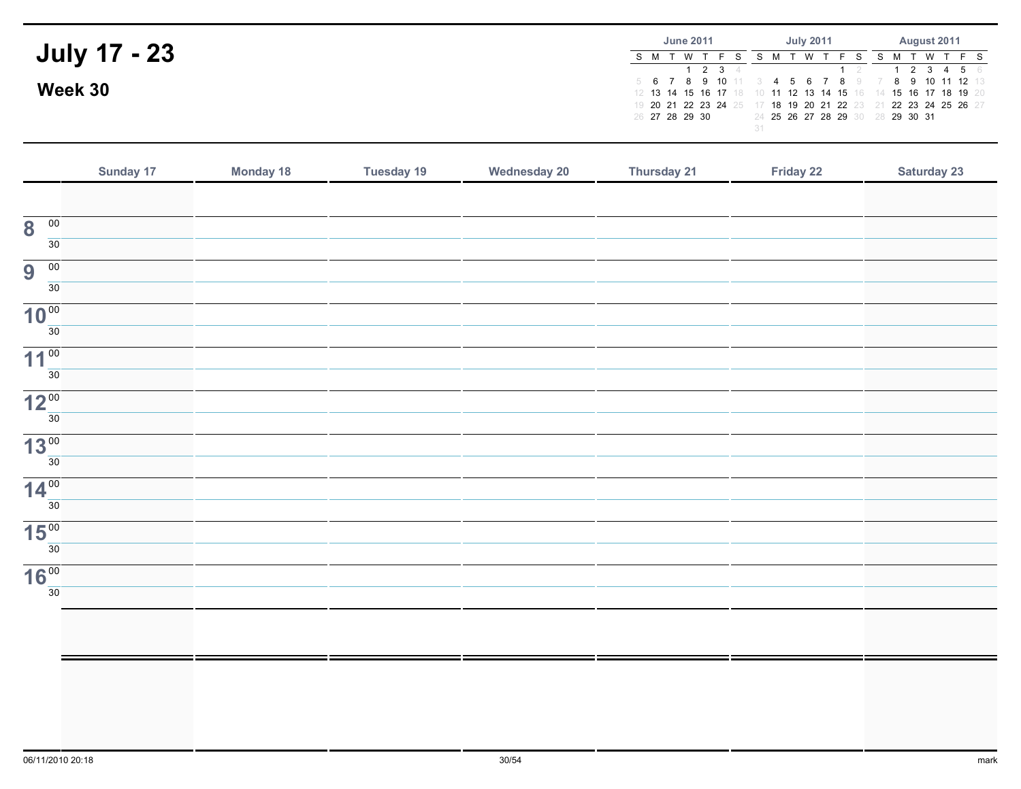|                     | <b>June 2011</b>     | <b>July 2011</b>                                                                                                                                                                    | August 2011                |
|---------------------|----------------------|-------------------------------------------------------------------------------------------------------------------------------------------------------------------------------------|----------------------------|
| <b>July 17 - 23</b> | S M T W T<br>1 2 3 4 | W T                                                                                                                                                                                 | S M T W T F S<br>2 3 4 5 6 |
| Week 30             |                      | 5 6 7 8 9 10 11 3 4 5 6 7 8 9 7 8 9 10 11 12 13<br>12 13 14 15 16 17 18 10 11 12 13 14 15 16 14 15 16 17 18 19 20<br>19 20 21 22 23 24 25 17 18 19 20 21 22 23 21 22 23 24 25 26 21 |                            |
|                     | 26 27 28 29 30       | 24 25 26 27 28 29 30 28 29 30 31                                                                                                                                                    |                            |

|                                            | Sunday 17 | <b>Monday 18</b> | <b>Tuesday 19</b> | <b>Wednesday 20</b> | Thursday 21 | Friday 22 | <b>Saturday 23</b> |
|--------------------------------------------|-----------|------------------|-------------------|---------------------|-------------|-----------|--------------------|
|                                            |           |                  |                   |                     |             |           |                    |
| $\overline{00}$<br>$\overline{\mathbf{8}}$ |           |                  |                   |                     |             |           |                    |
| 30                                         |           |                  |                   |                     |             |           |                    |
| $\overline{00}$<br>9                       |           |                  |                   |                     |             |           |                    |
| 30                                         |           |                  |                   |                     |             |           |                    |
| 10 <sup>00</sup>                           |           |                  |                   |                     |             |           |                    |
| $\overline{30}$                            |           |                  |                   |                     |             |           |                    |
| 11 <sup>00</sup>                           |           |                  |                   |                     |             |           |                    |
| 30                                         |           |                  |                   |                     |             |           |                    |
| 12 <sup>00</sup><br>30                     |           |                  |                   |                     |             |           |                    |
|                                            |           |                  |                   |                     |             |           |                    |
| 13 <sup>00</sup><br>30                     |           |                  |                   |                     |             |           |                    |
| 14 <sup>00</sup>                           |           |                  |                   |                     |             |           |                    |
| 30                                         |           |                  |                   |                     |             |           |                    |
| 15 <sup>00</sup>                           |           |                  |                   |                     |             |           |                    |
| 30                                         |           |                  |                   |                     |             |           |                    |
| 16 <sup>00</sup>                           |           |                  |                   |                     |             |           |                    |
| 30                                         |           |                  |                   |                     |             |           |                    |
|                                            |           |                  |                   |                     |             |           |                    |
|                                            |           |                  |                   |                     |             |           |                    |
|                                            |           |                  |                   |                     |             |           |                    |
|                                            |           |                  |                   |                     |             |           |                    |
|                                            |           |                  |                   |                     |             |           |                    |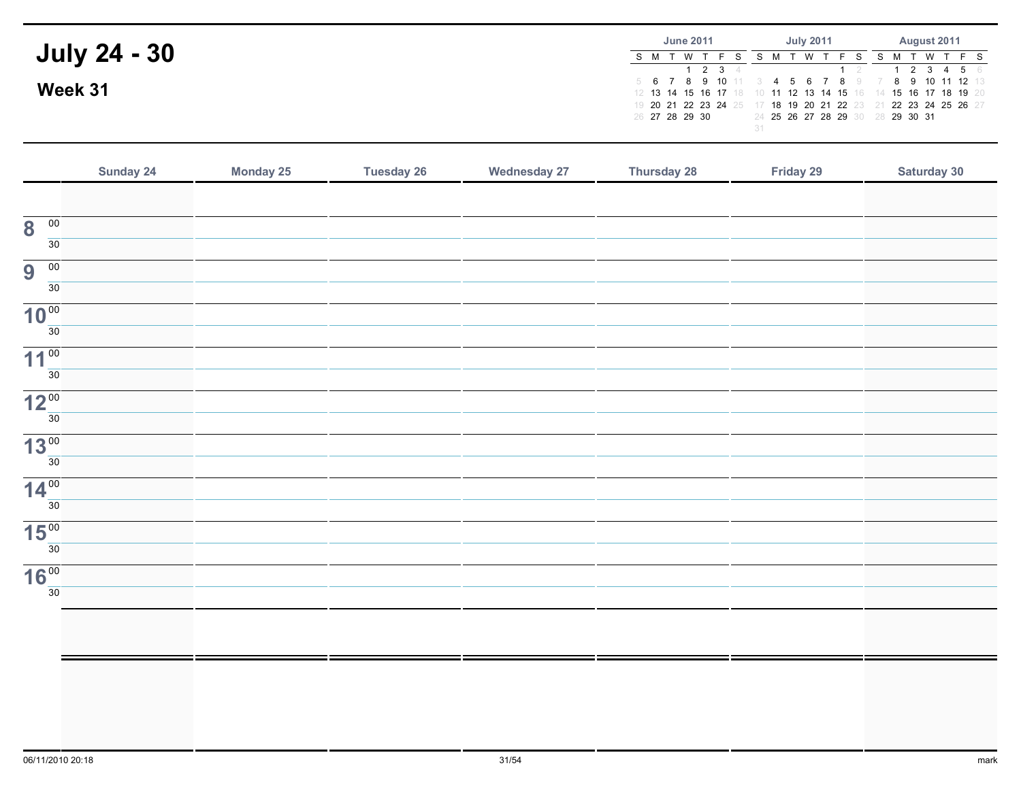| <b>July 24 - 30</b> | <b>June 2011</b>     | <b>July 2011</b>                                                                                                                                                                    | August 2011                |
|---------------------|----------------------|-------------------------------------------------------------------------------------------------------------------------------------------------------------------------------------|----------------------------|
|                     | S M T W T<br>1 2 3 4 | W T                                                                                                                                                                                 | WTFS<br>S M T<br>2 3 4 5 6 |
| Week 31             |                      | 5 6 7 8 9 10 11 3 4 5 6 7 8 9 7 8 9 10 11 12 13<br>12 13 14 15 16 17 18 10 11 12 13 14 15 16 14 15 16 17 18 19 20<br>19 20 21 22 23 24 25 17 18 19 20 21 22 23 21 22 23 24 25 26 27 |                            |
|                     | 26 27 28 29 30       | 24 25 26 27 28 29 30 28 29 30 31                                                                                                                                                    |                            |

|                                            | Sunday 24 | Monday 25 | <b>Tuesday 26</b> | <b>Wednesday 27</b> | Thursday 28 | Friday 29 | Saturday 30 |
|--------------------------------------------|-----------|-----------|-------------------|---------------------|-------------|-----------|-------------|
|                                            |           |           |                   |                     |             |           |             |
| $\overline{\mathbf{8}}$<br>$\overline{00}$ |           |           |                   |                     |             |           |             |
| $\overline{30}$                            |           |           |                   |                     |             |           |             |
| 9<br>00                                    |           |           |                   |                     |             |           |             |
| $\overline{30}$                            |           |           |                   |                     |             |           |             |
| 10 <sup>00</sup>                           |           |           |                   |                     |             |           |             |
| 30                                         |           |           |                   |                     |             |           |             |
| 11 <sup>00</sup><br>30                     |           |           |                   |                     |             |           |             |
|                                            |           |           |                   |                     |             |           |             |
| 12 <sup>00</sup><br>30                     |           |           |                   |                     |             |           |             |
| 13 <sup>00</sup>                           |           |           |                   |                     |             |           |             |
| $\overline{30}$                            |           |           |                   |                     |             |           |             |
| 14 <sup>00</sup>                           |           |           |                   |                     |             |           |             |
| $\overline{30}$                            |           |           |                   |                     |             |           |             |
| 15 <sup>00</sup>                           |           |           |                   |                     |             |           |             |
| 30                                         |           |           |                   |                     |             |           |             |
| 16 <sup>00</sup>                           |           |           |                   |                     |             |           |             |
| 30                                         |           |           |                   |                     |             |           |             |
|                                            |           |           |                   |                     |             |           |             |
|                                            |           |           |                   |                     |             |           |             |
|                                            |           |           |                   |                     |             |           |             |
|                                            |           |           |                   |                     |             |           |             |
|                                            |           |           |                   |                     |             |           |             |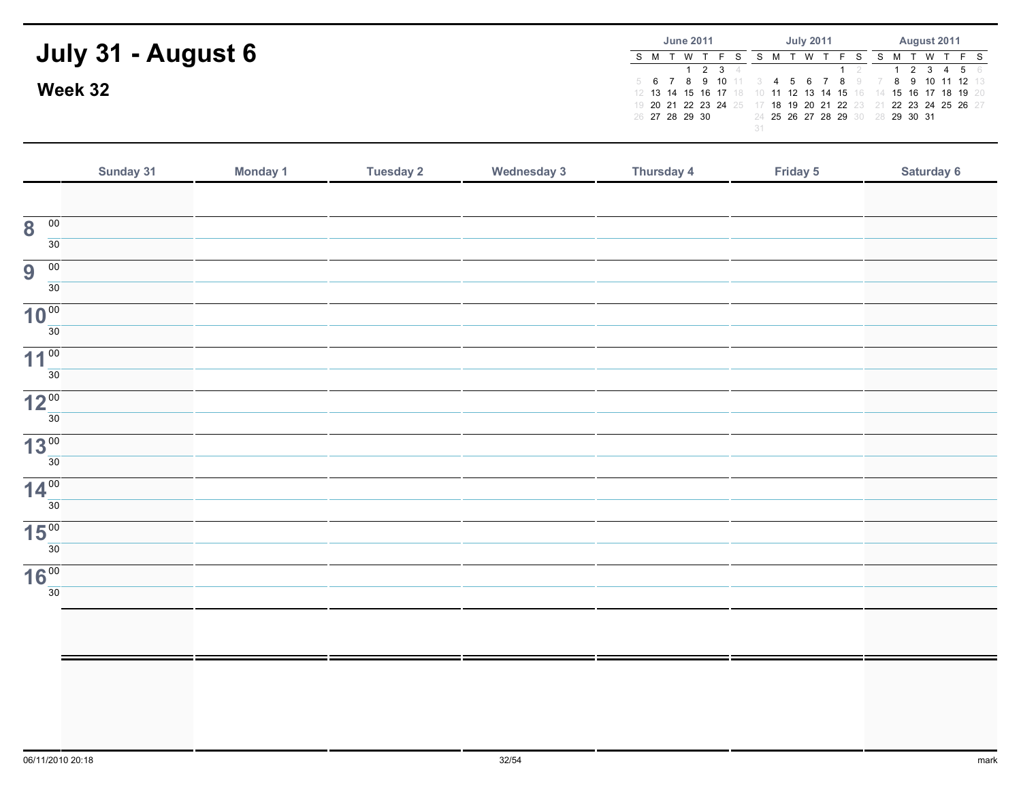|                    |                                                                | <b>June 2011</b> |       | <b>July 2011</b> |  |  |  | August 2011                      |  |  |  |  |              |
|--------------------|----------------------------------------------------------------|------------------|-------|------------------|--|--|--|----------------------------------|--|--|--|--|--------------|
| July 31 - August 6 | S M T W T                                                      |                  |       |                  |  |  |  |                                  |  |  |  |  | WTFS SMTWTFS |
|                    |                                                                |                  | 2 3 4 |                  |  |  |  |                                  |  |  |  |  | 2 3 4 5 6    |
|                    | 5 6 7 8 9 10 11 3 4 5 6 7 8 9 7 8 9 10 11 12 13                |                  |       |                  |  |  |  |                                  |  |  |  |  |              |
| Week 32            | 12 13 14 15 16 17 18 10 11 12 13 14 15 16 14 15 16 17 18 19 20 |                  |       |                  |  |  |  |                                  |  |  |  |  |              |
|                    | 19 20 21 22 23 24 25 17 18 19 20 21 22 23 21 22 23 24 25 26 27 |                  |       |                  |  |  |  |                                  |  |  |  |  |              |
|                    | 26 27 28 29 30                                                 |                  |       |                  |  |  |  | 24 25 26 27 28 29 30 28 29 30 31 |  |  |  |  |              |
|                    |                                                                |                  |       |                  |  |  |  |                                  |  |  |  |  |              |

|                                            | Sunday 31 | Monday 1 | <b>Tuesday 2</b> | <b>Wednesday 3</b> | <b>Thursday 4</b> | Friday 5 | Saturday 6 |
|--------------------------------------------|-----------|----------|------------------|--------------------|-------------------|----------|------------|
|                                            |           |          |                  |                    |                   |          |            |
| $\overline{\mathbf{8}}$<br>$\overline{00}$ |           |          |                  |                    |                   |          |            |
| 30                                         |           |          |                  |                    |                   |          |            |
| 9<br>$\overline{00}$                       |           |          |                  |                    |                   |          |            |
| 30                                         |           |          |                  |                    |                   |          |            |
| 10 <sup>00</sup>                           |           |          |                  |                    |                   |          |            |
| 30                                         |           |          |                  |                    |                   |          |            |
| 11 <sup>00</sup><br>30                     |           |          |                  |                    |                   |          |            |
|                                            |           |          |                  |                    |                   |          |            |
| 12 <sup>00</sup><br>30                     |           |          |                  |                    |                   |          |            |
|                                            |           |          |                  |                    |                   |          |            |
| 13 <sup>00</sup><br>30 <sup>°</sup>        |           |          |                  |                    |                   |          |            |
| 14 <sup>00</sup>                           |           |          |                  |                    |                   |          |            |
| 30 <sup>°</sup>                            |           |          |                  |                    |                   |          |            |
| 15 <sup>00</sup>                           |           |          |                  |                    |                   |          |            |
| 30                                         |           |          |                  |                    |                   |          |            |
| 16 <sup>00</sup>                           |           |          |                  |                    |                   |          |            |
| 30                                         |           |          |                  |                    |                   |          |            |
|                                            |           |          |                  |                    |                   |          |            |
|                                            |           |          |                  |                    |                   |          |            |
|                                            |           |          |                  |                    |                   |          |            |
|                                            |           |          |                  |                    |                   |          |            |
|                                            |           |          |                  |                    |                   |          |            |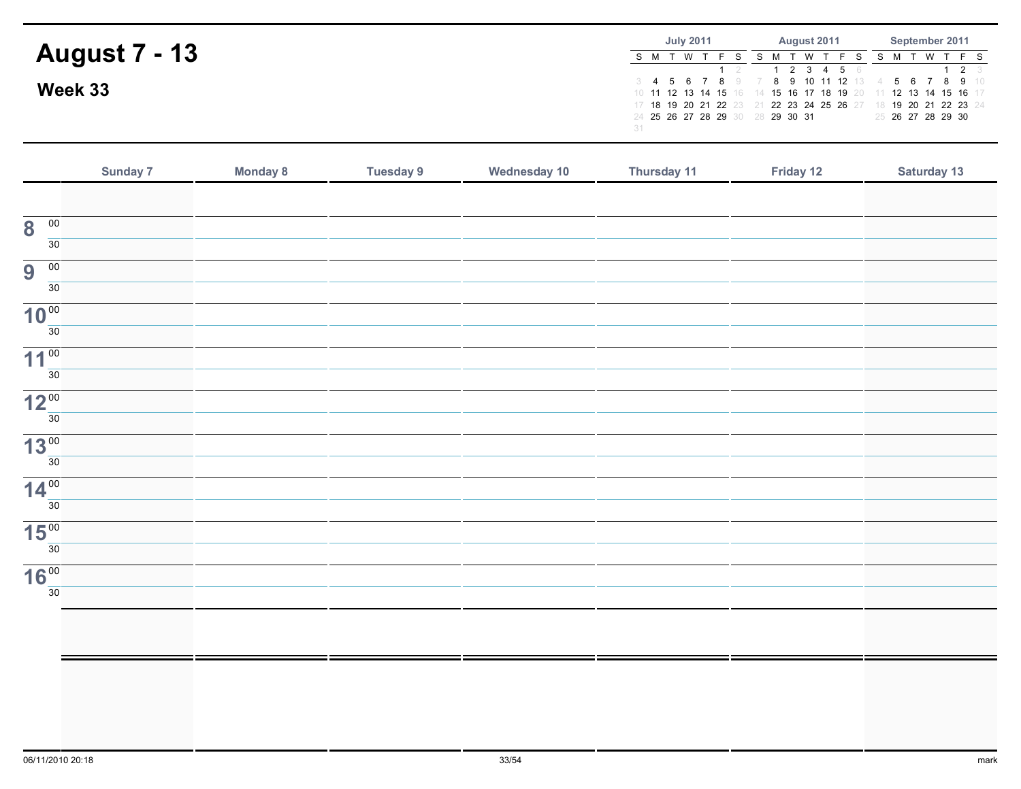|                      | <b>July 2011</b>                       | August 2011                                                                                                                      | September 2011                       |  |  |  |
|----------------------|----------------------------------------|----------------------------------------------------------------------------------------------------------------------------------|--------------------------------------|--|--|--|
| <b>August 7 - 13</b> | S M T W T F S                          | S M T W T F S<br>1 2 3 4 5 6                                                                                                     | S M T W T F S<br>$1 \quad 2 \quad 3$ |  |  |  |
| Week 33              | 3 <b>4 5 6 7 8</b> 9 7                 | 10 11 12 13 14 15 16 14 15 16 17 18 19 20 11 12 13 14 15 16 17<br>17 18 19 20 21 22 23 21 22 23 24 25 26 27 18 19 20 21 22 23 24 | 8 9 10 11 12 13 4 5 6 7 8 9 10       |  |  |  |
|                      | 24 25 26 27 28 29 30 28 29 30 31<br>31 |                                                                                                                                  | 25 26 27 28 29 30                    |  |  |  |

|                                            | Sunday 7 | <b>Monday 8</b> | <b>Tuesday 9</b> | Wednesday 10 | Thursday 11 | Friday 12 | Saturday 13 |
|--------------------------------------------|----------|-----------------|------------------|--------------|-------------|-----------|-------------|
|                                            |          |                 |                  |              |             |           |             |
| $\overline{00}$<br>$\overline{\mathbf{8}}$ |          |                 |                  |              |             |           |             |
| 30                                         |          |                 |                  |              |             |           |             |
| $\overline{00}$<br>9                       |          |                 |                  |              |             |           |             |
| 30                                         |          |                 |                  |              |             |           |             |
| 10 <sup>00</sup>                           |          |                 |                  |              |             |           |             |
| $\overline{30}$                            |          |                 |                  |              |             |           |             |
| 11 <sup>00</sup><br>$\overline{30}$        |          |                 |                  |              |             |           |             |
|                                            |          |                 |                  |              |             |           |             |
| 12 <sup>00</sup><br>$\overline{30}$        |          |                 |                  |              |             |           |             |
| 13 <sup>00</sup>                           |          |                 |                  |              |             |           |             |
| 30                                         |          |                 |                  |              |             |           |             |
| 14 <sup>00</sup>                           |          |                 |                  |              |             |           |             |
| 30                                         |          |                 |                  |              |             |           |             |
| 15 <sup>00</sup>                           |          |                 |                  |              |             |           |             |
| 30                                         |          |                 |                  |              |             |           |             |
| 16 <sup>00</sup>                           |          |                 |                  |              |             |           |             |
| 30                                         |          |                 |                  |              |             |           |             |
|                                            |          |                 |                  |              |             |           |             |
|                                            |          |                 |                  |              |             |           |             |
|                                            |          |                 |                  |              |             |           |             |
|                                            |          |                 |                  |              |             |           |             |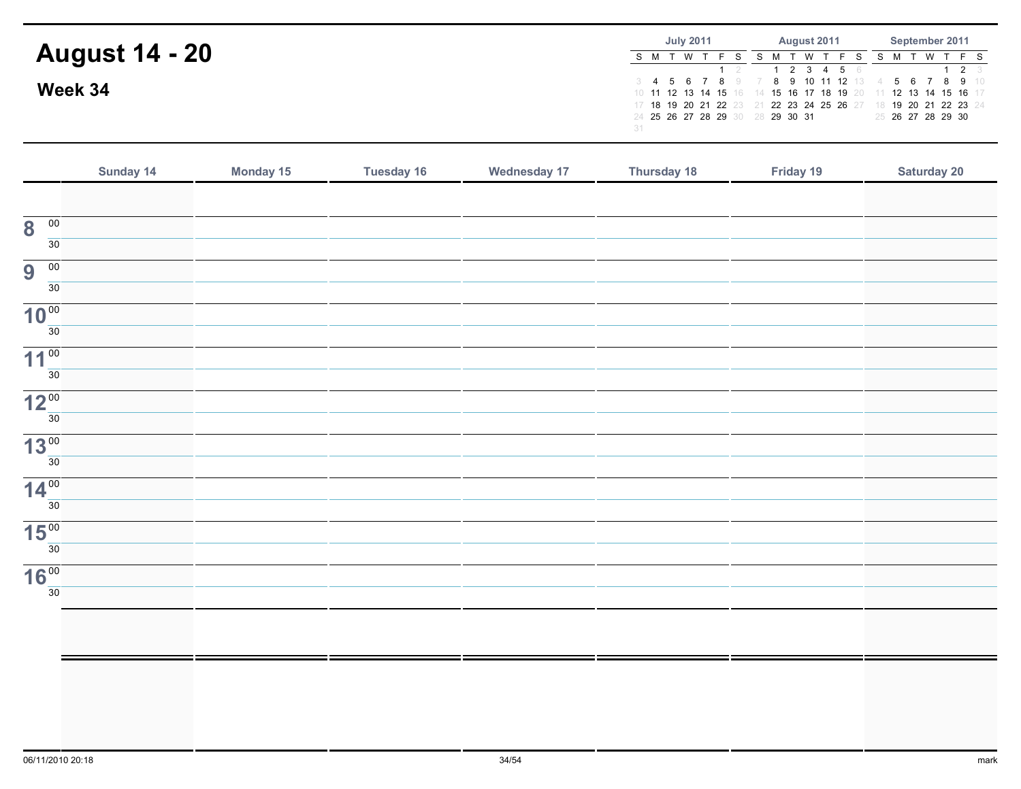|                       | <b>July 2011</b> |  |  |  |                                  | <b>August 2011</b> |  |  |  |                                                                                                                                                                                    | September 2011    |  |  |  |                     |  |
|-----------------------|------------------|--|--|--|----------------------------------|--------------------|--|--|--|------------------------------------------------------------------------------------------------------------------------------------------------------------------------------------|-------------------|--|--|--|---------------------|--|
| <b>August 14 - 20</b> |                  |  |  |  |                                  |                    |  |  |  | S M T W T F S S M T W T F S S M T W T F S<br>1 2 3 4 5 6                                                                                                                           |                   |  |  |  | $1 \quad 2 \quad 3$ |  |
| Week 34               |                  |  |  |  | 24 25 26 27 28 29 30 28 29 30 31 |                    |  |  |  | 3 4 5 6 7 8 9 7 8 9 10 11 12 13 4 5 6 7 8 9 10<br>10 11 12 13 14 15 16 14 15 16 17 18 19 20 11 12 13 14 15 16 17<br>17 18 19 20 21 22 23 21 22 23 24 25 26 27 18 19 20 21 22 23 24 | 25 26 27 28 29 30 |  |  |  |                     |  |
|                       | 31               |  |  |  |                                  |                    |  |  |  |                                                                                                                                                                                    |                   |  |  |  |                     |  |

|                                            | Sunday 14 | Monday 15 | <b>Tuesday 16</b> | <b>Wednesday 17</b> | Thursday 18 | Friday 19 | <b>Saturday 20</b> |
|--------------------------------------------|-----------|-----------|-------------------|---------------------|-------------|-----------|--------------------|
|                                            |           |           |                   |                     |             |           |                    |
| $\overline{\mathbf{8}}$<br>$\overline{00}$ |           |           |                   |                     |             |           |                    |
| $\overline{30}$                            |           |           |                   |                     |             |           |                    |
| 9<br>$\overline{00}$                       |           |           |                   |                     |             |           |                    |
| $\overline{30}$                            |           |           |                   |                     |             |           |                    |
| 10 <sup>00</sup>                           |           |           |                   |                     |             |           |                    |
| $\overline{30}$                            |           |           |                   |                     |             |           |                    |
| 11 <sup>00</sup><br>$\overline{30}$        |           |           |                   |                     |             |           |                    |
| 12 <sup>00</sup>                           |           |           |                   |                     |             |           |                    |
| 30                                         |           |           |                   |                     |             |           |                    |
| 13 <sup>00</sup>                           |           |           |                   |                     |             |           |                    |
| $\overline{30}$                            |           |           |                   |                     |             |           |                    |
| 14 <sup>00</sup>                           |           |           |                   |                     |             |           |                    |
| 30                                         |           |           |                   |                     |             |           |                    |
| 15 <sup>00</sup><br>$\overline{30}$        |           |           |                   |                     |             |           |                    |
| 16 <sup>00</sup>                           |           |           |                   |                     |             |           |                    |
| 30                                         |           |           |                   |                     |             |           |                    |
|                                            |           |           |                   |                     |             |           |                    |
|                                            |           |           |                   |                     |             |           |                    |
|                                            |           |           |                   |                     |             |           |                    |
|                                            |           |           |                   |                     |             |           |                    |
|                                            |           |           |                   |                     |             |           |                    |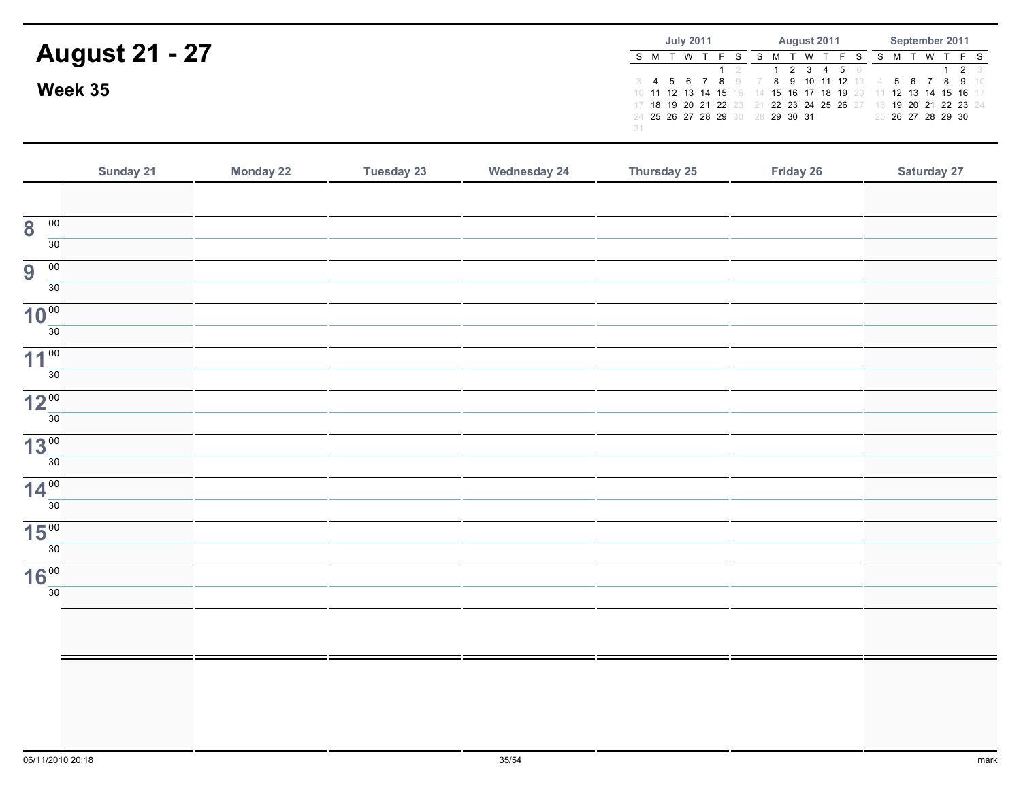|                       | <b>July 2011</b>                       | <b>August 2011</b>                                                                                                                                                                 | September 2011                       |  |  |  |
|-----------------------|----------------------------------------|------------------------------------------------------------------------------------------------------------------------------------------------------------------------------------|--------------------------------------|--|--|--|
| <b>August 21 - 27</b> | 'W T<br>S M T                          | T W T F S<br>S M T<br>1 2 3 4 5 6                                                                                                                                                  | S M T W T F S<br>$1 \quad 2 \quad 3$ |  |  |  |
| Week 35               | 24 25 26 27 28 29 30 28 29 30 31<br>31 | 3 4 5 6 7 8 9 7 8 9 10 11 12 13 4 5 6 7 8 9 10<br>10 11 12 13 14 15 16 14 15 16 17 18 19 20 11 12 13 14 15 16 17<br>17 18 19 20 21 22 23 21 22 23 24 25 26 27 18 19 20 21 22 23 24 | 25 26 27 28 29 30                    |  |  |  |

|                                            | Sunday 21 | <b>Monday 22</b> | <b>Tuesday 23</b> | <b>Wednesday 24</b> | Thursday 25 | Friday 26 | Saturday 27 |
|--------------------------------------------|-----------|------------------|-------------------|---------------------|-------------|-----------|-------------|
|                                            |           |                  |                   |                     |             |           |             |
| $\overline{00}$<br>$\overline{\mathbf{8}}$ |           |                  |                   |                     |             |           |             |
| $\overline{30}$                            |           |                  |                   |                     |             |           |             |
| $\overline{00}$<br>$\overline{9}$          |           |                  |                   |                     |             |           |             |
| 30                                         |           |                  |                   |                     |             |           |             |
| 10 <sup>00</sup>                           |           |                  |                   |                     |             |           |             |
| $\overline{30}$                            |           |                  |                   |                     |             |           |             |
| 11 <sup>00</sup>                           |           |                  |                   |                     |             |           |             |
| $\overline{30}$                            |           |                  |                   |                     |             |           |             |
| 12 <sup>00</sup>                           |           |                  |                   |                     |             |           |             |
| 30                                         |           |                  |                   |                     |             |           |             |
| 13 <sup>00</sup>                           |           |                  |                   |                     |             |           |             |
| $\overline{30}$                            |           |                  |                   |                     |             |           |             |
| 14 <sup>00</sup>                           |           |                  |                   |                     |             |           |             |
| $\overline{30}$                            |           |                  |                   |                     |             |           |             |
| 15 <sup>00</sup>                           |           |                  |                   |                     |             |           |             |
| 30                                         |           |                  |                   |                     |             |           |             |
| 16 <sup>00</sup>                           |           |                  |                   |                     |             |           |             |
| 30                                         |           |                  |                   |                     |             |           |             |
|                                            |           |                  |                   |                     |             |           |             |
|                                            |           |                  |                   |                     |             |           |             |
|                                            |           |                  |                   |                     |             |           |             |
|                                            |           |                  |                   |                     |             |           |             |
|                                            |           |                  |                   |                     |             |           |             |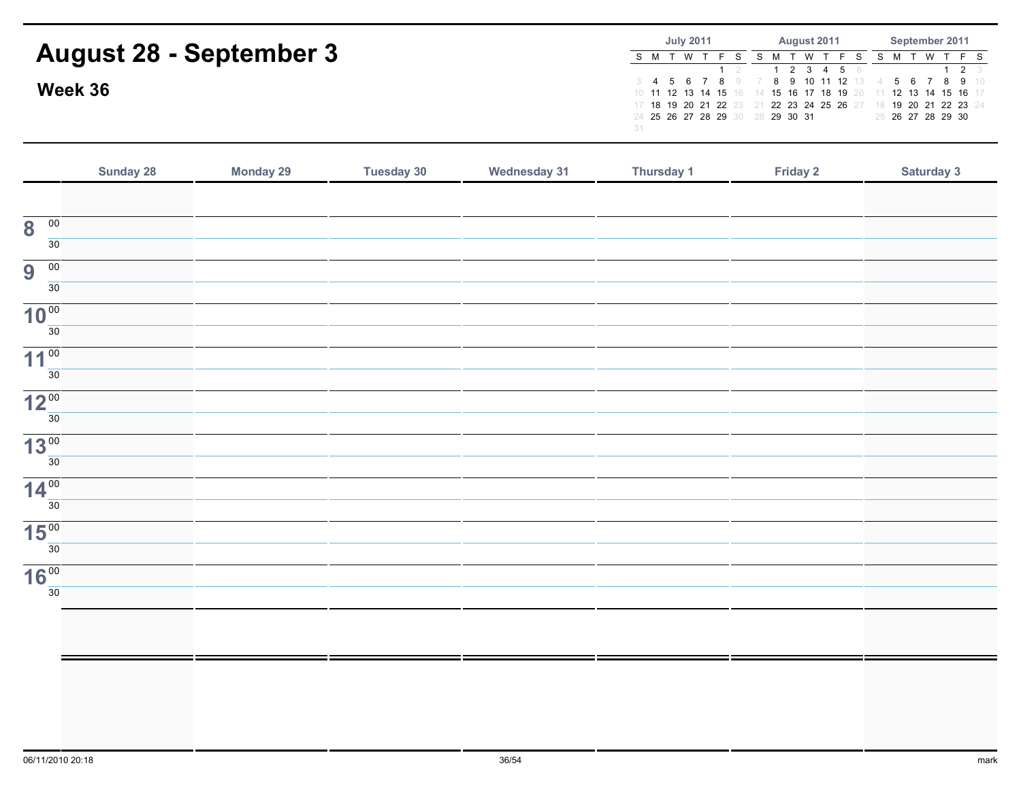|                                | <b>July 2011</b>                 | <b>August 2011</b>                                                                         | September 2011    |  |  |  |
|--------------------------------|----------------------------------|--------------------------------------------------------------------------------------------|-------------------|--|--|--|
| <b>August 28 - September 3</b> | S M T W T                        | S M T W T F S S M T W T F S                                                                |                   |  |  |  |
|                                |                                  | 1 2 3 4 5 6                                                                                | $1 \t2 \t3$       |  |  |  |
| Week 36                        | 3 <b>4 5 6 7 8</b> 9 7           | <b>8 9 10 11 12</b> 13 4<br>10 11 12 13 14 15 16 14 15 16 17 18 19 20 11 12 13 14 15 16 17 | 5 6 7 8 9 10      |  |  |  |
|                                |                                  | 17 18 19 20 21 22 23 21 22 23 24 25 26 27 18 19 20 21 22 23 24                             |                   |  |  |  |
|                                | 24 25 26 27 28 29 30 28 29 30 31 |                                                                                            | 25 26 27 28 29 30 |  |  |  |
|                                |                                  |                                                                                            |                   |  |  |  |

|                                            | <b>Sunday 28</b> | <b>Monday 29</b> | Tuesday 30 | <b>Wednesday 31</b> | Thursday 1 | Friday 2 | Saturday 3 |
|--------------------------------------------|------------------|------------------|------------|---------------------|------------|----------|------------|
|                                            |                  |                  |            |                     |            |          |            |
| $\overline{\mathbf{8}}$<br>$\overline{00}$ |                  |                  |            |                     |            |          |            |
| 30 <sup>7</sup>                            |                  |                  |            |                     |            |          |            |
| 9<br>$\overline{00}$                       |                  |                  |            |                     |            |          |            |
| 30                                         |                  |                  |            |                     |            |          |            |
| 10 <sup>00</sup>                           |                  |                  |            |                     |            |          |            |
| 30                                         |                  |                  |            |                     |            |          |            |
| 11 <sup>00</sup><br>30                     |                  |                  |            |                     |            |          |            |
|                                            |                  |                  |            |                     |            |          |            |
| 12 <sup>00</sup><br>30                     |                  |                  |            |                     |            |          |            |
| 13 <sup>00</sup>                           |                  |                  |            |                     |            |          |            |
| $\overline{30}$                            |                  |                  |            |                     |            |          |            |
| 14 <sup>00</sup>                           |                  |                  |            |                     |            |          |            |
| 30 <sup>2</sup>                            |                  |                  |            |                     |            |          |            |
| $15\frac{00}{30}$                          |                  |                  |            |                     |            |          |            |
|                                            |                  |                  |            |                     |            |          |            |
| $16\frac{00}{30}$                          |                  |                  |            |                     |            |          |            |
|                                            |                  |                  |            |                     |            |          |            |
|                                            |                  |                  |            |                     |            |          |            |
|                                            |                  |                  |            |                     |            |          |            |
|                                            |                  |                  |            |                     |            |          |            |
|                                            |                  |                  |            |                     |            |          |            |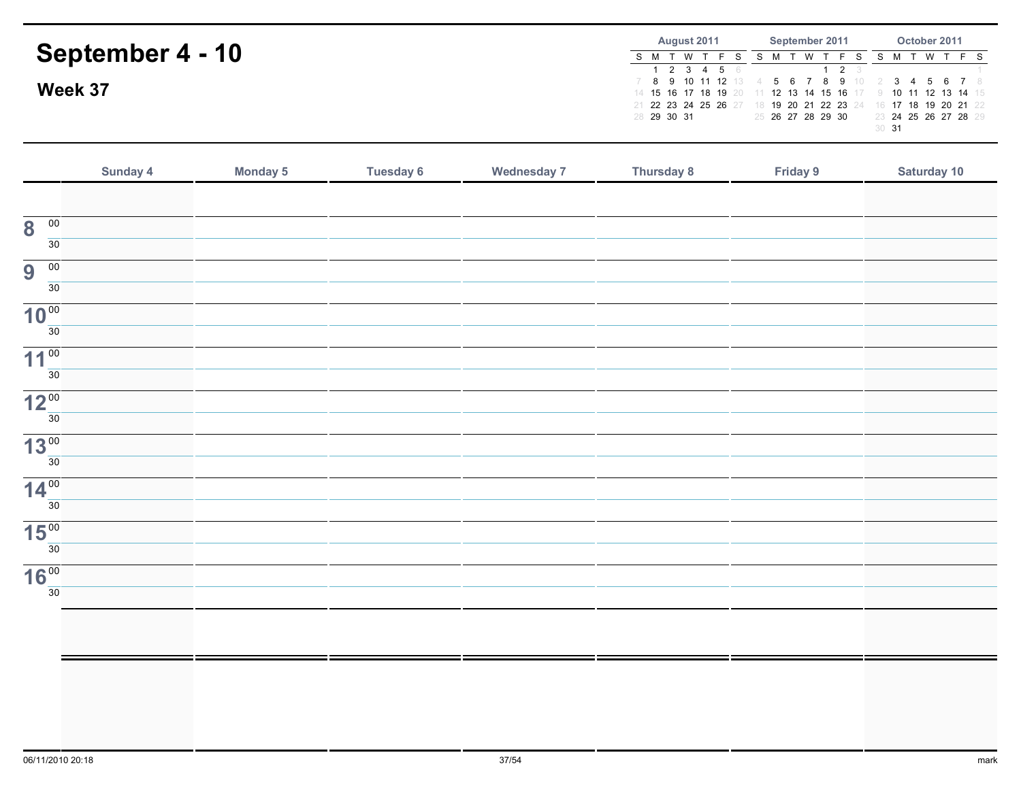|                         | October 2011<br>September 2011<br>August 2011                                                                              |
|-------------------------|----------------------------------------------------------------------------------------------------------------------------|
| <b>September 4 - 10</b> | T W T<br>S M<br>S M T W<br>2 3 4 5 6<br>$\overline{2}$                                                                     |
| Week 37                 | 7 8 9 10 11 12 13 4<br>5 6 7 8 9 10<br>14 15 16 17 18 19 20 11 12 13 14 15 16 17 9 10 11 12 13 14 15                       |
|                         | 21 22 23 24 25 26 27 18 19 20 21 22 23 24 16 17 18 19 20 21 22<br>25 26 27 28 29 30<br>23 24 25 26 27 28 29<br>28 29 30 31 |
|                         | 30 <sup>31</sup>                                                                                                           |
|                         |                                                                                                                            |

|                                      | Sunday 4 | <b>Monday 5</b> | <b>Tuesday 6</b> | <b>Wednesday 7</b> | Thursday 8 | Friday 9 | Saturday 10 |
|--------------------------------------|----------|-----------------|------------------|--------------------|------------|----------|-------------|
|                                      |          |                 |                  |                    |            |          |             |
| $\overline{00}$<br>8                 |          |                 |                  |                    |            |          |             |
| 30                                   |          |                 |                  |                    |            |          |             |
| $\overline{00}$<br>9                 |          |                 |                  |                    |            |          |             |
| 30 <sup>2</sup>                      |          |                 |                  |                    |            |          |             |
| 10 <sup>00</sup><br>30 <sup>2</sup>  |          |                 |                  |                    |            |          |             |
| 11 <sup>00</sup>                     |          |                 |                  |                    |            |          |             |
| 30                                   |          |                 |                  |                    |            |          |             |
| 12 <sup>00</sup>                     |          |                 |                  |                    |            |          |             |
| 30 <sup>2</sup>                      |          |                 |                  |                    |            |          |             |
| 13 <sup>00</sup>                     |          |                 |                  |                    |            |          |             |
| 30 <sup>7</sup>                      |          |                 |                  |                    |            |          |             |
| 14 <sup>00</sup><br>30 <sup>2</sup>  |          |                 |                  |                    |            |          |             |
|                                      |          |                 |                  |                    |            |          |             |
| 30 <sup>7</sup>                      |          |                 |                  |                    |            |          |             |
|                                      |          |                 |                  |                    |            |          |             |
| 30 <sup>2</sup>                      |          |                 |                  |                    |            |          |             |
|                                      |          |                 |                  |                    |            |          |             |
|                                      |          |                 |                  |                    |            |          |             |
|                                      |          |                 |                  |                    |            |          |             |
|                                      |          |                 |                  |                    |            |          |             |
| 15 <sup>00</sup><br>16 <sup>00</sup> |          |                 |                  |                    |            |          |             |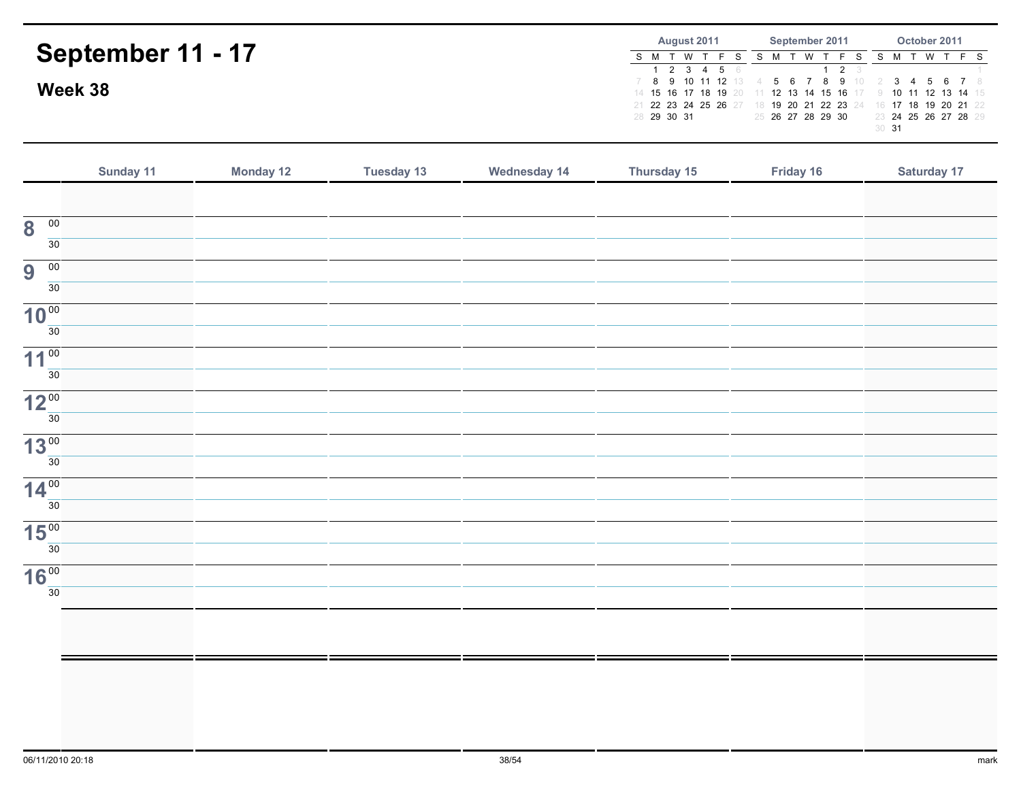| September 11 - 17<br>Week 38 |                  | August 2011<br>S M T W<br>T F S<br>2 3 4 5 6<br>9 10 11 12 13<br>8<br>14 15 16 17 18 19 20<br>21 22 23 24 25 26 27<br>28 29 30 31 | September 2011<br>S M T W T F S<br>2 <sup>3</sup><br>- 7<br>-8<br>56<br>- Q<br>11 12 13 14 15 16<br>18 19 20 21 22 23 24<br>25 26 27 28 29 30 | October 2011<br>S M T W T F S<br>3<br>456<br>10 11 12 13 14 15<br>- 9<br>16 17 18 19 20 21 22<br>23 24 25 26 27 28 29<br>30 31 |           |                    |
|------------------------------|------------------|-----------------------------------------------------------------------------------------------------------------------------------|-----------------------------------------------------------------------------------------------------------------------------------------------|--------------------------------------------------------------------------------------------------------------------------------|-----------|--------------------|
| Sunday 11                    | <b>Monday 12</b> | <b>Tuesday 13</b>                                                                                                                 | <b>Wednesday 14</b>                                                                                                                           | Thursday 15                                                                                                                    | Friday 16 | <b>Saturday 17</b> |
| $\mathbf{R}$ 00              |                  |                                                                                                                                   |                                                                                                                                               |                                                                                                                                |           |                    |

| $\overline{00}$<br>8                |  |  |  |  |
|-------------------------------------|--|--|--|--|
| 30                                  |  |  |  |  |
| $\overline{00}$<br>$\overline{9}$   |  |  |  |  |
| 30                                  |  |  |  |  |
| 10 <sup>00</sup>                    |  |  |  |  |
| $\overline{30}$                     |  |  |  |  |
| 11 <sup>00</sup><br>30              |  |  |  |  |
|                                     |  |  |  |  |
| 12 <sup>00</sup><br>$\frac{1}{30}$  |  |  |  |  |
|                                     |  |  |  |  |
| 13 <sup>00</sup><br>$\overline{30}$ |  |  |  |  |
|                                     |  |  |  |  |
| 14 <sup>00</sup><br>$\overline{30}$ |  |  |  |  |
| 15 <sup>00</sup>                    |  |  |  |  |
| 30                                  |  |  |  |  |
|                                     |  |  |  |  |
| $16\frac{00}{30}$                   |  |  |  |  |
|                                     |  |  |  |  |
|                                     |  |  |  |  |
|                                     |  |  |  |  |
|                                     |  |  |  |  |
|                                     |  |  |  |  |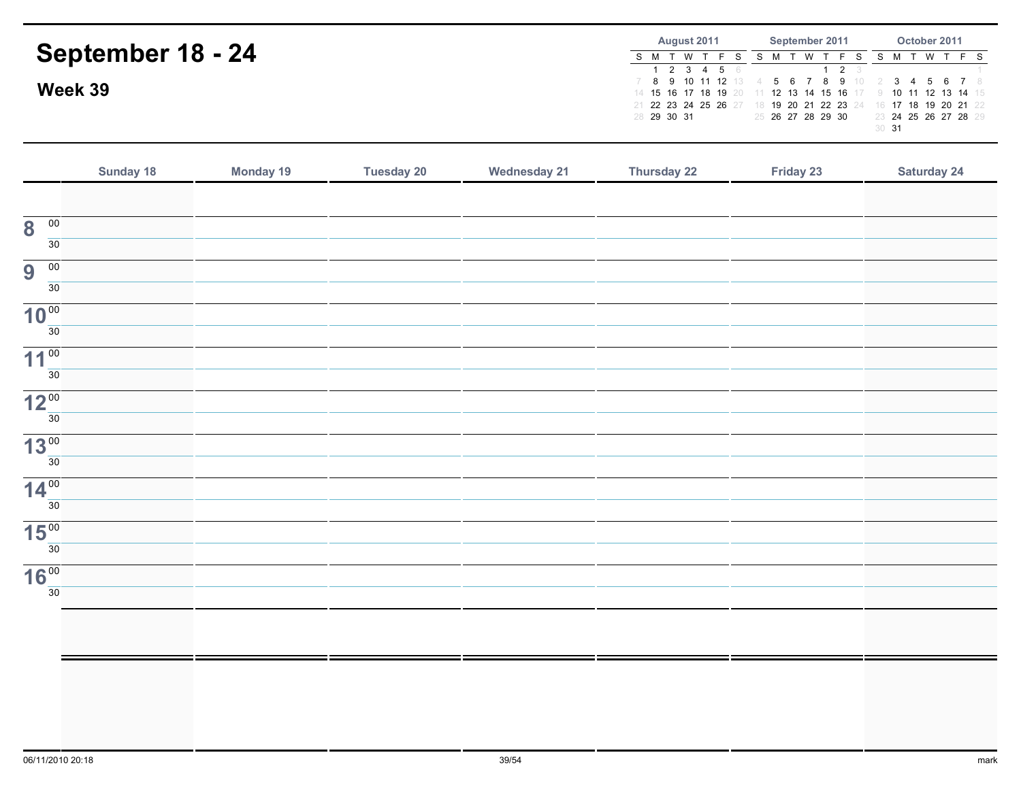| September 18 - 24<br>Week 39            |                  |                   |                     | August 2011<br>S M T W T F S<br>$2 \quad 3 \quad 4 \quad 5$<br>$\mathbf{1}$<br>8 9<br>10 11 12 13<br>7<br>14 15 16 17 18 19 20<br>21 22 23 24 25 26 27<br>28 29 30 31 | September 2011<br>S M T W T<br>F S<br>$\overline{2}$<br>6<br>$\mathbf{1}$<br>9<br>8<br>$5\overline{)}$<br>$\overline{7}$<br>6<br>10<br>$\overline{4}$<br>11 12 13 14 15 16<br>18 19 20 21 22 23<br>24<br>25 26 27 28 29 30 | October 2011<br>S M T W<br>$T$ F S<br>6<br>3<br>$\overline{4}$<br>5<br>-7<br>- 8<br>12<br>10<br>11<br>13 14<br>15<br>19 20 21 22<br>18<br>16<br>17<br>23 24 25 26 27 28 29<br>30 <sub>31</sub> |
|-----------------------------------------|------------------|-------------------|---------------------|-----------------------------------------------------------------------------------------------------------------------------------------------------------------------|----------------------------------------------------------------------------------------------------------------------------------------------------------------------------------------------------------------------------|------------------------------------------------------------------------------------------------------------------------------------------------------------------------------------------------|
| Sunday 18                               | <b>Monday 19</b> | <b>Tuesday 20</b> | <b>Wednesday 21</b> | <b>Thursday 22</b>                                                                                                                                                    | Friday 23                                                                                                                                                                                                                  | <b>Saturday 24</b>                                                                                                                                                                             |
| 00<br>8<br>30                           |                  |                   |                     |                                                                                                                                                                       |                                                                                                                                                                                                                            |                                                                                                                                                                                                |
| $\overline{00}$<br>9<br>30 <sup>°</sup> |                  |                   |                     |                                                                                                                                                                       |                                                                                                                                                                                                                            |                                                                                                                                                                                                |
| 10 <sup>00</sup><br>30                  |                  |                   |                     |                                                                                                                                                                       |                                                                                                                                                                                                                            |                                                                                                                                                                                                |
| $11^{00}$<br>30 <sup>7</sup>            |                  |                   |                     |                                                                                                                                                                       |                                                                                                                                                                                                                            |                                                                                                                                                                                                |
| $12^{00}$<br>30 <sup>°</sup>            |                  |                   |                     |                                                                                                                                                                       |                                                                                                                                                                                                                            |                                                                                                                                                                                                |
| 13 <sup>00</sup><br>30                  |                  |                   |                     |                                                                                                                                                                       |                                                                                                                                                                                                                            |                                                                                                                                                                                                |
| $14^{00}$<br>30                         |                  |                   |                     |                                                                                                                                                                       |                                                                                                                                                                                                                            |                                                                                                                                                                                                |
| 15 <sup>00</sup><br>30 <sub>o</sub>     |                  |                   |                     |                                                                                                                                                                       |                                                                                                                                                                                                                            |                                                                                                                                                                                                |
| 16 <sup>00</sup><br>30                  |                  |                   |                     |                                                                                                                                                                       |                                                                                                                                                                                                                            |                                                                                                                                                                                                |
|                                         |                  |                   |                     |                                                                                                                                                                       |                                                                                                                                                                                                                            |                                                                                                                                                                                                |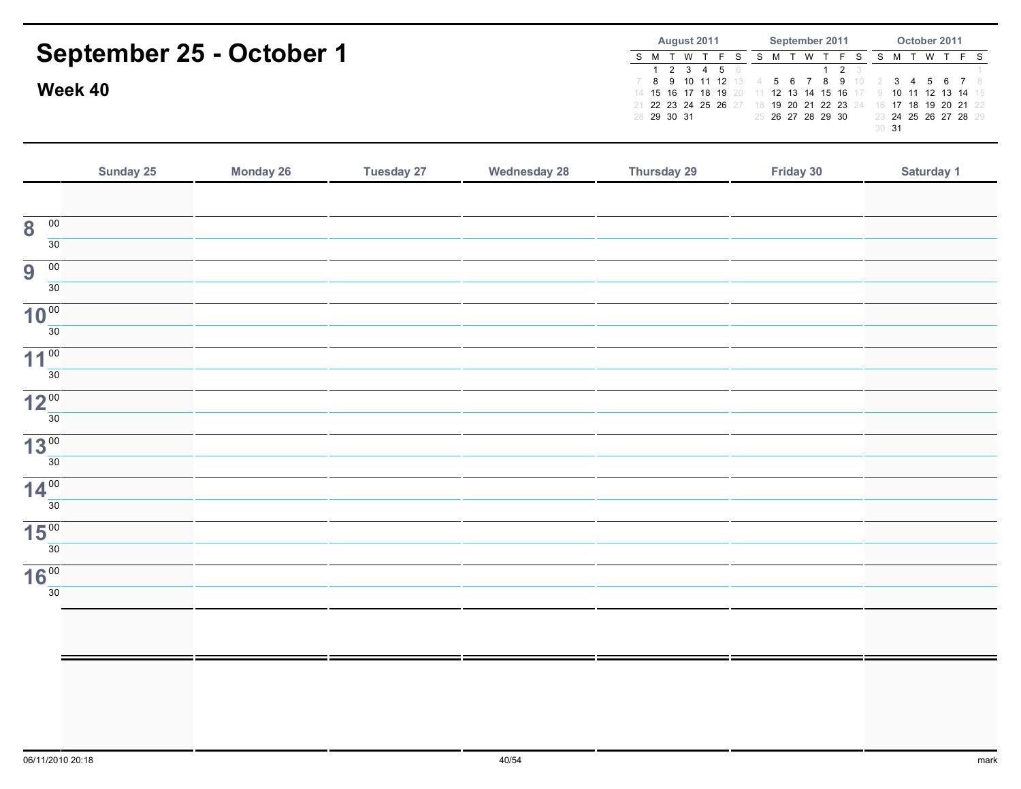| September 25 - October 1<br>Week 40 |                  |                   |                     | August 2011<br>S M T W T F S<br>$2 \quad 3 \quad 4 \quad 5$<br>$\mathbf{1}$<br>8<br>9<br>10 11 12<br>7<br>14 15 16 17 18 19<br>21 22 23 24 25 26 27<br>28 29 30 31 | September 2011<br>S M T W T F S<br>$\overline{2}$<br>8<br>9<br>$\overline{7}$<br>13<br>5<br>6<br>10<br>4<br>12 13 14 15<br>16<br>20<br>18 19 20 21 22 23<br>24<br>25 26 27 28 29 30 | October 2011<br>S M T W<br>$T$ F<br>S<br>3<br>7<br>4<br>5<br>6<br>-8<br>10<br>12<br>11<br>13<br>-14<br>15<br>16 17 18<br>19 20 21<br>22<br>23 24 25 26 27 28 29<br>$30$ 31 |
|-------------------------------------|------------------|-------------------|---------------------|--------------------------------------------------------------------------------------------------------------------------------------------------------------------|-------------------------------------------------------------------------------------------------------------------------------------------------------------------------------------|----------------------------------------------------------------------------------------------------------------------------------------------------------------------------|
| Sunday 25                           | <b>Monday 26</b> | <b>Tuesday 27</b> | <b>Wednesday 28</b> | Thursday 29                                                                                                                                                        | Friday 30                                                                                                                                                                           | Saturday 1                                                                                                                                                                 |
| $_{00}$<br>8                        |                  |                   |                     |                                                                                                                                                                    |                                                                                                                                                                                     |                                                                                                                                                                            |
| 30<br>$\overline{00}$<br>9<br>30    |                  |                   |                     |                                                                                                                                                                    |                                                                                                                                                                                     |                                                                                                                                                                            |
| 10 <sup>00</sup><br>30              |                  |                   |                     |                                                                                                                                                                    |                                                                                                                                                                                     |                                                                                                                                                                            |
| $11^{100}$<br>30                    |                  |                   |                     |                                                                                                                                                                    |                                                                                                                                                                                     |                                                                                                                                                                            |
| $12^{00}$<br>30                     |                  |                   |                     |                                                                                                                                                                    |                                                                                                                                                                                     |                                                                                                                                                                            |
| 13 <sup>00</sup><br>30              |                  |                   |                     |                                                                                                                                                                    |                                                                                                                                                                                     |                                                                                                                                                                            |
| $14^{00}$<br>30                     |                  |                   |                     |                                                                                                                                                                    |                                                                                                                                                                                     |                                                                                                                                                                            |
| 15 <sup>00</sup><br>30              |                  |                   |                     |                                                                                                                                                                    |                                                                                                                                                                                     |                                                                                                                                                                            |
| <b>16°°</b><br>30                   |                  |                   |                     |                                                                                                                                                                    |                                                                                                                                                                                     |                                                                                                                                                                            |
|                                     |                  |                   |                     |                                                                                                                                                                    |                                                                                                                                                                                     |                                                                                                                                                                            |
|                                     |                  |                   |                     |                                                                                                                                                                    |                                                                                                                                                                                     |                                                                                                                                                                            |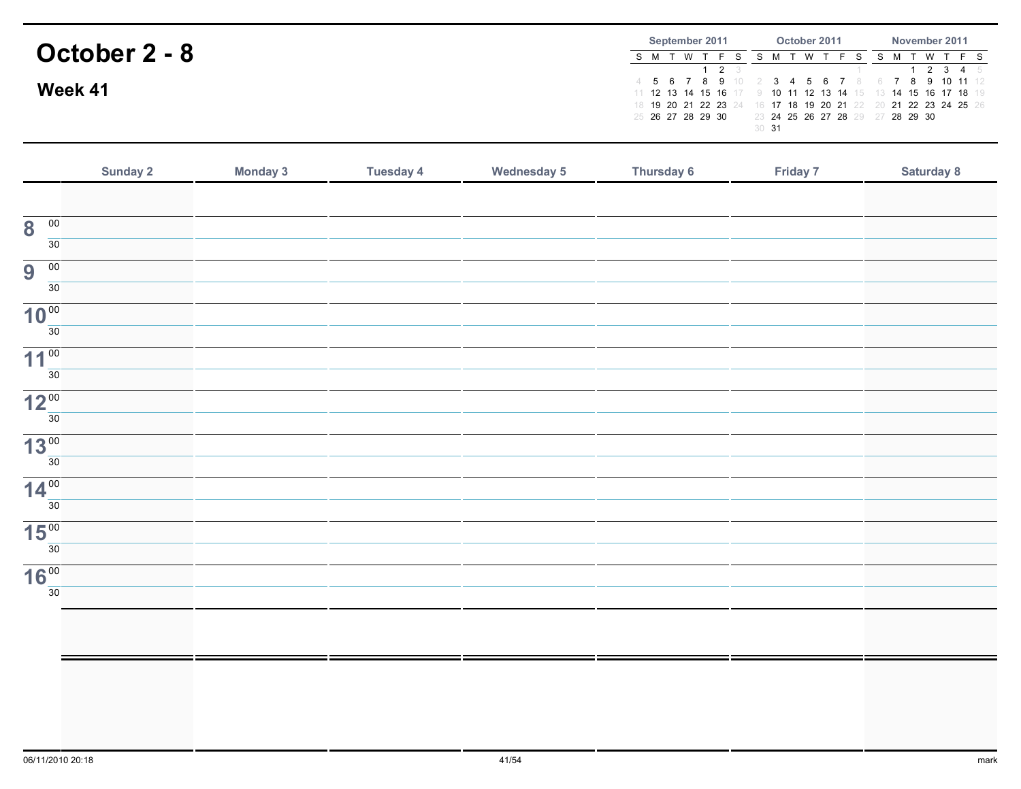|               | September 2011          | October 2011                                                                                                                                                                     | November 2011  |  |  |  |  |
|---------------|-------------------------|----------------------------------------------------------------------------------------------------------------------------------------------------------------------------------|----------------|--|--|--|--|
| October 2 - 8 | S M T W T<br><b>2</b> 3 | W                                                                                                                                                                                | W T<br>2 3 4 5 |  |  |  |  |
| Week 41       |                         | 4 5 6 7 8 9 10 2 3 4 5 6 7 8 6 7 8 9 10 11 12<br>11 12 13 14 15 16 17 9 10 11 12 13 14 15 13 14 15 16 17 18 19<br>18 19 20 21 22 23 24 16 17 18 19 20 21 22 20 21 22 23 24 25 26 |                |  |  |  |  |
|               | 25 26 27 28 29 30       | 23 24 25 26 27 28 29 27 28 29 30<br>30 31                                                                                                                                        |                |  |  |  |  |

|                                            | Sunday 2 | <b>Monday 3</b> | <b>Tuesday 4</b> | <b>Wednesday 5</b> | Thursday 6 | Friday 7 | Saturday 8 |
|--------------------------------------------|----------|-----------------|------------------|--------------------|------------|----------|------------|
|                                            |          |                 |                  |                    |            |          |            |
| $\overline{00}$<br>$\overline{\mathbf{8}}$ |          |                 |                  |                    |            |          |            |
| $\overline{30}$                            |          |                 |                  |                    |            |          |            |
| 9<br>$\overline{00}$                       |          |                 |                  |                    |            |          |            |
| 30                                         |          |                 |                  |                    |            |          |            |
| 10 <sup>00</sup>                           |          |                 |                  |                    |            |          |            |
| 30                                         |          |                 |                  |                    |            |          |            |
| 11 <sup>00</sup>                           |          |                 |                  |                    |            |          |            |
| 30                                         |          |                 |                  |                    |            |          |            |
| 12 <sup>00</sup>                           |          |                 |                  |                    |            |          |            |
| 30                                         |          |                 |                  |                    |            |          |            |
| 13 <sup>00</sup>                           |          |                 |                  |                    |            |          |            |
| 30                                         |          |                 |                  |                    |            |          |            |
| 14 <sup>00</sup>                           |          |                 |                  |                    |            |          |            |
| 30                                         |          |                 |                  |                    |            |          |            |
| 15 <sup>00</sup>                           |          |                 |                  |                    |            |          |            |
| 30                                         |          |                 |                  |                    |            |          |            |
| 16 <sup>00</sup><br>30                     |          |                 |                  |                    |            |          |            |
|                                            |          |                 |                  |                    |            |          |            |
|                                            |          |                 |                  |                    |            |          |            |
|                                            |          |                 |                  |                    |            |          |            |
|                                            |          |                 |                  |                    |            |          |            |
|                                            |          |                 |                  |                    |            |          |            |
|                                            |          |                 |                  |                    |            |          |            |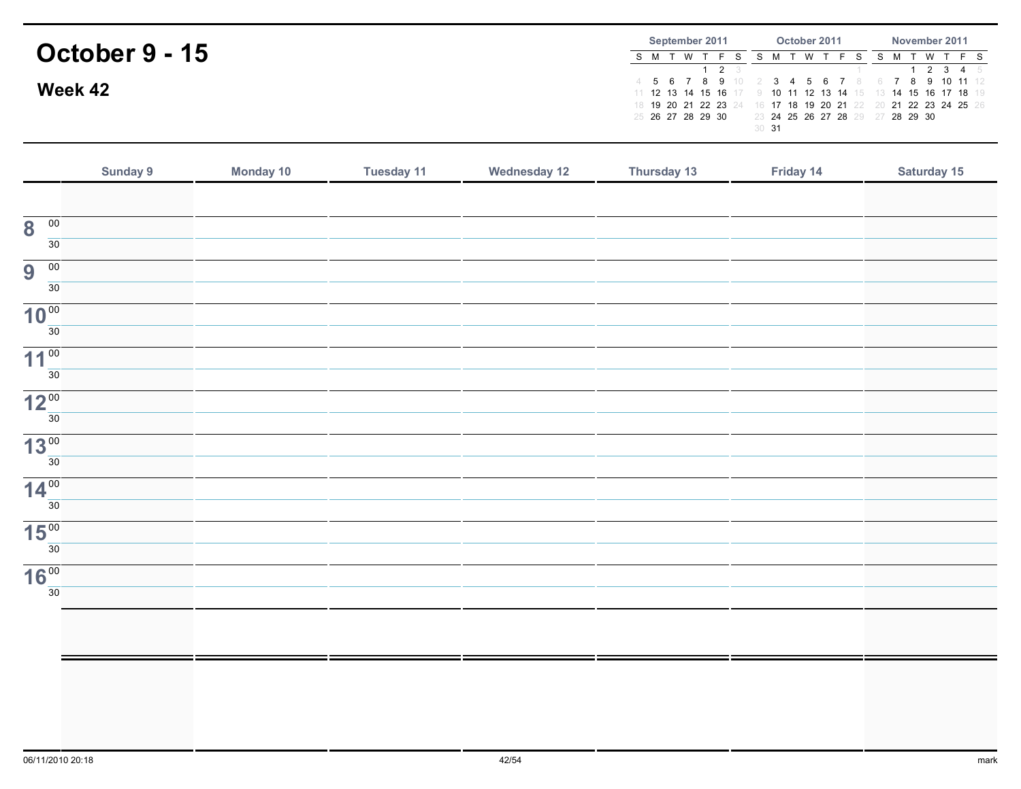|                | September 2011         | October 2011                                                                                                                                                    | November 2011      |  |  |  |  |  |
|----------------|------------------------|-----------------------------------------------------------------------------------------------------------------------------------------------------------------|--------------------|--|--|--|--|--|
| October 9 - 15 | S M T W<br>$1 \t2 \t3$ | W                                                                                                                                                               | T W I<br>1 2 3 4 5 |  |  |  |  |  |
| Week 42        |                        | 4 5 6 7 8 9 10 2 3 4 5 6 7 8<br>11 12 13 14 15 16 17 9 10 11 12 13 14 15 13 14 15 16 17 18 19<br>18 19 20 21 22 23 24 16 17 18 19 20 21 22 20 21 22 23 24 25 26 | 7 8 9 10 11 12     |  |  |  |  |  |
|                | 25 26 27 28 29 30      | 23 24 25 26 27 28 29 27 28 29 30<br>30 31                                                                                                                       |                    |  |  |  |  |  |

|                                            | Sunday 9 | Monday 10 | <b>Tuesday 11</b> | <b>Wednesday 12</b> | Thursday 13 | Friday 14 | Saturday 15 |
|--------------------------------------------|----------|-----------|-------------------|---------------------|-------------|-----------|-------------|
|                                            |          |           |                   |                     |             |           |             |
| $\overline{\mathbf{8}}$<br>$\overline{00}$ |          |           |                   |                     |             |           |             |
| 30                                         |          |           |                   |                     |             |           |             |
| 9<br>$\overline{00}$                       |          |           |                   |                     |             |           |             |
| $\overline{30}$                            |          |           |                   |                     |             |           |             |
| 10 <sup>00</sup>                           |          |           |                   |                     |             |           |             |
| 30                                         |          |           |                   |                     |             |           |             |
| 11 <sup>00</sup><br>$\overline{30}$        |          |           |                   |                     |             |           |             |
|                                            |          |           |                   |                     |             |           |             |
| 12 <sup>00</sup><br>30                     |          |           |                   |                     |             |           |             |
| 13 <sup>00</sup>                           |          |           |                   |                     |             |           |             |
| $\overline{30}$                            |          |           |                   |                     |             |           |             |
| 14 <sup>00</sup>                           |          |           |                   |                     |             |           |             |
| 30                                         |          |           |                   |                     |             |           |             |
| 15 <sup>00</sup>                           |          |           |                   |                     |             |           |             |
| 30                                         |          |           |                   |                     |             |           |             |
| 16 <sup>00</sup><br>30                     |          |           |                   |                     |             |           |             |
|                                            |          |           |                   |                     |             |           |             |
|                                            |          |           |                   |                     |             |           |             |
|                                            |          |           |                   |                     |             |           |             |
|                                            |          |           |                   |                     |             |           |             |
|                                            |          |           |                   |                     |             |           |             |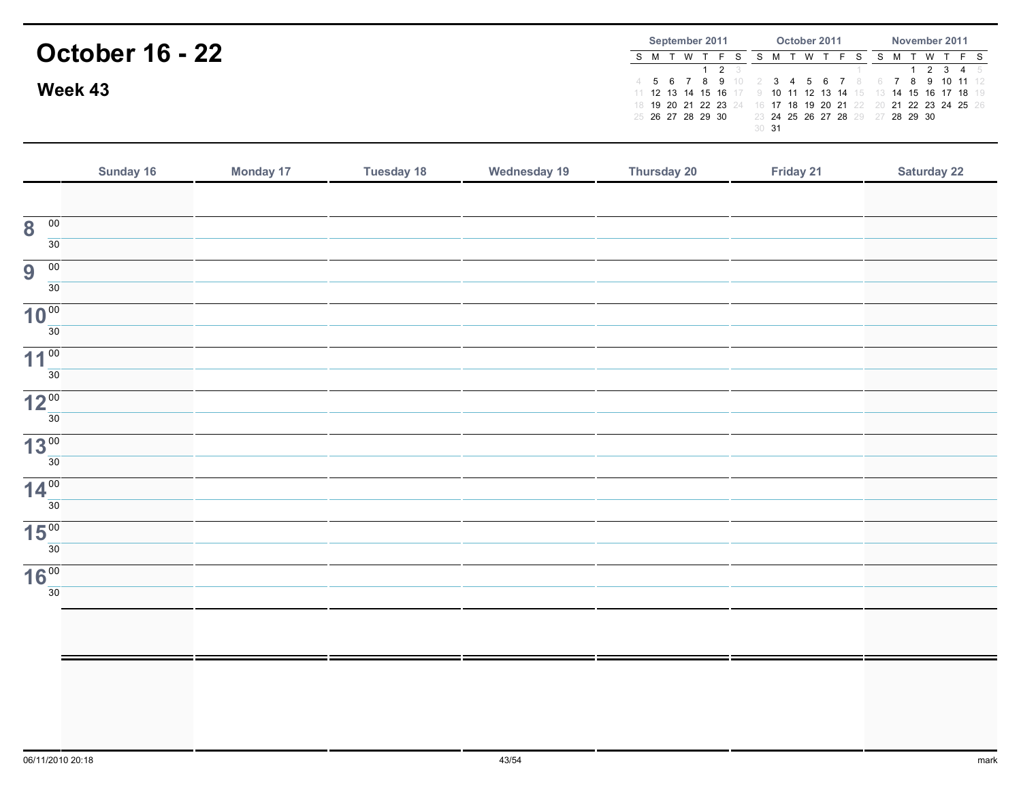|                        | September 2011 |                   |     | October 2011 |                  |  |  |  |                                                                                                                                                                                                                      | November 2011 |  |  |          |  |         |
|------------------------|----------------|-------------------|-----|--------------|------------------|--|--|--|----------------------------------------------------------------------------------------------------------------------------------------------------------------------------------------------------------------------|---------------|--|--|----------|--|---------|
| <b>October 16 - 22</b> |                |                   | T W | <b>2</b> 3   |                  |  |  |  | F S                                                                                                                                                                                                                  |               |  |  | <b>W</b> |  | 2 3 4 5 |
| Week 43                |                | 25 26 27 28 29 30 |     |              |                  |  |  |  | 4 5 6 7 8 9 10 2 3 4 5 6 7 8 6 7 8 9 10 11 12<br>11 12 13 14 15 16 17 9 10 11 12 13 14 15 13 14 15 16 17 18 19<br>18 19 20 21 22 23 24 16 17 18 19 20 21 22 20 21 22 23 24 25 26<br>23 24 25 26 27 28 29 27 28 29 30 |               |  |  |          |  |         |
|                        |                |                   |     |              | 30 <sup>31</sup> |  |  |  |                                                                                                                                                                                                                      |               |  |  |          |  |         |

|                                            | Sunday 16 | <b>Monday 17</b> | <b>Tuesday 18</b> | <b>Wednesday 19</b> | Thursday 20 | Friday 21 | <b>Saturday 22</b> |
|--------------------------------------------|-----------|------------------|-------------------|---------------------|-------------|-----------|--------------------|
|                                            |           |                  |                   |                     |             |           |                    |
| $\overline{\mathbf{8}}$<br>$\overline{00}$ |           |                  |                   |                     |             |           |                    |
| 30                                         |           |                  |                   |                     |             |           |                    |
| 9<br>$\overline{00}$                       |           |                  |                   |                     |             |           |                    |
| 30                                         |           |                  |                   |                     |             |           |                    |
| 10 <sup>00</sup>                           |           |                  |                   |                     |             |           |                    |
| 30 <sup>°</sup>                            |           |                  |                   |                     |             |           |                    |
| 11 <sup>00</sup><br>30                     |           |                  |                   |                     |             |           |                    |
|                                            |           |                  |                   |                     |             |           |                    |
| 12 <sup>00</sup><br>30                     |           |                  |                   |                     |             |           |                    |
| 13 <sup>00</sup>                           |           |                  |                   |                     |             |           |                    |
| $\overline{30}$                            |           |                  |                   |                     |             |           |                    |
| 14 <sup>00</sup>                           |           |                  |                   |                     |             |           |                    |
| 30                                         |           |                  |                   |                     |             |           |                    |
| 15 <sup>00</sup>                           |           |                  |                   |                     |             |           |                    |
| 30                                         |           |                  |                   |                     |             |           |                    |
| 16 <sup>00</sup>                           |           |                  |                   |                     |             |           |                    |
| $\overline{30}$                            |           |                  |                   |                     |             |           |                    |
|                                            |           |                  |                   |                     |             |           |                    |
|                                            |           |                  |                   |                     |             |           |                    |
|                                            |           |                  |                   |                     |             |           |                    |
|                                            |           |                  |                   |                     |             |           |                    |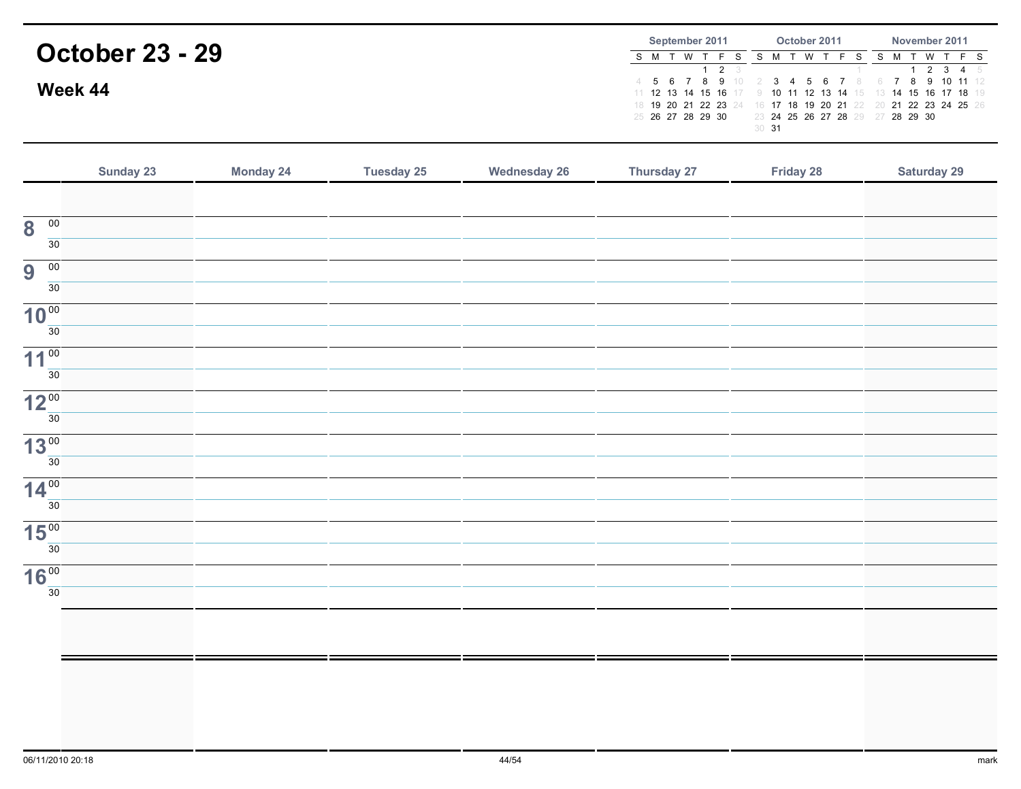|                        | September 2011    | October 2011                                                                                   | November 2011                                                                   |  |  |  |  |
|------------------------|-------------------|------------------------------------------------------------------------------------------------|---------------------------------------------------------------------------------|--|--|--|--|
| <b>October 23 - 29</b> | W ·<br><b>2</b> 3 | W                                                                                              | <b>W</b><br>2345                                                                |  |  |  |  |
| Week 44                |                   | 4 5 6 7 8 9 10 2 3 4 5 6 7 8<br>18 19 20 21 22 23 24 16 17 18 19 20 21 22 20 21 22 23 24 25 26 | 7 8 9 10 11 12<br>11 12 13 14 15 16 17 9 10 11 12 13 14 15 13 14 15 16 17 18 19 |  |  |  |  |
|                        | 25 26 27 28 29 30 | 23 24 25 26 27 28 29 27 28 29 30<br>30 31                                                      |                                                                                 |  |  |  |  |

|                                            | Sunday 23 | <b>Monday 24</b> | <b>Tuesday 25</b> | <b>Wednesday 26</b> | Thursday 27 | Friday 28 | <b>Saturday 29</b> |
|--------------------------------------------|-----------|------------------|-------------------|---------------------|-------------|-----------|--------------------|
|                                            |           |                  |                   |                     |             |           |                    |
| $\overline{\mathbf{8}}$<br>$\overline{00}$ |           |                  |                   |                     |             |           |                    |
| 30                                         |           |                  |                   |                     |             |           |                    |
| 9<br>$\overline{00}$                       |           |                  |                   |                     |             |           |                    |
| 30                                         |           |                  |                   |                     |             |           |                    |
| 10 <sup>00</sup>                           |           |                  |                   |                     |             |           |                    |
| 30                                         |           |                  |                   |                     |             |           |                    |
| 11 <sup>00</sup><br>$\overline{30}$        |           |                  |                   |                     |             |           |                    |
| 12 <sup>00</sup>                           |           |                  |                   |                     |             |           |                    |
| 30                                         |           |                  |                   |                     |             |           |                    |
| 13 <sup>00</sup>                           |           |                  |                   |                     |             |           |                    |
| 30                                         |           |                  |                   |                     |             |           |                    |
| 14 <sup>00</sup>                           |           |                  |                   |                     |             |           |                    |
| $\overline{30}$                            |           |                  |                   |                     |             |           |                    |
| 15 <sup>00</sup>                           |           |                  |                   |                     |             |           |                    |
| 30                                         |           |                  |                   |                     |             |           |                    |
| 16 <sup>00</sup><br>30                     |           |                  |                   |                     |             |           |                    |
|                                            |           |                  |                   |                     |             |           |                    |
|                                            |           |                  |                   |                     |             |           |                    |
|                                            |           |                  |                   |                     |             |           |                    |
|                                            |           |                  |                   |                     |             |           |                    |
|                                            |           |                  |                   |                     |             |           |                    |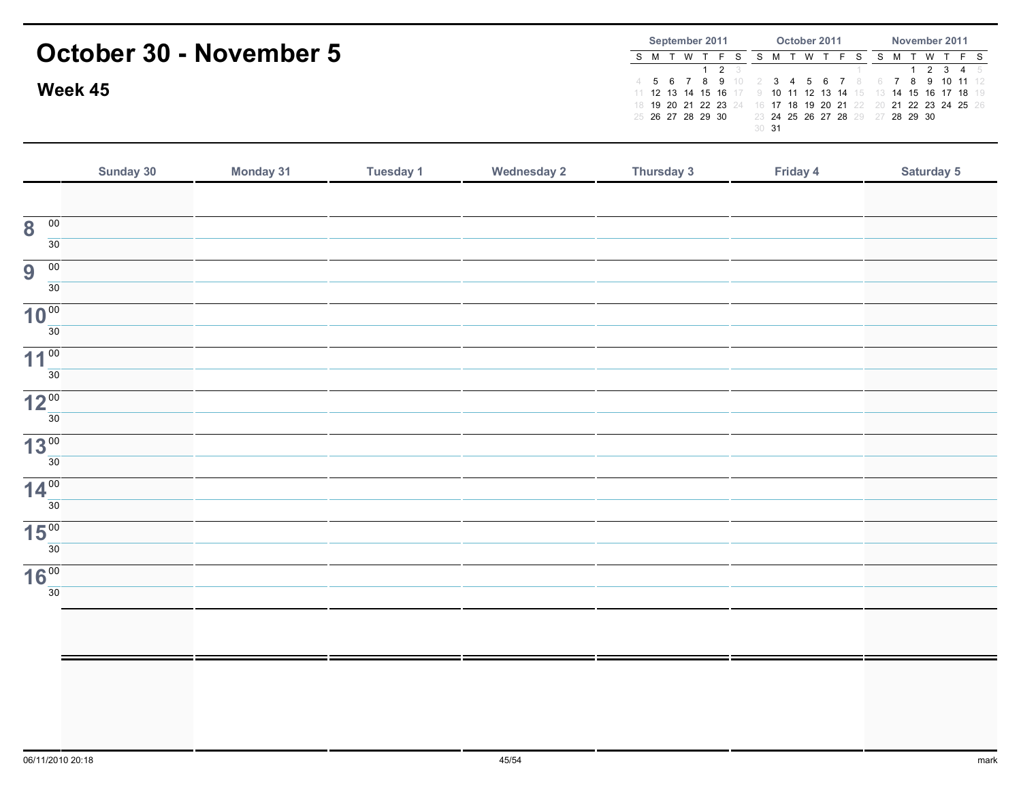|                        | Week 45          | October 30 - November 5 |           |                    | September 2011<br>S M T W T F<br>2<br>$5^{\circ}$<br>$\overline{7}$<br>8<br>6<br>9<br>4<br>11 12 13 14 15 16<br>18 19 20 21 22 23 24<br>25 26 27 28 29 30 | October 2011<br>S M<br>T W T F<br>S<br><sub>S</sub><br>6<br>3<br>-5<br>10 11 12 13 14<br>17<br>18 19 20<br>21<br>23 24 25 26 27 28 29<br>30 <sub>31</sub> | November 2011<br>M T<br>W T<br>S<br>- S<br>2<br>$\mathbf{3}$<br>- 5<br>8<br>9<br>10<br>$11 \t12$<br>15 16 17 18 19<br>14<br>22 23 24 25 26<br>21<br>28 29 30<br>27 |
|------------------------|------------------|-------------------------|-----------|--------------------|-----------------------------------------------------------------------------------------------------------------------------------------------------------|-----------------------------------------------------------------------------------------------------------------------------------------------------------|--------------------------------------------------------------------------------------------------------------------------------------------------------------------|
|                        | <b>Sunday 30</b> | <b>Monday 31</b>        | Tuesday 1 | <b>Wednesday 2</b> | Thursday 3                                                                                                                                                | Friday 4                                                                                                                                                  | <b>Saturday 5</b>                                                                                                                                                  |
| 00                     |                  |                         |           |                    |                                                                                                                                                           |                                                                                                                                                           |                                                                                                                                                                    |
| 8<br>30                |                  |                         |           |                    |                                                                                                                                                           |                                                                                                                                                           |                                                                                                                                                                    |
| 00<br>9<br>30          |                  |                         |           |                    |                                                                                                                                                           |                                                                                                                                                           |                                                                                                                                                                    |
| 10 <sup>00</sup><br>30 |                  |                         |           |                    |                                                                                                                                                           |                                                                                                                                                           |                                                                                                                                                                    |
| $11^{00}$              |                  |                         |           |                    |                                                                                                                                                           |                                                                                                                                                           |                                                                                                                                                                    |

30

 $12<sup>00</sup>$  $\frac{1}{30}$ 

 $13<sup>00</sup>$  $\overline{30}$ 

 $14<sup>00</sup>$  $\overline{30}$ 

 $15<sup>00</sup>$  $\overline{30}$ 

 $16<sup>00</sup>$  $\overline{30}$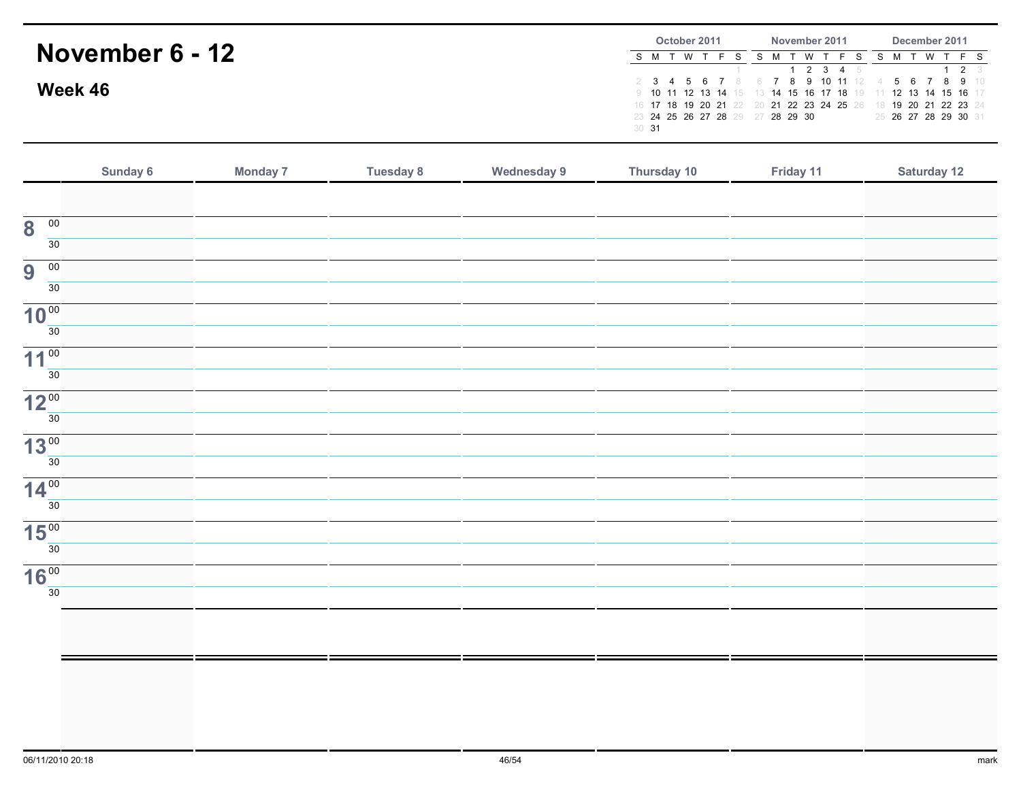|                 |       | October 2011 |  |                                  |  | November 2011 |          |                                                                | December 2011 |  |  |                      |             |              |  |  |  |
|-----------------|-------|--------------|--|----------------------------------|--|---------------|----------|----------------------------------------------------------------|---------------|--|--|----------------------|-------------|--------------|--|--|--|
| November 6 - 12 |       |              |  |                                  |  |               | <b>W</b> |                                                                |               |  |  | <b>W</b>             |             |              |  |  |  |
|                 |       |              |  |                                  |  |               |          | 1 2 3 4 5                                                      |               |  |  |                      | $1 \t2 \t3$ |              |  |  |  |
|                 |       |              |  |                                  |  |               |          | 6 7 8 9 10 11 12 4                                             |               |  |  |                      |             | 5 6 7 8 9 10 |  |  |  |
| Week 46         |       |              |  |                                  |  |               |          | 9 10 11 12 13 14 15 13 14 15 16 17 18 19 11 12 13 14 15 16 17  |               |  |  |                      |             |              |  |  |  |
|                 |       |              |  |                                  |  |               |          | 16 17 18 19 20 21 22 20 21 22 23 24 25 26 18 19 20 21 22 23 24 |               |  |  |                      |             |              |  |  |  |
|                 |       |              |  | 23 24 25 26 27 28 29 27 28 29 30 |  |               |          |                                                                |               |  |  | 25 26 27 28 29 30 31 |             |              |  |  |  |
|                 | 30 31 |              |  |                                  |  |               |          |                                                                |               |  |  |                      |             |              |  |  |  |

|                                            | Sunday 6 | <b>Monday 7</b> | <b>Tuesday 8</b> | <b>Wednesday 9</b> | Thursday 10 | Friday 11 | <b>Saturday 12</b> |
|--------------------------------------------|----------|-----------------|------------------|--------------------|-------------|-----------|--------------------|
|                                            |          |                 |                  |                    |             |           |                    |
| $\overline{00}$<br>$\overline{\mathbf{8}}$ |          |                 |                  |                    |             |           |                    |
| $\overline{30}$                            |          |                 |                  |                    |             |           |                    |
| 9<br>$\overline{00}$                       |          |                 |                  |                    |             |           |                    |
| 30                                         |          |                 |                  |                    |             |           |                    |
| 10 <sup>00</sup>                           |          |                 |                  |                    |             |           |                    |
| $\overline{30}$                            |          |                 |                  |                    |             |           |                    |
| 11 <sup>00</sup>                           |          |                 |                  |                    |             |           |                    |
| $\overline{30}$                            |          |                 |                  |                    |             |           |                    |
| 12 <sup>00</sup>                           |          |                 |                  |                    |             |           |                    |
| $\overline{30}$                            |          |                 |                  |                    |             |           |                    |
| 13 <sup>00</sup>                           |          |                 |                  |                    |             |           |                    |
| $\overline{30}$                            |          |                 |                  |                    |             |           |                    |
| $14\frac{00}{30}$                          |          |                 |                  |                    |             |           |                    |
|                                            |          |                 |                  |                    |             |           |                    |
| 15 <sup>00</sup><br>$\overline{30}$        |          |                 |                  |                    |             |           |                    |
|                                            |          |                 |                  |                    |             |           |                    |
| 16 <sup>00</sup><br>30                     |          |                 |                  |                    |             |           |                    |
|                                            |          |                 |                  |                    |             |           |                    |
|                                            |          |                 |                  |                    |             |           |                    |
|                                            |          |                 |                  |                    |             |           |                    |
|                                            |          |                 |                  |                    |             |           |                    |
|                                            |          |                 |                  |                    |             |           |                    |
|                                            |          |                 |                  |                    |             |           |                    |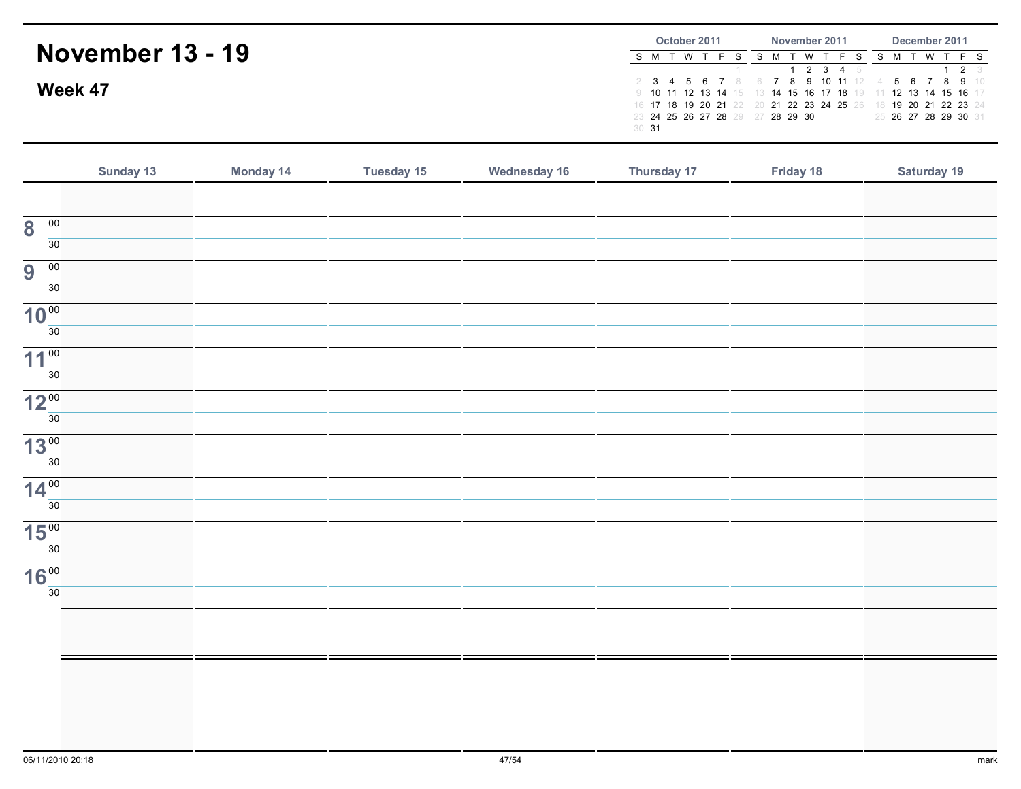|                         | October 2011<br>November 2011 |       |           |  |  |                                  | December 2011 |  |     |                                  |  |  |  |          |  |                                                                |
|-------------------------|-------------------------------|-------|-----------|--|--|----------------------------------|---------------|--|-----|----------------------------------|--|--|--|----------|--|----------------------------------------------------------------|
| <b>November 13 - 19</b> |                               |       | S M T W T |  |  |                                  |               |  | W T |                                  |  |  |  | <b>W</b> |  |                                                                |
|                         |                               |       |           |  |  |                                  |               |  |     | 1 2 3 4 5                        |  |  |  |          |  | $1 \t2 \t3$                                                    |
| Week 47                 |                               |       |           |  |  |                                  |               |  |     | 2 3 4 5 6 7 8 6 7 8 9 10 11 12 4 |  |  |  |          |  | 5 6 7 8 9 10                                                   |
|                         |                               |       |           |  |  |                                  |               |  |     |                                  |  |  |  |          |  | 9 10 11 12 13 14 15 13 14 15 16 17 18 19 11 12 13 14 15 16 17  |
|                         |                               |       |           |  |  |                                  |               |  |     |                                  |  |  |  |          |  | 16 17 18 19 20 21 22 20 21 22 23 24 25 26 18 19 20 21 22 23 24 |
|                         |                               |       |           |  |  | 23 24 25 26 27 28 29 27 28 29 30 |               |  |     |                                  |  |  |  |          |  | 25 26 27 28 29 30 31                                           |
|                         |                               | 30 31 |           |  |  |                                  |               |  |     |                                  |  |  |  |          |  |                                                                |

|                                            | Sunday 13 | Monday 14 | <b>Tuesday 15</b> | Wednesday 16 | Thursday 17 | Friday 18 | Saturday 19 |
|--------------------------------------------|-----------|-----------|-------------------|--------------|-------------|-----------|-------------|
|                                            |           |           |                   |              |             |           |             |
| $\overline{\mathbf{8}}$<br>$\overline{00}$ |           |           |                   |              |             |           |             |
| $\overline{30}$                            |           |           |                   |              |             |           |             |
| 9<br>00                                    |           |           |                   |              |             |           |             |
| $\overline{30}$                            |           |           |                   |              |             |           |             |
| 10 <sup>00</sup><br>$\overline{30}$        |           |           |                   |              |             |           |             |
|                                            |           |           |                   |              |             |           |             |
| 11 <sup>00</sup><br>$\overline{30}$        |           |           |                   |              |             |           |             |
| 12 <sup>00</sup>                           |           |           |                   |              |             |           |             |
| 30                                         |           |           |                   |              |             |           |             |
| 13 <sup>00</sup>                           |           |           |                   |              |             |           |             |
| $\overline{30}$                            |           |           |                   |              |             |           |             |
| 14 <sup>00</sup>                           |           |           |                   |              |             |           |             |
| $\overline{30}$                            |           |           |                   |              |             |           |             |
| 15 <sup>00</sup>                           |           |           |                   |              |             |           |             |
| 30                                         |           |           |                   |              |             |           |             |
| 16 <sup>00</sup><br>30                     |           |           |                   |              |             |           |             |
|                                            |           |           |                   |              |             |           |             |
|                                            |           |           |                   |              |             |           |             |
|                                            |           |           |                   |              |             |           |             |
|                                            |           |           |                   |              |             |           |             |
|                                            |           |           |                   |              |             |           |             |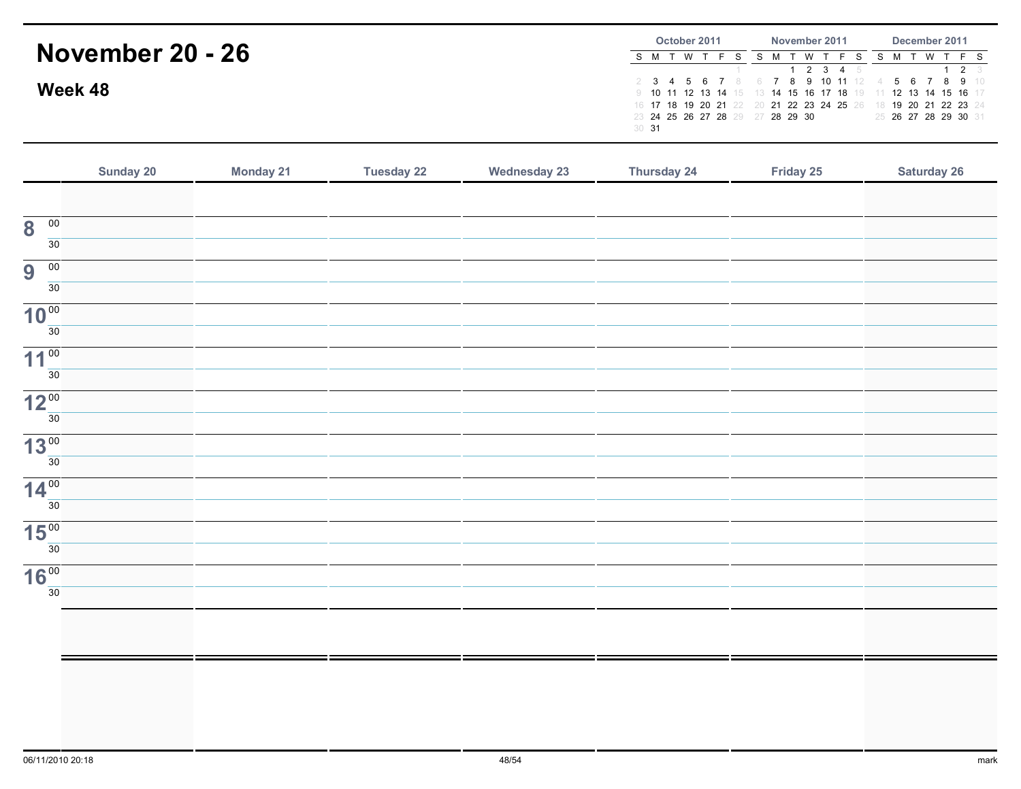|                         |       | October 2011 |  |  |                                  |  |          | November 2011 |                                                                | December 2011 |  |  |                      |             |              |
|-------------------------|-------|--------------|--|--|----------------------------------|--|----------|---------------|----------------------------------------------------------------|---------------|--|--|----------------------|-------------|--------------|
| <b>November 20 - 26</b> |       |              |  |  |                                  |  | <b>W</b> |               |                                                                |               |  |  | <b>W</b>             |             |              |
|                         |       |              |  |  |                                  |  |          |               | 1 2 3 4 5                                                      |               |  |  |                      | $1 \t2 \t3$ |              |
|                         |       |              |  |  |                                  |  |          |               | 6 7 8 9 10 11 12 4                                             |               |  |  |                      |             | 5 6 7 8 9 10 |
| Week 48                 |       |              |  |  |                                  |  |          |               | 9 10 11 12 13 14 15 13 14 15 16 17 18 19 11 12 13 14 15 16 17  |               |  |  |                      |             |              |
|                         |       |              |  |  |                                  |  |          |               | 16 17 18 19 20 21 22 20 21 22 23 24 25 26 18 19 20 21 22 23 24 |               |  |  |                      |             |              |
|                         |       |              |  |  | 23 24 25 26 27 28 29 27 28 29 30 |  |          |               |                                                                |               |  |  | 25 26 27 28 29 30 31 |             |              |
|                         | 30 31 |              |  |  |                                  |  |          |               |                                                                |               |  |  |                      |             |              |

|                                            | Sunday 20 | <b>Monday 21</b> | <b>Tuesday 22</b> | <b>Wednesday 23</b> | Thursday 24 | Friday 25 | <b>Saturday 26</b> |
|--------------------------------------------|-----------|------------------|-------------------|---------------------|-------------|-----------|--------------------|
|                                            |           |                  |                   |                     |             |           |                    |
| $\overline{\mathbf{8}}$<br>$\overline{00}$ |           |                  |                   |                     |             |           |                    |
| $\overline{30}$                            |           |                  |                   |                     |             |           |                    |
| 9<br>$\overline{00}$                       |           |                  |                   |                     |             |           |                    |
| $\overline{30}$                            |           |                  |                   |                     |             |           |                    |
| 10 <sup>00</sup>                           |           |                  |                   |                     |             |           |                    |
| 30                                         |           |                  |                   |                     |             |           |                    |
| 11 <sup>00</sup><br>$\overline{30}$        |           |                  |                   |                     |             |           |                    |
| 12 <sup>00</sup>                           |           |                  |                   |                     |             |           |                    |
| 30                                         |           |                  |                   |                     |             |           |                    |
| 13 <sup>00</sup>                           |           |                  |                   |                     |             |           |                    |
| $\overline{30}$                            |           |                  |                   |                     |             |           |                    |
| 14 <sup>00</sup>                           |           |                  |                   |                     |             |           |                    |
| $\overline{30}$                            |           |                  |                   |                     |             |           |                    |
| 15 <sup>00</sup>                           |           |                  |                   |                     |             |           |                    |
| $\overline{30}$                            |           |                  |                   |                     |             |           |                    |
| 16 <sup>00</sup><br>30                     |           |                  |                   |                     |             |           |                    |
|                                            |           |                  |                   |                     |             |           |                    |
|                                            |           |                  |                   |                     |             |           |                    |
|                                            |           |                  |                   |                     |             |           |                    |
|                                            |           |                  |                   |                     |             |           |                    |
|                                            |           |                  |                   |                     |             |           |                    |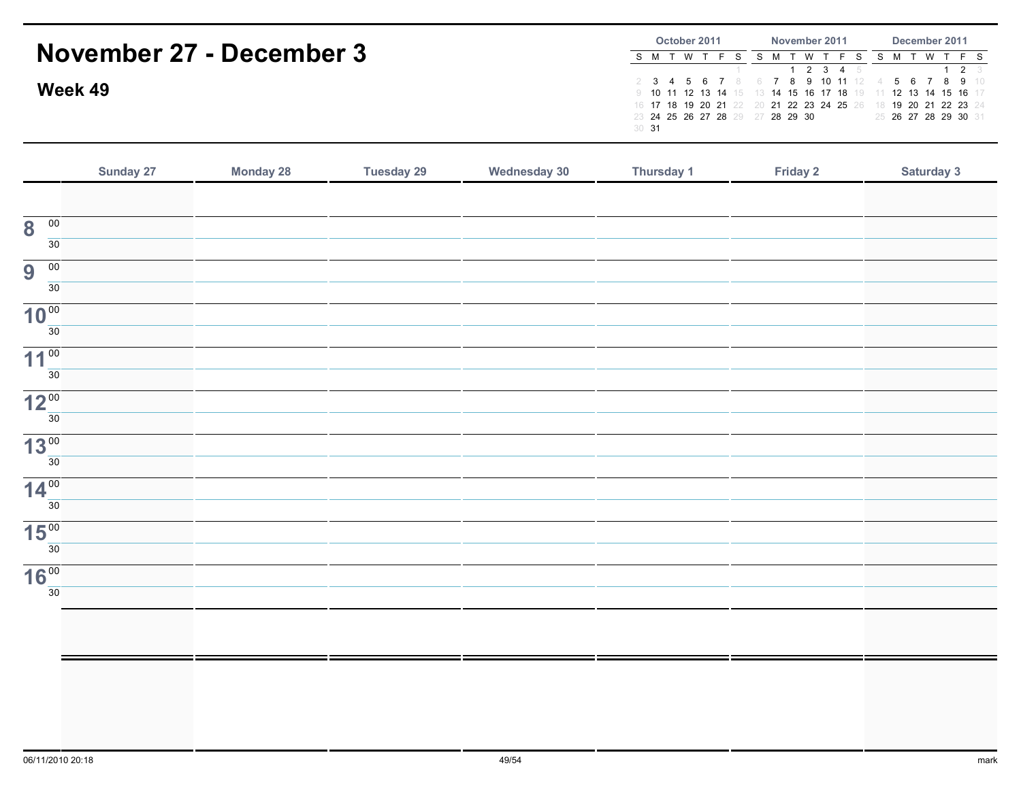|                          | October 2011                     | November 2011                                                  | December 2011                                 |  |  |  |
|--------------------------|----------------------------------|----------------------------------------------------------------|-----------------------------------------------|--|--|--|
| November 27 - December 3 | S M T W                          |                                                                | S M T W T F S S M T W T F S                   |  |  |  |
|                          |                                  | $1$ 2 3 4 5                                                    | $1 \t2 \t3$                                   |  |  |  |
| Week 49                  |                                  |                                                                | 2 3 4 5 6 7 8 6 7 8 9 10 11 12 4 5 6 7 8 9 10 |  |  |  |
|                          |                                  | 9 10 11 12 13 14 15 13 14 15 16 17 18 19 11 12 13 14 15 16 17  |                                               |  |  |  |
|                          |                                  | 16 17 18 19 20 21 22 20 21 22 23 24 25 26 18 19 20 21 22 23 24 |                                               |  |  |  |
|                          | 23 24 25 26 27 28 29 27 28 29 30 |                                                                | 25 26 27 28 29 30 31                          |  |  |  |
|                          | 30 <sup>31</sup>                 |                                                                |                                               |  |  |  |
|                          |                                  |                                                                |                                               |  |  |  |

|                                            | Sunday 27 | <b>Monday 28</b> | <b>Tuesday 29</b> | <b>Wednesday 30</b> | Thursday 1 | Friday 2 | Saturday 3 |
|--------------------------------------------|-----------|------------------|-------------------|---------------------|------------|----------|------------|
|                                            |           |                  |                   |                     |            |          |            |
| $\overline{00}$<br>$\overline{\mathbf{8}}$ |           |                  |                   |                     |            |          |            |
| 30                                         |           |                  |                   |                     |            |          |            |
| 9<br>$\overline{00}$                       |           |                  |                   |                     |            |          |            |
| 30                                         |           |                  |                   |                     |            |          |            |
| 10 <sup>00</sup><br>$\overline{30}$        |           |                  |                   |                     |            |          |            |
|                                            |           |                  |                   |                     |            |          |            |
| 11 <sup>00</sup>                           |           |                  |                   |                     |            |          |            |
| 30 <sup>2</sup>                            |           |                  |                   |                     |            |          |            |
| 12 <sup>00</sup>                           |           |                  |                   |                     |            |          |            |
| 30 <sup>2</sup>                            |           |                  |                   |                     |            |          |            |
| 13 <sup>00</sup>                           |           |                  |                   |                     |            |          |            |
| 30 <sup>7</sup>                            |           |                  |                   |                     |            |          |            |
| 14 <sup>00</sup>                           |           |                  |                   |                     |            |          |            |
| 30 <sup>1</sup>                            |           |                  |                   |                     |            |          |            |
| 15 <sup>00</sup>                           |           |                  |                   |                     |            |          |            |
| 30 <sup>°</sup>                            |           |                  |                   |                     |            |          |            |
| 16 <sup>00</sup>                           |           |                  |                   |                     |            |          |            |
| 30                                         |           |                  |                   |                     |            |          |            |
|                                            |           |                  |                   |                     |            |          |            |
|                                            |           |                  |                   |                     |            |          |            |
|                                            |           |                  |                   |                     |            |          |            |
|                                            |           |                  |                   |                     |            |          |            |
|                                            |           |                  |                   |                     |            |          |            |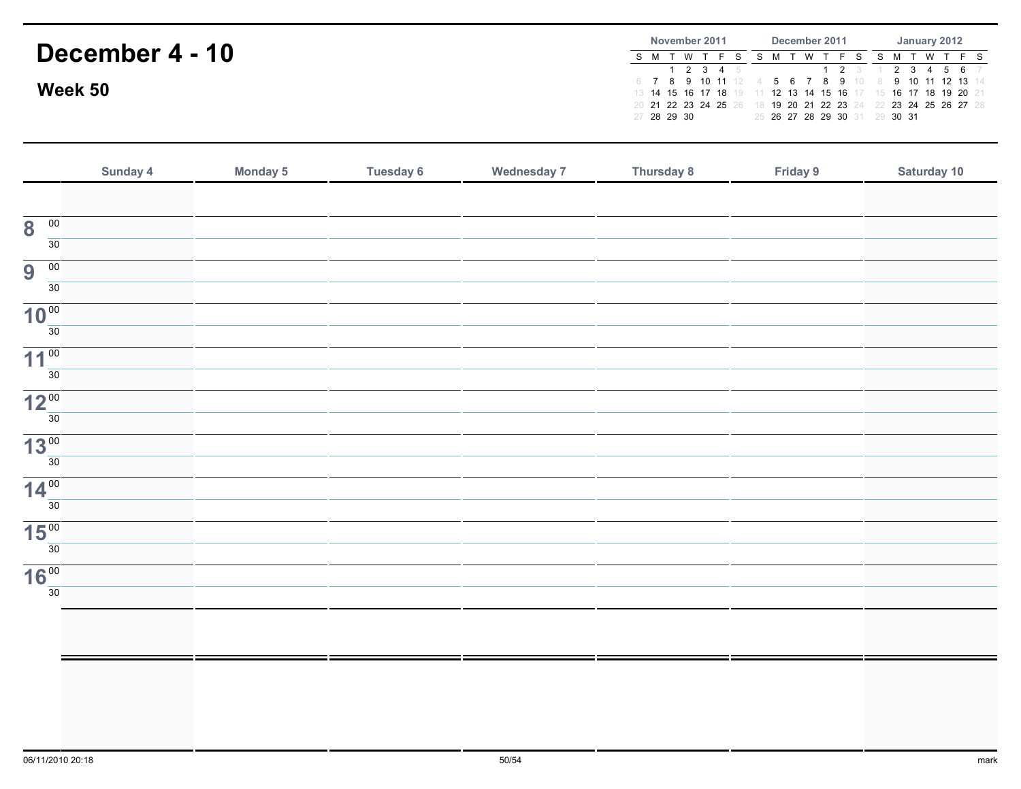## December 4 - 10Week 50November 2011S M T W T F S S M T W T F S S M T W T F S <sup>1</sup> <sup>2</sup> <sup>3</sup> <sup>4</sup> <sup>5</sup> 6 <sup>7</sup> <sup>8</sup> <sup>9</sup> <sup>10</sup> <sup>11</sup> <sup>12</sup> 4 <sup>5</sup> <sup>6</sup> <sup>7</sup> <sup>8</sup> <sup>9</sup> <sup>10</sup> 8 <sup>9</sup> <sup>10</sup> <sup>11</sup> <sup>12</sup> <sup>13</sup> <sup>14</sup> 13 <sup>14</sup> <sup>15</sup> <sup>16</sup> <sup>17</sup> <sup>18</sup> <sup>19</sup> 11 <sup>12</sup> <sup>13</sup> <sup>14</sup> <sup>15</sup> <sup>16</sup> <sup>17</sup> 15 <sup>16</sup> <sup>17</sup> <sup>18</sup> <sup>19</sup> <sup>20</sup> <sup>21</sup> 20 <sup>21</sup> <sup>22</sup> <sup>23</sup> <sup>24</sup> <sup>25</sup> <sup>26</sup> 18 <sup>19</sup> <sup>20</sup> <sup>21</sup> <sup>22</sup> <sup>23</sup> <sup>24</sup> 22 <sup>23</sup> <sup>24</sup> <sup>25</sup> <sup>26</sup> <sup>27</sup> <sup>28</sup> 27 <sup>28</sup> <sup>29</sup> <sup>30</sup> December 2011 $1 \quad 2$ 25 <sup>26</sup> <sup>27</sup> <sup>28</sup> <sup>29</sup> <sup>30</sup> <sup>31</sup> 29 <sup>30</sup> <sup>31</sup> January 2012 $3 \quad 1$  $2 \t3 \t4 \t5 \t6$

|                                            | Sunday 4 | <b>Monday 5</b> | <b>Tuesday 6</b> | <b>Wednesday 7</b> | <b>Thursday 8</b> | Friday 9 | Saturday 10 |
|--------------------------------------------|----------|-----------------|------------------|--------------------|-------------------|----------|-------------|
|                                            |          |                 |                  |                    |                   |          |             |
| $\overline{00}$<br>$\overline{\mathbf{8}}$ |          |                 |                  |                    |                   |          |             |
| 30                                         |          |                 |                  |                    |                   |          |             |
| $\overline{9}$<br>$\overline{00}$          |          |                 |                  |                    |                   |          |             |
| 30                                         |          |                 |                  |                    |                   |          |             |
| 10 <sup>00</sup><br>30                     |          |                 |                  |                    |                   |          |             |
|                                            |          |                 |                  |                    |                   |          |             |
| 11 <sup>00</sup><br>30                     |          |                 |                  |                    |                   |          |             |
| 12 <sup>00</sup>                           |          |                 |                  |                    |                   |          |             |
| 30                                         |          |                 |                  |                    |                   |          |             |
| 13 <sup>00</sup>                           |          |                 |                  |                    |                   |          |             |
| 30                                         |          |                 |                  |                    |                   |          |             |
| $14^{00}$                                  |          |                 |                  |                    |                   |          |             |
| 30                                         |          |                 |                  |                    |                   |          |             |
| 15 <sup>00</sup>                           |          |                 |                  |                    |                   |          |             |
| 30                                         |          |                 |                  |                    |                   |          |             |
| 16 <sup>00</sup><br>30                     |          |                 |                  |                    |                   |          |             |
|                                            |          |                 |                  |                    |                   |          |             |
|                                            |          |                 |                  |                    |                   |          |             |
|                                            |          |                 |                  |                    |                   |          |             |
|                                            |          |                 |                  |                    |                   |          |             |
|                                            |          |                 |                  |                    |                   |          |             |
|                                            |          |                 |                  |                    |                   |          |             |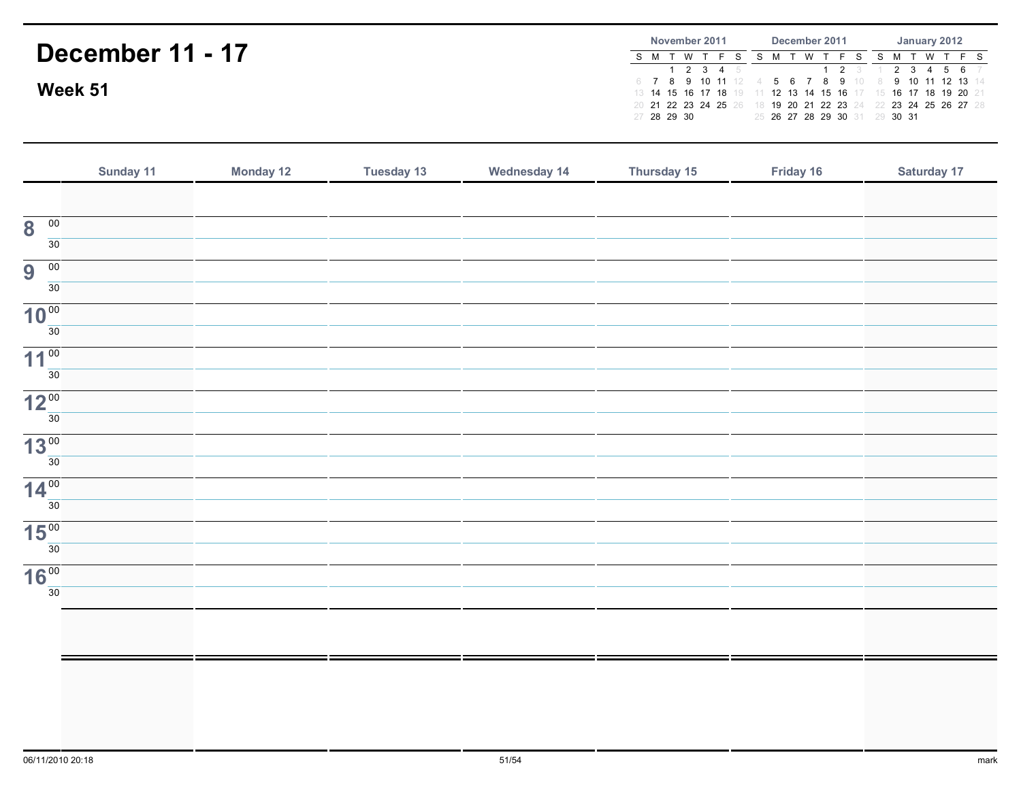## December 11 - 17Week 51November 2011S M T W T F S S M T W T F S S M T W T F S <sup>1</sup> <sup>2</sup> <sup>3</sup> <sup>4</sup> <sup>5</sup> 6 <sup>7</sup> <sup>8</sup> <sup>9</sup> <sup>10</sup> <sup>11</sup> <sup>12</sup> 4 <sup>5</sup> <sup>6</sup> <sup>7</sup> <sup>8</sup> <sup>9</sup> <sup>10</sup> 8 <sup>9</sup> <sup>10</sup> <sup>11</sup> <sup>12</sup> <sup>13</sup> <sup>14</sup> 13 <sup>14</sup> <sup>15</sup> <sup>16</sup> <sup>17</sup> <sup>18</sup> <sup>19</sup> 11 <sup>12</sup> <sup>13</sup> <sup>14</sup> <sup>15</sup> <sup>16</sup> <sup>17</sup> 15 <sup>16</sup> <sup>17</sup> <sup>18</sup> <sup>19</sup> <sup>20</sup> <sup>21</sup> 20 <sup>21</sup> <sup>22</sup> <sup>23</sup> <sup>24</sup> <sup>25</sup> <sup>26</sup> 18 <sup>19</sup> <sup>20</sup> <sup>21</sup> <sup>22</sup> <sup>23</sup> <sup>24</sup> 22 <sup>23</sup> <sup>24</sup> <sup>25</sup> <sup>26</sup> <sup>27</sup> <sup>28</sup> 27 <sup>28</sup> <sup>29</sup> <sup>30</sup> December 2011 $1 \quad 2$ 25 <sup>26</sup> <sup>27</sup> <sup>28</sup> <sup>29</sup> <sup>30</sup> <sup>31</sup> 29 <sup>30</sup> <sup>31</sup> January 2012 $3 \quad 1$  $2 \t3 \t4 \t5 \t6$

|                                            | Sunday 11 | <b>Monday 12</b> | <b>Tuesday 13</b> | <b>Wednesday 14</b> | Thursday 15 | Friday 16 | Saturday 17 |
|--------------------------------------------|-----------|------------------|-------------------|---------------------|-------------|-----------|-------------|
|                                            |           |                  |                   |                     |             |           |             |
| $\overline{00}$<br>$\overline{\mathbf{8}}$ |           |                  |                   |                     |             |           |             |
| 30                                         |           |                  |                   |                     |             |           |             |
| 00<br>9                                    |           |                  |                   |                     |             |           |             |
| 30                                         |           |                  |                   |                     |             |           |             |
| 10 <sup>00</sup><br>30                     |           |                  |                   |                     |             |           |             |
| 11 <sup>00</sup>                           |           |                  |                   |                     |             |           |             |
| 30                                         |           |                  |                   |                     |             |           |             |
| 12 <sup>00</sup>                           |           |                  |                   |                     |             |           |             |
| 30                                         |           |                  |                   |                     |             |           |             |
| 13 <sup>00</sup>                           |           |                  |                   |                     |             |           |             |
| 30                                         |           |                  |                   |                     |             |           |             |
| 14 <sup>00</sup>                           |           |                  |                   |                     |             |           |             |
| 30                                         |           |                  |                   |                     |             |           |             |
| 15 <sup>00</sup><br>30                     |           |                  |                   |                     |             |           |             |
|                                            |           |                  |                   |                     |             |           |             |
| 16 <sup>00</sup><br>30                     |           |                  |                   |                     |             |           |             |
|                                            |           |                  |                   |                     |             |           |             |
|                                            |           |                  |                   |                     |             |           |             |
|                                            |           |                  |                   |                     |             |           |             |
|                                            |           |                  |                   |                     |             |           |             |
|                                            |           |                  |                   |                     |             |           |             |
|                                            |           |                  |                   |                     |             |           |             |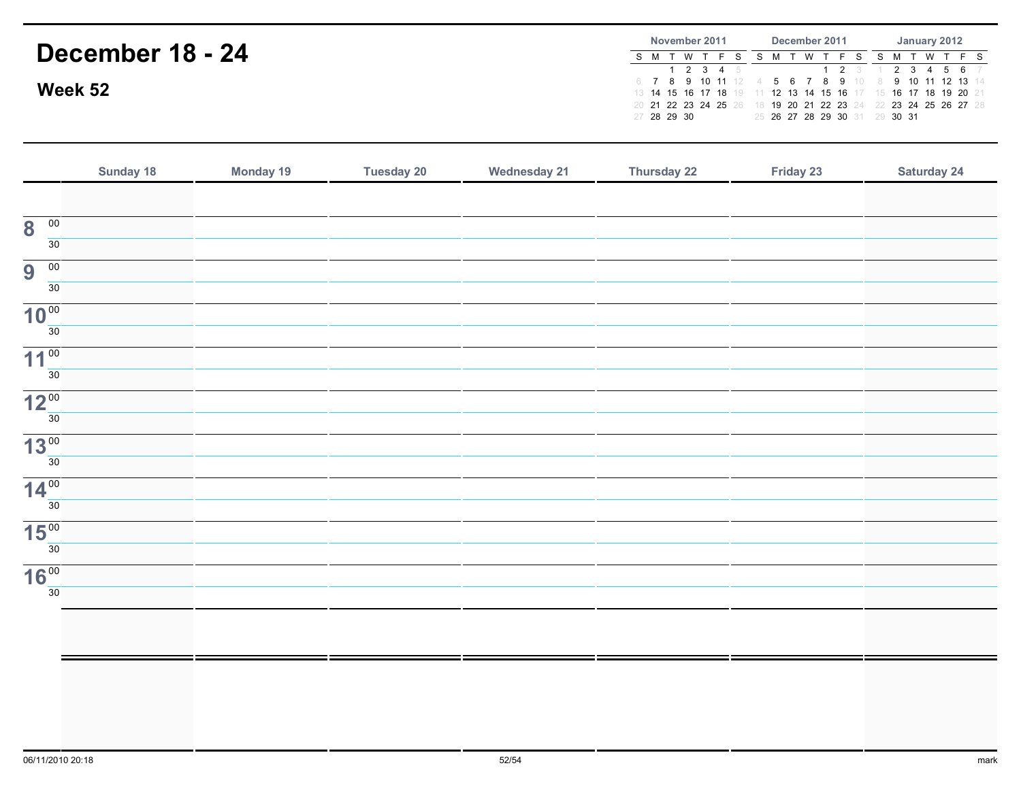# December 18 - 24Week 52November 2011S M T W T F S S M T W T F S S M T W T F S <sup>1</sup> <sup>2</sup> <sup>3</sup> <sup>4</sup> <sup>5</sup> 6 <sup>7</sup> <sup>8</sup> <sup>9</sup> <sup>10</sup> <sup>11</sup> <sup>12</sup> 4 <sup>5</sup> <sup>6</sup> <sup>7</sup> <sup>8</sup> <sup>9</sup> <sup>10</sup> 8 <sup>9</sup> <sup>10</sup> <sup>11</sup> <sup>12</sup> <sup>13</sup> <sup>14</sup> 13 <sup>14</sup> <sup>15</sup> <sup>16</sup> <sup>17</sup> <sup>18</sup> <sup>19</sup> 11 <sup>12</sup> <sup>13</sup> <sup>14</sup> <sup>15</sup> <sup>16</sup> <sup>17</sup> 15 <sup>16</sup> <sup>17</sup> <sup>18</sup> <sup>19</sup> <sup>20</sup> <sup>21</sup> 20 <sup>21</sup> <sup>22</sup> <sup>23</sup> <sup>24</sup> <sup>25</sup> <sup>26</sup> 18 <sup>19</sup> <sup>20</sup> <sup>21</sup> <sup>22</sup> <sup>23</sup> <sup>24</sup> 22 <sup>23</sup> <sup>24</sup> <sup>25</sup> <sup>26</sup> <sup>27</sup> <sup>28</sup> 27 <sup>28</sup> <sup>29</sup> <sup>30</sup> December 2011 $1 \quad 2$ 25 <sup>26</sup> <sup>27</sup> <sup>28</sup> <sup>29</sup> <sup>30</sup> <sup>31</sup> 29 <sup>30</sup> <sup>31</sup> January 2012 $3 \quad 1$  $2 \t3 \t4 \t5 \t6$

|                                         | Sunday 18 | Monday 19 | <b>Tuesday 20</b> | <b>Wednesday 21</b> | Thursday 22 | Friday 23 | <b>Saturday 24</b> |
|-----------------------------------------|-----------|-----------|-------------------|---------------------|-------------|-----------|--------------------|
|                                         |           |           |                   |                     |             |           |                    |
| $\overline{00}$<br>8                    |           |           |                   |                     |             |           |                    |
| 30                                      |           |           |                   |                     |             |           |                    |
| $\overline{9}$<br>$\overline{00}$<br>30 |           |           |                   |                     |             |           |                    |
| 10 <sup>00</sup>                        |           |           |                   |                     |             |           |                    |
| 30                                      |           |           |                   |                     |             |           |                    |
| 11 <sup>00</sup>                        |           |           |                   |                     |             |           |                    |
| 30                                      |           |           |                   |                     |             |           |                    |
| 12 <sup>00</sup>                        |           |           |                   |                     |             |           |                    |
| 30                                      |           |           |                   |                     |             |           |                    |
| 13 <sup>00</sup><br>30                  |           |           |                   |                     |             |           |                    |
| 14 <sup>00</sup>                        |           |           |                   |                     |             |           |                    |
| 30                                      |           |           |                   |                     |             |           |                    |
| 15 <sup>00</sup>                        |           |           |                   |                     |             |           |                    |
| 30                                      |           |           |                   |                     |             |           |                    |
| 16 <sup>00</sup>                        |           |           |                   |                     |             |           |                    |
| 30                                      |           |           |                   |                     |             |           |                    |
|                                         |           |           |                   |                     |             |           |                    |
|                                         |           |           |                   |                     |             |           |                    |
|                                         |           |           |                   |                     |             |           |                    |
|                                         |           |           |                   |                     |             |           |                    |
|                                         |           |           |                   |                     |             |           |                    |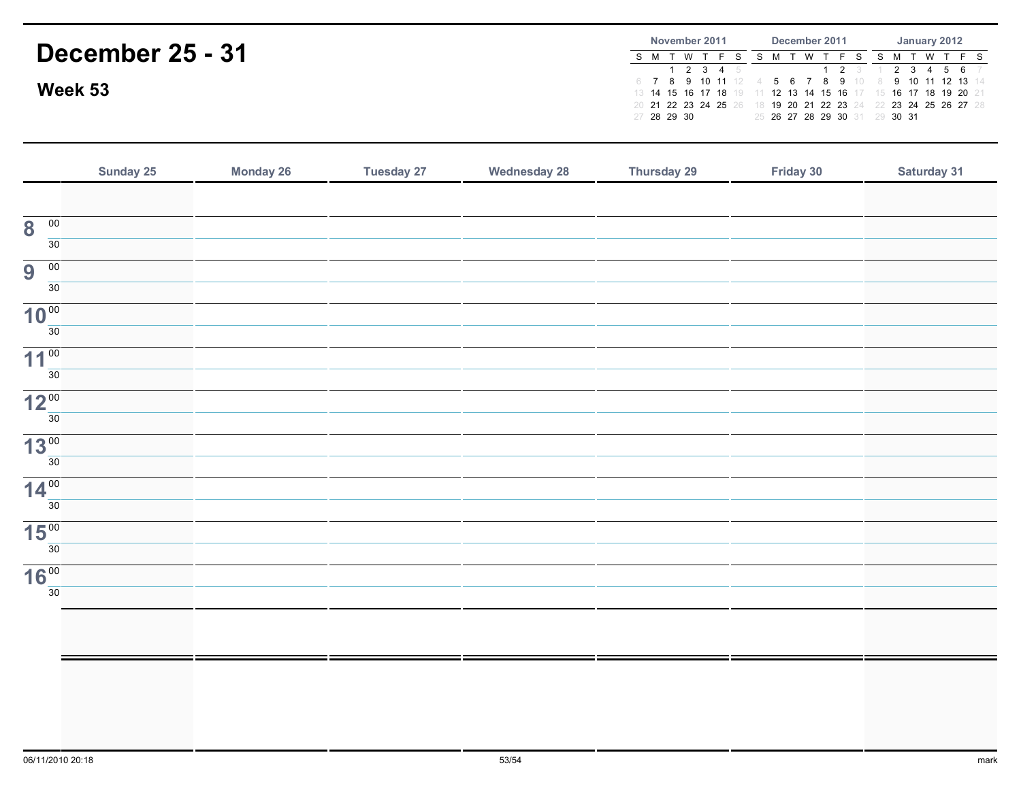# December 25 - 31Week 53November 2011S M T W T F S S M T W T F S S M T W T F S <sup>1</sup> <sup>2</sup> <sup>3</sup> <sup>4</sup> <sup>5</sup> 6 <sup>7</sup> <sup>8</sup> <sup>9</sup> <sup>10</sup> <sup>11</sup> <sup>12</sup> 4 <sup>5</sup> <sup>6</sup> <sup>7</sup> <sup>8</sup> <sup>9</sup> <sup>10</sup> 8 <sup>9</sup> <sup>10</sup> <sup>11</sup> <sup>12</sup> <sup>13</sup> <sup>14</sup> 13 <sup>14</sup> <sup>15</sup> <sup>16</sup> <sup>17</sup> <sup>18</sup> <sup>19</sup> 11 <sup>12</sup> <sup>13</sup> <sup>14</sup> <sup>15</sup> <sup>16</sup> <sup>17</sup> 15 <sup>16</sup> <sup>17</sup> <sup>18</sup> <sup>19</sup> <sup>20</sup> <sup>21</sup> 20 <sup>21</sup> <sup>22</sup> <sup>23</sup> <sup>24</sup> <sup>25</sup> <sup>26</sup> 18 <sup>19</sup> <sup>20</sup> <sup>21</sup> <sup>22</sup> <sup>23</sup> <sup>24</sup> 22 <sup>23</sup> <sup>24</sup> <sup>25</sup> <sup>26</sup> <sup>27</sup> <sup>28</sup> 27 <sup>28</sup> <sup>29</sup> <sup>30</sup> December 2011 $1 \quad 2$ 25 <sup>26</sup> <sup>27</sup> <sup>28</sup> <sup>29</sup> <sup>30</sup> <sup>31</sup> 29 <sup>30</sup> <sup>31</sup> January 2012 $3 \quad 1$  $2 \t3 \t4 \t5 \t6$

| Sunday 25 | <b>Monday 26</b> | <b>Tuesday 27</b> | <b>Wednesday 28</b> | <b>Thursday 29</b> | Friday 30 | Saturday 31 |
|-----------|------------------|-------------------|---------------------|--------------------|-----------|-------------|
|           |                  |                   |                     |                    |           |             |
|           |                  |                   |                     |                    |           |             |
|           |                  |                   |                     |                    |           |             |
|           |                  |                   |                     |                    |           |             |
|           |                  |                   |                     |                    |           |             |
|           |                  |                   |                     |                    |           |             |
|           |                  |                   |                     |                    |           |             |
|           |                  |                   |                     |                    |           |             |
|           |                  |                   |                     |                    |           |             |
|           |                  |                   |                     |                    |           |             |
|           |                  |                   |                     |                    |           |             |
|           |                  |                   |                     |                    |           |             |
|           |                  |                   |                     |                    |           |             |
|           |                  |                   |                     |                    |           |             |
|           |                  |                   |                     |                    |           |             |
|           |                  |                   |                     |                    |           |             |
|           |                  |                   |                     |                    |           |             |
|           |                  |                   |                     |                    |           |             |
|           |                  |                   |                     |                    |           |             |
|           |                  |                   |                     |                    |           |             |
|           |                  |                   |                     |                    |           |             |
|           |                  |                   |                     |                    |           |             |
|           |                  |                   |                     |                    |           |             |